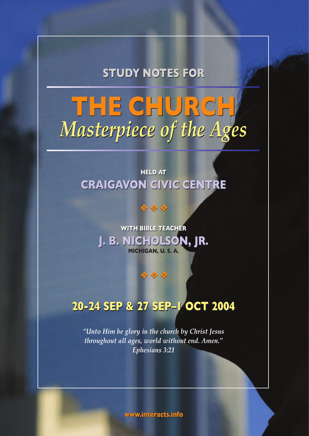**STUDY NOTES FOR STUDY NOTES FOR**

# **THE CHURCH THE CHURCH** *Masterpiece of the Ages Masterpiece of the Ages*

## **HELD AT HELD AT CRAIGAVON CIVIC CENTRE CRAIGAVON CIVIC CENTRE**

\*\*

## **WITH BIBLE TEACHER WITH BIBLE TEACHER J. B. NICHOLSON, JR. J. B. NICHOLSON, JR. MICHIGAN, U. S. A.**

\*\*\*

## **20-24 SEP & 27 SEP–1 OCT 2004 20-24 SEP & 27 SEP–1 OCT 2004**

*"Unto Him be glory in the church by Christ Jesus throughout all ages, world without end. Amen." Ephesians 3:21*

**www.interacts.info www.interacts.info**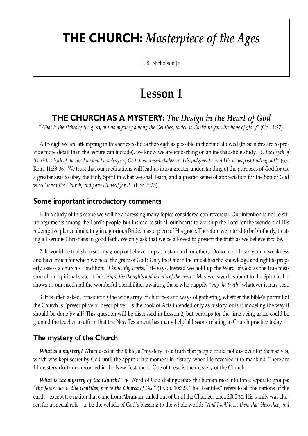# **THE CHURCH:** *Masterpiece of the Ages*

J. B. Nicholson Jr.

# **Lesson 1**

## **THE CHURCH AS A MYSTERY:** *The Design in the Heart of God*

*"What is the riches of the glory of this mystery among the Gentiles; which is Christ in you, the hope of glory"* (Col. 1:27).

Although we are attempting in this series to be as thorough as possible in the time allowed (these notes are to provide more detail than the lecture can include), we know we are embarking on an inexhaustible study. *"O the depth of the riches both of the wisdom and knowledge of God! how unsearchable are His judgments, and His ways past finding out!"* (see Rom. 11:33-36). We trust that our meditations will lead us into a greater understanding of the purposes of God for us, a greater zeal to obey the Holy Spirit in what we shall learn, and a greater sense of appreciation for the Son of God who *"loved the Church, and gave Himself for it"* (Eph. 5:25).

#### **Some important introductory comments**

1. In a study of this scope we will be addressing many topics considered controversial. Our intention is not to stir up arguments among the Lord's people, but instead to stir all our hearts to worship the Lord for the wonders of His redemptive plan, culminating in a glorious Bride, masterpiece of His grace. Therefore we intend to be brotherly, treating all serious Christians in good faith. We only ask that we be allowed to present the truth as we believe it to be.

2. It would be foolish to set any group of believers up as a standard for others. Do we not all carry on in weakness and have much for which we need the grace of God? Only the One in the midst has the knowledge and right to properly assess a church's condition: *"I know thy works,"* He says. Instead we hold up the Word of God as the true measure of our spiritual state; it *"discern[s] the thoughts and intents of the heart."* May we eagerly submit to the Spirit as He shows us our need and the wonderful possibilities awaiting those who happily *"buy the truth"* whatever it may cost.

3. It is often asked, considering the wide array of churches and ways of gathering, whether the Bible's portrait of the Church is "prescriptive or descriptive." Is the book of Acts intended only as history, or is it modeling the way it should be done by all? This question will be discussed in Lesson 2, but perhaps for the time being grace could be granted the teacher to affirm that the New Testament has many helpful lessons relating to Church practice today.

#### **The mystery of the Church**

*What is a mystery?* When used in the Bible, a "mystery" is a truth that people could not discover for themselves, which was kept secret by God until the appropriate moment in history, when He revealed it to mankind. There are 14 mystery doctrines recorded in the New Testament. One of these is the mystery of the Church.

*What is the mystery of the Church?* The Word of God distinguishes the human race into three separate groups: *"the Jews, nor to the Gentiles, nor to the Church of God"* (1 Cor. 10:32). The "Gentiles" refers to all the nations of the earth—except the nation that came from Abraham, called out of Ur of the Chaldees circa 2000 BC. His family was chosen for a special role—to be the vehicle of God's blessing to the whole world: *"And I will bless them that bless thee, and*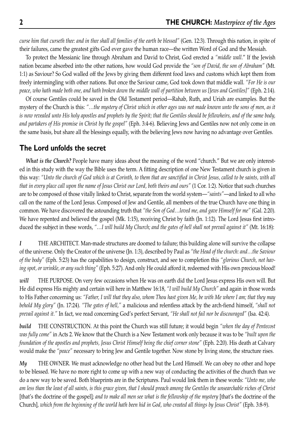*curse him that curseth thee: and in thee shall all families of the earth be blessed"* (Gen. 12:3). Through this nation, in spite of their failures, came the greatest gifts God ever gave the human race—the written Word of God and the Messiah.

To protect the Messianic line through Abraham and David to Christ, God erected a *"middle wall*." If the Jewish nation became absorbed into the other nations, how would God provide the *"son of David, the son of Abraham"* (Mt. 1:1) as Saviour? So God walled off the Jews by giving them different food laws and customs which kept them from freely intermingling with other nations. But once the Saviour came, God took down that middle wall. *"For He is our peace, who hath made both one, and hath broken down the middle wall of partition between us [Jews and Gentiles]"* (Eph. 2:14).

Of course Gentiles could be saved in the Old Testament period—Rahab, Ruth, and Uriah are examples. But the mystery of the Church is this: *"…the mystery of Christ which in other ages was not made known unto the sons of men, as it is now revealed unto His holy apostles and prophets by the Spirit; that the Gentiles should be fellowheirs, and of the same body, and partakers of His promise in Christ by the gospel"* (Eph. 3:4-6). Believing Jews and Gentiles now not only come in on the same basis, but share all the blessings equally, with the believing Jews now having no advantage over Gentiles.

#### **The Lord unfolds the secret**

*What is the Church?* People have many ideas about the meaning of the word "church." But we are only interested in this study with the way the Bible uses the term. A fitting description of one New Testament church is given in this way: *"Unto the church of God which is at Corinth, to them that are sanctified in Christ Jesus, called to be saints, with all that in every place call upon the name of Jesus Christ our Lord, both theirs and ours"* (1 Cor. 1:2). Notice that such churches are to be composed of those vitally linked to Christ, separate from the world system—*"saints"*—and linked to all who call on the name of the Lord Jesus. Composed of Jew and Gentile, all members of the true Church have one thing in common. We have discovered the astounding truth that *"the Son of God…loved me, and gave Himself for me"* (Gal. 2:20). We have repented and believed the gospel (Mk. 1:15), receiving Christ by faith (Jn. 1:12). The Lord Jesus first introduced the subject in these words, *"…I will build My Church; and the gates of hell shall not prevail against it"* (Mt. 16:18):

*I* THE ARCHITECT. Man-made structures are doomed to failure; this building alone will survive the collapse of the universe. Only the Creator of the universe (Jn. 1:3), described by Paul as *"the Head of the church: and…the Saviour of the body"* (Eph. 5:23) has the capabilities to design, construct, and see to completion this *"glorious Church, not having spot, or wrinkle, or any such thing"* (Eph. 5:27). And only He could afford it, redeemed with His own precious blood!

*will* THE PURPOSE. On very few occasions when He was on earth did the Lord Jesus express His own will. But He did express His mighty and certain will here in Matthew 16:18, *"I will build My Church"* and again in those words to His Father concerning us: *"Father, I will that they also, whom Thou hast given Me, be with Me where I am; that they may behold My glory"* (Jn. 17:24). *"The gates of hell,"* a malicious and relentless attack by the arch-fiend himself, *"shall not prevail against it."* In fact, we read concerning God's perfect Servant, *"He shall not fail nor be discouraged"* (Isa. 42:4).

*build* THE CONSTRUCTION. At this point the Church was still future; it would begin *"when the day of Pentecost was fully come"* in Acts 2. We know that the Church is a New Testament work only because it was to be *"built upon the foundation of the apostles and prophets, Jesus Christ Himself being the chief corner stone"* (Eph. 2:20). His death at Calvary would make the *"peace"* necessary to bring Jew and Gentile together. Now stone by living stone, the structure rises.

*My* THE OWNER. We must acknowledge no other head but the Lord Himself. We can obey no other and hope to be blessed. We have no more right to come up with a new way of conducting the activities of the church than we do a new way to be saved. Both blueprints are in the Scriptures. Paul would link them in these words: *"Unto me, who am less than the least of all saints, is this grace given, that I should preach among the Gentiles the unsearchable riches of Christ* [that's the doctrine of the gospel]*; and to make all men see what is the fellowship of the mystery* [that's the doctrine of the Church]*, which from the beginning of the world hath been hid in God, who created all things by Jesus Christ"* (Eph. 3:8-9).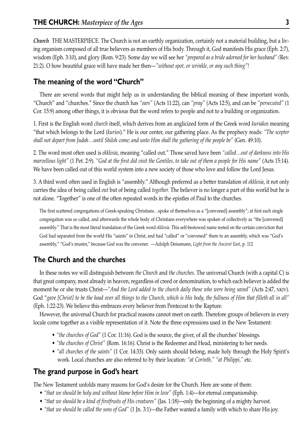*Church* THE MASTERPIECE. The Church is not an earthly organization, certainly not a material building, but a living organism composed of all true believers as members of His body. Through it, God manifests His grace (Eph. 2:7), wisdom (Eph. 3:10), and glory (Rom. 9:23). Some day we will see her *"prepared as a bride adorned for her husband" (*Rev. 21:2). O how beautiful grace will have made her then—*"without spot, or wrinkle, or any such thing"*!

## **The meaning of the word "Church"**

There are several words that might help us in understanding the biblical meaning of these important words, "Church" and "churches." Since the church has *"ears"* (Acts 11:22), can *"pray"* (Acts 12:5), and can be *"persecuted"* (1 Cor. 15:9) among other things, it is obvious that the word refers to people and not to a building or organization.

1. First is the English word *church* itself, which derives from an anglicized form of the Greek word *kuriakos* meaning "that which belongs to the Lord (*kurios*)." He is our center, our gathering place. As the prophecy reads: *"The scepter shall not depart from Judah…until Shiloh come; and unto Him shall the gathering of the people be"* (Gen. 49:10).

2. The word most often used is *ekklesia*, meaning "called out." Those saved have been *"called…out of darkness into His marvellous light"* (1 Pet. 2:9). *"God at the first did visit the Gentiles, to take out of them a people for His name"* (Acts 15:14). We have been called out of this world system into a new society of those who love and follow the Lord Jesus.

3. A third word often used in English is "assembly." Although preferred as a better translation of *ekklesia*, it not only carries the idea of being called *out* but of being called *together.* The believer is no longer a part of this world but he is not alone. "Together" is one of the often repeated words in the epistles of Paul to the churches.

The first scattered congregations of Greek-speaking Christians…spoke of themselves as a "[convened] assembly"; at first each single congregation was so called, and afterwards the whole body of Christians everywhere was spoken of collectively as "the [convened] assembly." That is the most literal translation of the Greek word *ekklesia*. This self-bestowed name rested on the certain conviction that God had separated from the world His "saints" in Christ, and had "called" or "convened" them to an assembly, which was "God's assembly," "God's muster," because God was the convener. —Adolph Deissmann, *Light from the Ancient East*, p. 112

## **The Church and the churches**

In these notes we will distinguish between *the Church* and *the churches*. The universal Church (with a capital C) is that great company, most already in heaven, regardless of creed or denomination, to which each believer is added the moment he or she trusts Christ—*"And the Lord added to the church daily those who were being saved"* (Acts 2:47, NKJV). God "*gave [Christ] to be the head over all things to the Church, which is His body, the fullness of Him that filleth all in all"* (Eph. 1:22-23). We believe this embraces every believer from Pentecost to the Rapture.

However, the universal Church for practical reasons cannot meet on earth. Therefore groups of believers in every locale come together as a visible representation of it. Note the three expressions used in the New Testament:

- *"the churches of God"* (1 Cor. 11:16). God is the source, the giver, of all the churches' blessings.
- *"the churches of Christ"* (Rom. 16:16). Christ is the Redeemer and Head, ministering to her needs.
- *"all churches of the saints"* (1 Cor. 14:33). Only saints should belong, made holy through the Holy Spirit's work. Local churches are also referred to by their location: *"at Corinth," "at Philippi,"* etc.

## **The grand purpose in God's heart**

The New Testament unfolds many reasons for God's desire for the Church. Here are some of them:

- *"that we should be holy and without blame before Him in love"* (Eph. 1:4)—for eternal companionship.
- *"that we should be a kind of firstfruits of His creatures"* (Jas. 1:18)—only the beginning of a mighty harvest.
- *"that we should be called the sons of God"* (1 Jn. 3:1)—the Father wanted a family with which to share His joy.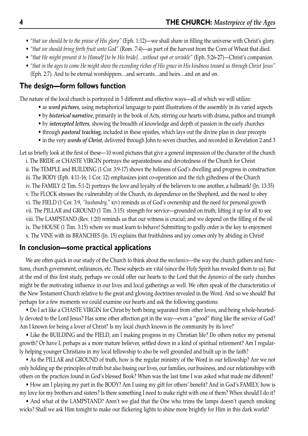- *"that we should be to the praise of His glory"* (Eph. 1:12)—we shall share in filling the universe with Christ's glory.
- *"that we should bring forth fruit unto God"* (Rom. 7:4)—as part of the harvest from the Corn of Wheat that died.
- *"that He might present it to Himself [to be His bride]…without spot or wrinkle"* (Eph. 5:26-27)—Christ's companion.
- *"that in the ages to come He might show the exceeding riches of His grace in His kindness toward us through Christ Jesus"* (Eph. 2:7). And to be eternal worshippers…and servants…and heirs…and on and on.

## **The design—form follows function**

The nature of the local church is portrayed in 5 different and effective ways—all of which we will utilize:

- as *word pictures*, using metaphorical language to paint illustrations of the assembly in its varied aspects
- by *historical narrative*, primarily in the book of Acts, stirring our hearts with drama, pathos and triumph
- by *intercepted letters*, showing the breadth of knowledge and depth of passion in the early churches
- through *pastoral teaching,* included in these epistles, which lays out the divine plan in clear precepts
- in the very *words of Christ*, delivered through John to seven churches, and recorded in Revelation 2 and 3

Let us briefly look at the first of these—10 word pictures that give a general impression of the character of the church

i. The BRIDE or CHASTE VIRGIN portrays the separatedness and devotedness of the Church for Christ ii. The TEMPLE and BUILDING (1 Cor. 3:9-17) shows the holiness of God's dwelling and progress in construction iii. The BODY (Eph. 4:11-16; 1 Cor. 12) emphasizes joint co-operation and the rich giftedness of the Church iv. The FAMILY (2 Tim. 5:1-2) portrays the love and loyalty of the believers to one another, a hallmark! (Jn. 13:35) v. The FLOCK stresses the vulnerability of the Church, its dependence on the Shepherd, and the need to obey vi. The FIELD (1 Cor. 3:9, *"husbandry,"* KJV) reminds us of God's ownership and the need for personal growth vii. The PILLAR and GROUND (1 Tim. 3:15): strength for service—grounded on truth; lifting it up for all to see viii. The LAMPSTAND (Rev. 1:20) reminds us that our witness is crucial; and we depend on the filling of the oil ix. The HOUSE (1 Tim. 3:15) where we must learn to behave! Submitting to godly order is the key to enjoyment x. The VINE with its BRANCHES (Jn. 15) explains that fruitfulness and joy comes only by abiding in Christ!

## **In conclusion—some practical applications**

We are often quick in our study of the Church to think about the *mechanics*—the way the church gathers and functions, church government, ordinances, etc. These subjects are vital (since the Holy Spirit has revealed them to us). But at the end of this first study, perhaps we could offer our hearts to the Lord that the *dynamics* of the early churches might be the motivating influence in our lives and local gatherings as well. We often speak of the characteristics of the New Testament Church relative to the great and glowing doctrines revealed in the Word. And so we should! But perhaps for a few moments we could examine our hearts and ask the following questions:

• Do I act like a CHASTE VIRGIN for Christ by both being separated from other loves, and being whole-heartedly devoted to the Lord Jesus? Has some other affection got in the way—even a "good" thing like the service of God? Am I known for being a lover of Christ? Is my local church known in the community by its love?

• Like the BUILDING and the FIELD, am I making progress in my Christian life? Do others notice my personal growth? Or have I, perhaps as a more mature believer, settled down in a kind of spiritual retirement? Am I regularly helping younger Christians in my local fellowship to also be well grounded and built up in the faith?

• As the PILLAR and GROUND of truth, how is the regular ministry of the Word in our fellowship? Are we not only holding up the principles of truth but also basing our lives, our families, our business, and our relationships with others on the practices found in God's blessed Book? When was the last time I was asked what made me different?

• How am I playing my part in the BODY? Am I using my gift for others' benefit? And in God's FAMILY, how is my love for my brothers and sisters? Is there something I need to make right with one of them? When should I do it?

• And what of the LAMPSTAND? Aren't we glad that the One who trims the lamps doesn't quench smoking wicks? Shall we ask Him tonight to make our flickering lights to shine more brightly for Him in this dark world?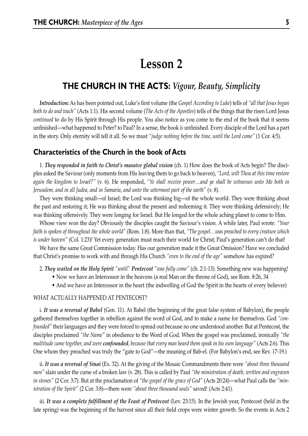## **Lesson 2**

## **THE CHURCH IN THE ACTS:** *Vigour, Beauty, Simplicity*

*Introduction:* As has been pointed out, Luke's first volume (the *Gospel According to Luke*) tells of *"all that Jesus began both to do and teach"* (Acts 1:1). His second volume (*The Acts of the Apostles*) tells of the things that the risen Lord Jesus *continued* to do by His Spirit through His people. You also notice as you come to the end of the book that it seems unfinished—what happened to Peter? to Paul? In a sense, the book *is* unfinished. Every disciple of the Lord has a part in the story. Only eternity will tell it all. So we must *"judge nothing before the time, until the Lord come"* (1 Cor. 4:5).

#### **Characteristics of the Church in the book of Acts**

1. *They responded in faith to Christ's massive global vision* (ch. 1) How does the book of Acts begin? The disciples asked the Saviour (only moments from His leaving them to go back to heaven), *"Lord, wilt Thou at this time restore again the kingdom to Israel?"* (v. 6). He responded, *"Ye shall receive power…and ye shall be witnesses unto Me both in Jerusalem, and in all Judea, and in Samaria, and unto the uttermost part of the earth"* (v. 8).

They were thinking small—of Israel; the Lord was thinking big—of the whole world. They were thinking about the past and restoring it; He was thinking about the present and redeeming it. They were thinking defensively; He was thinking offensively. They were longing for Israel. But He longed for the whole aching planet to come to Him.

Whose view won the day? Obviously the disciples caught the Saviour's vision. A while later, Paul wrote: *"Your faith is spoken of throughout the whole world"* (Rom. 1:8). More than that, *"The gospel…was preached to every creature which is under heaven"* (Col. 1:23)! Yet every generation must reach their world for Christ; Paul's generation can't do that!

We have the same Great Commission today. Has our generation made it the Great Omission? Have we concluded that Christ's promise to work with and through His Church *"even to the end of the age"* somehow has expired?

- 2. *They waited on the Holy Spirit "until" Pentecost "was fully come"* (ch. 2:1-13). Something new was happening!
	- Now we have an Intercessor in the heavens (a real Man on the throne of God), see Rom. 8:26, 34
	- And we have an Intercessor in the heart (the indwelling of God the Spirit in the hearts of every believer)

#### WHAT ACTUALLY HAPPENED AT PENTECOST?

i. *It was a reversal of Babel* (Gen. 11). At Babel (the beginning of the great false system of Babylon), the people gathered themselves together in rebellion against the word of God, and to make a name for themselves. God *"confounded"* their languages and they were forced to spread out because no one understood another. But at Pentecost, the disciples proclaimed *"the Name"* in obedience to the Word of God. When the gospel was proclaimed, ironically *"the multitude came together, and were confounded, because that every man heard them speak in his own language"* (Acts 2:6). This One whom they preached was truly the "gate to God"—the meaning of Bab-el. (For Babylon's end, see Rev. 17-19.)

ii. *It was a reversal of Sinai* (Ex. 32). At the giving of the Mosaic Commandments there were *"about three thousand men"* slain under the curse of a broken law (v. 28). This is called by Paul *"the ministration of death, written and engraven in stones"* (2 Cor. 3:7). But at the proclamation of *"the gospel of the grace of God"* (Acts 20:24)—what Paul calls the *"ministration of the Spirit"* (2 Cor. 3:8)—there were *"about three thousand souls"* saved! (Acts 2:41).

iii. It was a complete fulfillment of the Feast of Pentecost (Lev. 23:15). In the Jewish year, Pentecost (held in the late spring) was the beginning of the harvest since all their field crops were winter growth. So the events in Acts 2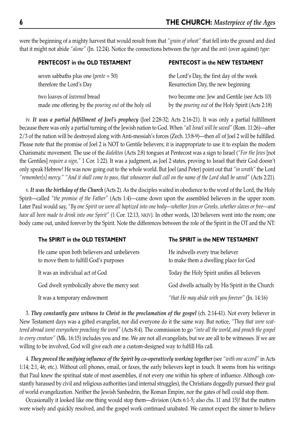were the beginning of a mighty harvest that would result from that *"grain of wheat"* that fell into the ground and died that it might not abide *"alone"* (Jn. 12:24). Notice the connections between the *type* and the *anti* (over against) *type*:

| PENTECOST in the OLD TESTAMENT                              | <b>PENTECOST in the NEW TESTAMENT</b>                    |
|-------------------------------------------------------------|----------------------------------------------------------|
| seven sabbaths plus one ( <i>pente</i> = $50$ )             | the Lord's Day, the first day of the week                |
| therefore the Lord's Day                                    | Resurrection Day, the new beginning                      |
| two loaves of <i>leavened</i> bread                         | two become one: Jew and Gentile (see Acts 10)            |
| made one offering by the <i>pouring out</i> of the holy oil | by the <i>pouring out</i> of the Holy Spirit (Acts 2:18) |

iv. *It was a partial fulfillment of Joel's prophecy* (Joel 2:28-32; Acts 2:16-21). It was only a partial fulfillment because there was only a partial turning of the Jewish nation to God. When *"all Israel will be saved"* (Rom. 11:26)—after 2/3 of the nation will be destroyed along with Anti-messiah's forces (Zech. 13:8-9)—then *all* of Joel 2 will be fulfilled. Please note that the promise of Joel 2 is NOT to Gentile believers; it is inappropriate to use it to explain the modern Charismatic movement. The use of the *dialektos* (Acts 2:8) tongues at Pentecost was a sign to Israel (*"For the Jews* [not the Gentiles] *require a sign,"* 1 Cor. 1:22). It was a judgment, as Joel 2 states, proving to Israel that their God doesn't only speak Hebrew! He was now going out to the whole world. But Joel (and Peter) point out that *"in wrath"* the Lord *"remember[s] mercy." "And it shall come to pass, that whosoever shall call on the name of the Lord shall be saved"* (Acts 2:21).

v. *It was the birthday of the Church* (Acts 2). As the disciples waited in obedience to the word of the Lord, the Holy Spirit—called *"the promise of the Father"* (Acts 1:4)—came down upon the assembled believers in the upper room. Later Paul would say, *"By one Spirit we were all baptized into one body—whether Jews or Greeks, whether slaves or free—and have all been made to drink into one Spirit"* (1 Cor. 12:13, NKJV). In other words, 120 believers went into the room; one body came out, united forever by the Spirit. Note the differences between the role of the Spirit in the OT and the NT:

| The SPIRIT in the OLD TESTAMENT                                                       | The SPIRIT in the NEW TESTAMENT                                          |
|---------------------------------------------------------------------------------------|--------------------------------------------------------------------------|
| He came upon both believers and unbelievers<br>to move them to fulfill God's purposes | He indwells every true believer<br>to make them a dwelling place for God |
| It was an individual act of God                                                       | Today the Holy Spirit unifies all believers                              |
| God dwelt symbolically above the mercy seat                                           | God dwells actually by His Spirit in the Church                          |
| It was a temporary endowment                                                          | "that He may abide with you forever" (Jn. $14:16$ )                      |

3. *They constantly gave witness to Christ in the proclamation of the gospel* (ch. 2:14-41). Not every believer in New Testament days was a gifted evangelist, nor did everyone do it the same way. But notice, *"They that were scattered abroad went everywhere preaching the word"* (Acts 8:4). The commission to go *"into all the world, and preach the gospel to every creature"* (Mk. 16:15) includes you and me. We are not all evangelists, but we are all to be witnesses. If we are willing to be involved, God will give each one a custom-designed way to fulfill His call.

4. *They proved the unifying influence of the Spirit by co-operatively working together* (see *"with one accord"* in Acts 1:14; 2:1, 46; etc.). Without cell phones, email, or faxes, the early believers kept in touch. It seems from his writings that Paul knew the spiritual state of most assemblies, if not every one within his sphere of influence. Although constantly harassed by civil and religious authorities (and internal struggles), the Christians doggedly pursued their goal of world evangelization. Neither the Jewish Sanhedrin, the Roman Empire, nor the gates of hell could stop them.

Occasionally it looked like one thing would stop them—division (Acts 6:1-5; also chs. 11 and 15)! But the matters were wisely and quickly resolved, and the gospel work continued unabated. We cannot expect the sinner to believe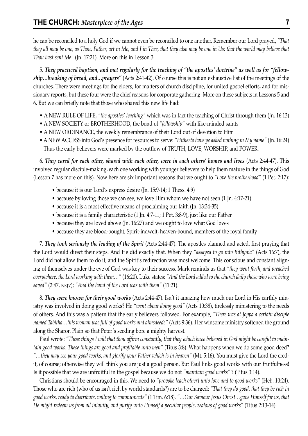he can be reconciled to a holy God if we cannot even be reconciled to one another. Remember our Lord prayed, *"That they all may be one; as Thou, Father, art in Me, and I in Thee, that they also may be one in Us: that the world may believe that Thou hast sent Me"* (Jn. 17:21). More on this in Lesson 3.

5. *They practiced baptism, and met regularly for the teaching of "the apostles' doctrine" as well as for "fellowship…breaking of bread, and…prayers"* (Acts 2:41-42). Of course this is not an exhaustive list of the meetings of the churches. There were meetings for the elders, for matters of church discipline, for united gospel efforts, and for missionary reports, but these four were the chief reasons for corporate gathering. More on these subjects in Lessons 5 and 6. But we can briefly note that those who shared this new life had:

- A NEW RULE OF LIFE, *"the apostles' teaching"* which was in fact the teaching of Christ through them (Jn. 16:13)
- A NEW SOCIETY or BROTHERHOOD, the bond of *"fellowship"* with like-minded saints
- A NEW ORDINANCE, the weekly remembrance of their Lord out of devotion to Him
- A NEW ACCESS into God's presence for resources to serve: *"Hitherto have ye asked nothing in My name"* (Jn. 16:24) Thus the early believers were marked by the outflow of TRUTH, LOVE, WORSHIP, and POWER.

6. *They cared for each other, shared with each other, were in each others' homes and lives* (Acts 2:44-47). This involved regular disciple-making, each one working with younger believers to help them mature in the things of God (Lesson 7 has more on this). Now here are six important reasons that we ought to *"Love the brotherhood"* (1 Pet. 2:17):

- because it is our Lord's express desire (Jn. 15:9-14; 1 Thess. 4:9)
- because by loving those we can see, we love Him whom we have not seen (1 Jn. 4:17-21)
- because it is a most effective means of proclaiming our faith (Jn. 13:34-35)
- because it is a family characteristic (1 Jn. 4:7-11; 1 Pet. 3:8-9), just like our Father
- because they are loved above (Jn. 16:27) and we ought to love what God loves
- because they are blood-bought, Spirit-indwelt, heaven-bound, members of the royal family

7. *They took seriously the leading of the Spirit* (Acts 2:44-47). The apostles planned and acted, first praying that the Lord would direct their steps. And He did exactly that. When they *"assayed to go into Bithynia"* (Acts 16:7), the Lord did not allow them to do it, and the Spirit's redirection was most welcome. This conscious and constant aligning of themselves under the eye of God was key to their success. Mark reminds us that *"they went forth, and preached everywhere, the Lord working with them…"* (16:20). Luke states: *"And the Lord added to the church daily those who were being saved"* (2:47, NKJV); *"And the hand of the Lord was with them"* (11:21).

8. *They were known for their good works* (Acts 2:44-47). Isn't it amazing how much our Lord in His earthly ministry was involved in doing good works? He *"went about doing good"* (Acts 10:38), tirelessly ministering to the needs of others. And this was a pattern that the early believers followed. For example, *"There was at Joppa a certain disciple named Tabitha…this woman was full of good works and almsdeeds"* (Acts 9:36). Her winsome ministry softened the ground along the Sharon Plain so that Peter's seeding bore a mighty harvest.

Paul wrote: *"These things I will that thou affirm constantly, that they which have believed in God might be careful to maintain good works. These things are good and profitable unto men"* (Titus 3:8). What happens when we do some good deed? *"…they may see your good works, and glorify your Father which is in heaven"* (Mt. 5:16). You must give the Lord the credit, of course; otherwise they will think you are just a good person. But Paul links good works with our fruitfulness! Is it possible that we are unfruitful in the gospel because we do not *"maintain good works"* ? (Titus 3:14).

Christians should be encouraged in this. We need to *"provoke [each other] unto love and to good works"* (Heb. 10:24). Those who are rich (who of us isn't rich by world standards?) are to be charged: *"That they do good, that they be rich in good works, ready to distribute, willing to communicate"* (1 Tim. 6:18). *"…Our Saviour Jesus Christ…gave Himself for us, that He might redeem us from all iniquity, and purify unto Himself a peculiar people, zealous of good works"* (Titus 2:13-14).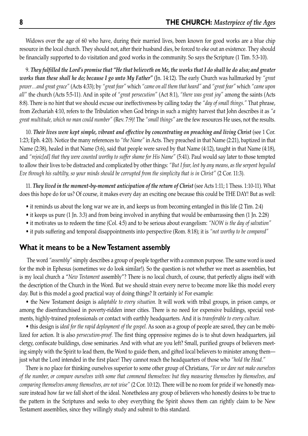Widows over the age of 60 who have, during their married lives, been known for good works are a blue chip resource in the local church. They should not, after their husband dies, be forced to eke out an existence. They should be financially supported to do visitation and good works in the community. So says the Scripture (1 Tim. 5:3-10).

9. *They fulfilled the Lord's promise that "He that believeth on Me, the works that I do shall he do also; and greater works than these shall he do; because I go unto My Father"* (Jn. 14:12). The early Church was hallmarked by *"great power…and great grace"* (Acts 4:33); by *"great fear"* which *"came on all them that heard"* and *"great fear"* which *"came upon all"* the church (Acts 5:5-11). And in spite of *"great persecution"* (Act 8:1), *"there was great joy"* among the saints (Acts 8:8). There is no hint that we should excuse our ineffectiveness by calling today the *"day of small things."* That phrase, from Zechariah 4:10, refers to the Tribulation when God brings in such a mighty harvest that John describes it as *"a great multitude, which no man could number"* (Rev. 7:9)! The *"small things"* are the few resources He uses, not the results.

10. *Their lives were kept simple, vibrant and effective by concentrating on preaching and living Christ* (see 1 Cor. 1:23; Eph. 4:20). Notice the many references to *"the Name"* in Acts. They preached in that Name (2:21), baptized in that Name (2:38), healed in that Name (3:6), said that people were saved by that Name (4:12), taught in that Name (4:18), and *"rejoic[ed] that they were counted worthy to suffer shame for His Name"* (5:41). Paul would say later to those tempted to allow their lives to be distracted and complicated by other things: *"But I fear, lest by any means, as the serpent beguiled Eve through his subtilty, so your minds should be corrupted from the simplicity that is in Christ"* (2 Cor. 11:3).

11. *They lived in the moment-by-moment anticipation of the return of Christ* (see Acts 1:11; 1 Thess. 1:10-11). What does this hope do for us? Of course, it makes every day an exciting one because this could be THE DAY! But as well:

- it reminds us about the long war we are in, and keeps us from becoming entangled in this life (2 Tim. 2:4)
- it keeps us pure (1 Jn. 3:3) and from being involved in anything that would be embarrassing then (1 Jn. 2:28)
- it motivates us to redeem the time (Col. 4:5) and to be serious about evangelism: *"NOW is the day of salvation"*
- it puts suffering and temporal disappointments into perspective (Rom. 8:18); it is *"not worthy to be compared"*

#### **What it means to be a New Testament assembly**

The word *"assembly"* simply describes a group of people together with a common purpose. The same word is used for the mob in Ephesus (sometimes we do look similar!). So the question is not whether we meet as assemblies, but is my local church a "*New Testament* assembly"? There is no local church, of course, that perfectly aligns itself with the description of the Church in the Word. But we should strain every nerve to become more like this model every day. But is this model a good practical way of doing things? It certainly is! For example:

• the New Testament design is *adaptable to every situation.* It will work with tribal groups, in prison camps, or among the disenfranchised in poverty-ridden inner cities. There is no need for expensive buildings, special vestments, highly-trained professionals or contact with earthly headquarters. And it is *transferable to every culture.*

• this design is *ideal for the rapid deployment of the gospel.* As soon as a group of people are saved, they can be mobilized for action. It is also *persecution-proof.* The first thing oppressive regimes do is to shut down headquarters, jail clergy, confiscate buildings, close seminaries. And with what are you left? Small, purified groups of believers meeting simply with the Spirit to lead them, the Word to guide them, and gifted local believers to minister among them just what the Lord intended in the first place! They cannot reach the headquarters of those who *"hold the Head."*

There is no place for thinking ourselves superior to some other group of Christians, *"For we dare not make ourselves of the number, or compare ourselves with some that commend themselves: but they measuring themselves by themselves, and comparing themselves among themselves, are not wise"* (2 Cor. 10:12). There will be no room for pride if we honestly measure instead how far we fall short of the ideal. Nonetheless any group of believers who honestly desires to be true to the pattern in the Scriptures and seeks to obey everything the Spirit shows them can rightly claim to be New Testament assemblies, since they willingly study and submit to this standard.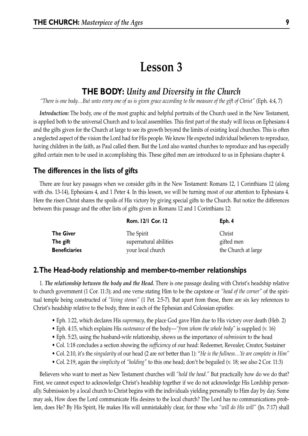## **Lesson 3**

## **THE BODY:** *Unity and Diversity in the Church*

*"There is one body…But unto every one of us is given grace according to the measure of the gift of Christ"* (Eph. 4:4, 7)

*Introduction:* The body, one of the most graphic and helpful portraits of the Church used in the New Testament, is applied both to the universal Church and to local assemblies. This first part of the study will focus on Ephesians 4 and the gifts given for the Church at large to see its growth beyond the limits of existing local churches. This is often a neglected aspect of the vision the Lord had for His people. We know He expected individual believers to reproduce, having children in the faith, as Paul called them. But the Lord also wanted churches to reproduce and has especially gifted certain men to be used in accomplishing this. These gifted men are introduced to us in Ephesians chapter 4.

#### **The differences in the lists of gifts**

There are four key passages when we consider gifts in the New Testament: Romans 12, 1 Corinthians 12 (along with chs. 13-14), Ephesians 4, and 1 Peter 4. In this lesson, we will be turning most of our attention to Ephesians 4. Here the risen Christ shares the spoils of His victory by giving special gifts to the Church. But notice the differences between this passage and the other lists of gifts given in Romans 12 and 1 Corinthians 12:

| <b>Rom. 12/1 Cor. 12</b> | Eph. 4              |
|--------------------------|---------------------|
| The Spirit               | Christ              |
| supernatural abilities   | gifted men          |
| your local church        | the Church at large |
|                          |                     |

#### **2.The Head-body relationship and member-to-member relationships**

1. *The relationship between the body and the Head.* There is one passage dealing with Christ's headship relative to church government (1 Cor. 11:3); and one verse stating Him to be the capstone or *"head of the corner"* of the spiritual temple being constructed of *"living stones"* (1 Pet. 2:5-7). But apart from these, there are six key references to Christ's headship relative to the body, three in each of the Ephesian and Colossian epistles:

- Eph. 1:22, which declares His *supremacy*, the place God gave Him due to His victory over death (Heb. 2)
- Eph. 4:15, which explains His *sustenance* of the body—*"from whom the whole body"* is supplied (v. 16)
- Eph. 5:23, using the husband-wife relationship, shows us the importance of *submission* to the head
- Col. 1:18 concludes a section showing the *sufficiency* of our head: Redeemer, Revealer, Creator, Sustainer
- Col. 2:10, it's the *singularity* of our head (2 are *not* better than 1): "*He is the fullness…Ye are complete in Him"*
- Col. 2:19, again the *simplicity* of *"holding"* to this one head; don't be beguiled (v. 18; see also 2 Cor. 11:3)

Believers who want to meet as New Testament churches will *"hold the head."* But practically how do we do that? First, we cannot expect to acknowledge Christ's headship together if we do not acknowledge His Lordship personally. Submission by a local church to Christ begins with the individuals yielding personally to Him day by day. Some may ask, How does the Lord communicate His desires to the local church? The Lord has no communications problem, does He? By His Spirit, He makes His will unmistakably clear, for those who *"will do His will"* (Jn. 7:17) shall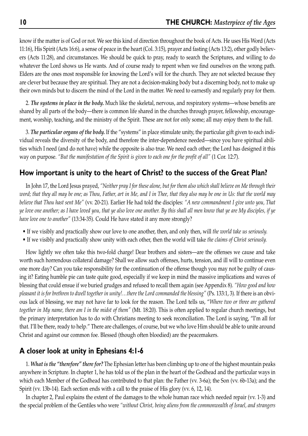know if the matter is of God or not. We see this kind of direction throughout the book of Acts. He uses His Word (Acts 11:16), His Spirit (Acts 16:6), a sense of peace in the heart (Col. 3:15), prayer and fasting (Acts 13:2), other godly believers (Acts 11:28), and circumstances. We should be quick to pray, ready to search the Scriptures, and willing to do whatever the Lord shows us He wants. And of course ready to repent when we find ourselves on the wrong path. Elders are the ones most responsible for knowing the Lord's will for the church. They are not selected because they are clever but because they are spiritual. They are not a decision-making body but a discerning body, not to make up their own minds but to discern the mind of the Lord in the matter. We need to earnestly and regularly pray for them.

2. *The systems in place in the body.* Much like the skeletal, nervous, and respiratory systems—whose benefits are shared by all parts of the body—there is common life shared in the churches through prayer, fellowship, encouragement, worship, teaching, and the ministry of the Spirit. These are not for only some; all may enjoy them to the full.

3. *The particular organs of the body.* If the "systems" in place stimulate unity, the particular gift given to each individual reveals the diversity of the body, and therefore the inter-dependence needed—since you have spiritual abilities which I need (and do not have) while the opposite is also true. We need each other; the Lord has designed it this way on purpose. *"But the manifestation of the Spirit is given to each one for the profit of all"* (1 Cor. 12:7).

#### **How important is unity to the heart of Christ? to the success of the Great Plan?**

In John 17, the Lord Jesus prayed, *"Neither pray I for these alone, but for them also which shall believe on Me through their word; that they all may be one; as Thou, Father, art in Me, and I in Thee, that they also may be one in Us: that the world may believe that Thou hast sent Me"* (vv. 20-21). Earlier He had told the disciples: *"A new commandment I give unto you, That ye love one another; as I have loved you, that ye also love one another. By this shall all men know that ye are My disciples, if ye have love one to another"* (13:34-35). Could He have stated it any more strongly?

- If we visibly and practically show our love to one another, then, and only then, will *the world take us seriously.*
- If we visibly and practically show unity with each other, then the world will take *the claims of Christ seriously.*

How lightly we often take this two-fold charge! Dear brothers and sisters—are the offenses we cause and take worth such horrendous collateral damage? Shall we allow such offenses, hurts, tension, and ill will to continue even one more day? Can you take responsibility for the continuation of the offense though you may not be guilty of causing it? Eating humble pie can taste quite good, especially if we keep in mind the massive implications and waves of blessing that could ensue if we buried grudges and refused to recall them again (see Appendix 8). *"How good and how pleasant it is for brethren to dwell together in unity!…there the Lord commanded the blessing"* (Ps. 133:1, 3). If there is an obvious lack of blessing, we may not have far to look for the reason. The Lord tells us, "*Where two or three are gathered together in My name, there am I in the midst of them"* (Mt. 18:20). This is often applied to regular church meetings, but the primary interpretation has to do with Christians meeting to seek reconciliation. The Lord is saying, "I'm all for that. I'll be there, ready to help." There are challenges, of course, but we who love Him should be able to unite around Christ and against our common foe. Blessed (though often bloodied) are the peacemakers.

#### **A closer look at unity in Ephesians 4:1-6**

1. *What is the "therefore" there for?* The Ephesian letter has been climbing up to one of the highest mountain peaks anywhere in Scripture. In chapter 1, he has told us of the plan in the heart of the Godhead and the particular ways in which each Member of the Godhead has contributed to that plan: the Father (vv. 3-6a); the Son (vv. 6b-13a); and the Spirit (vv. 13b-14). Each section ends with a call to the praise of His glory (vv. 6, 12, 14).

In chapter 2, Paul explains the extent of the damages to the whole human race which needed repair (vv. 1-3) and the special problem of the Gentiles who were *"without Christ, being aliens from the commonwealth of Israel, and strangers*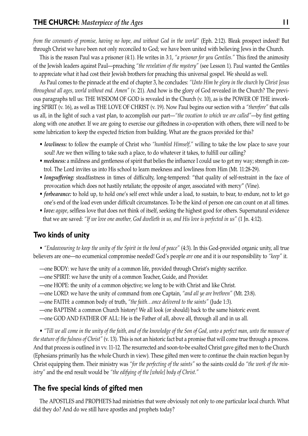*from the covenants of promise, having no hope, and without God in the world"* (Eph. 2:12). Bleak prospect indeed! But through Christ we have been not only reconciled to God; we have been united with believing Jews in the Church.

This is the reason Paul was a prisoner (4:1). He writes in 3:1, *"a prisoner for you Gentiles."* This fired the animosity of the Jewish leaders against Paul—preaching *"the revelation of the mystery"* (see Lesson 1). Paul wanted the Gentiles to appreciate what it had cost their Jewish brothers for preaching this universal gospel. We should as well.

As Paul comes to the pinnacle at the end of chapter 3, he concludes: *"Unto Him be glory in the church by Christ Jesus throughout all ages, world without end. Amen"* (v. 21). And how is the glory of God revealed in the Church? The previous paragraphs tell us: THE WISDOM OF GOD is revealed in the Church (v. 10), as is the POWER OF THE inworking SPIRIT (v. 16), as well as THE LOVE OF CHRIST (v. 19). Now Paul begins our section with a *"therefore"* that calls us all, in the light of such a vast plan, to accomplish our part—*"the vocation to which we are called"*—by first getting along with one another. If we are going to exercise our giftedness in co-operation with others, there will need to be some lubrication to keep the expected friction from building. What are the graces provided for this?

- *lowliness:* to follow the example of Christ who *"humbled Himself,"* willing to take the low place to save your soul! Are we then willing to take such a place, to do whatever it takes, to fulfill our calling?
- *meekness:* a mildness and gentleness of spirit that belies the influence I could use to get my way; strength in control. The Lord invites us into His school to learn meekness and lowliness from Him (Mt. 11:28-29).
- *longsuffering:* steadfastness in times of difficulty, long-tempered: "that quality of self-restraint in the face of provocation which does not hastily retaliate; the opposite of anger, associated with mercy" (Vine).
- *forbearance:* to hold up, to hold one's self erect while under a load, to sustain, to bear, to endure, not to let go one's end of the load even under difficult circumstances. To be the kind of person one can count on at all times.
- *love: agape*, selfless love that does not think of itself, seeking the highest good for others. Supernatural evidence that we are saved: *"If we love one another, God dwelleth in us, and His love is perfected in us"* (1 Jn. 4:12).

## **Two kinds of unity**

• *"Endeavouring to keep the unity of the Spirit in the bond of peace"* (4:3). In this God-provided organic unity, all true believers are one—no ecumenical compromise needed! God's people *are* one and it is our responsibility to *"keep"* it.

- —one BODY: we have the unity of a common life, provided through Christ's mighty sacrifice.
- —one SPIRIT: we have the unity of a common Teacher, Guide, and Provider.
- —one HOPE: the unity of a common objective; we long to be with Christ and like Christ.
- —one LORD: we have the unity of command from one Captain, *"and all ye are brethren"* (Mt. 23:8).
- —one FAITH: a common body of truth, *"the faith…once delivered to the saints"* (Jude 1:3).
- —one BAPTISM: a common Church history! We all look (or should) back to the same historic event.
- —one GOD AND FATHER OF ALL: He is the Father of all, above all, through all and in us all.

• *"Till we all come in the unity of the faith, and of the knowledge of the Son of God, unto a perfect man, unto the measure of the stature of the fulness of Christ"* (v. 13). This is not an historic fact but a promise that will come true through a process. And that process is outlined in vv. 11-12. The resurrected and soon-to-be exalted Christ gave gifted men to the Church (Ephesians primarily has the whole Church in view). These gifted men were to continue the chain reaction begun by Christ equipping them. Their ministry was *"for the perfecting of the saints"* so the saints could do *"the work of the ministry"* and the end result would be *"the edifying of the [whole] body of Christ."*

## **The five special kinds of gifted men**

The APOSTLES and PROPHETS had ministries that were obviously not only to one particular local church. What did they do? And do we still have apostles and prophets today?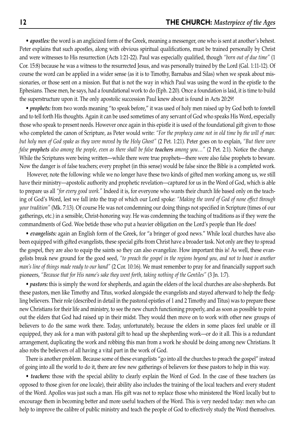• *apostles:* the word is an anglicized form of the Greek, meaning a messenger, one who is sent at another's behest. Peter explains that such apostles, along with obvious spiritual qualifications, must be trained personally by Christ and were witnesses to His resurrection (Acts 1:21-22). Paul was especially qualified, though *"born out of due time"* (1 Cor. 15:8) because he was a witness to the resurrected Jesus, and was personally trained by the Lord (Gal. 1:11-12). Of course the word can be applied in a wider sense (as it is to Timothy, Barnabas and Silas) when we speak about missionaries, or those sent on a mission. But that is not the way in which Paul was using the word in the epistle to the Ephesians. These men, he says, had a foundational work to do (Eph. 2:20). Once a foundation is laid, it is time to build the superstructure upon it. The only apostolic succession Paul knew about is found in Acts 20:29!

• *prophets:* from two words meaning "to speak before," it was used of holy men raised up by God both to foretell and to tell forth His thoughts. Again it can be used sometimes of any servant of God who speaks His Word, especially those who speak to present needs. However once again in this epistle it is used of the foundational gift given to those who completed the canon of Scripture, as Peter would write: *"For the prophecy came not in old time by the will of man: but holy men of God spake as they were moved by the Holy Ghost"* (2 Pet. 1:21). Peter goes on to explain, *"But there were false prophets also among the people, even as there shall be false teachers among you…"* (2 Pet. 2:1). Notice the change. While the Scriptures were being written—while there were true prophets—there were also false prophets to beware. Now the danger is of false teachers; every prophet (in this sense) would be false since the Bible is a completed work.

However, note the following: while we no longer have these two kinds of gifted men working among us, we still have their ministry—apostolic authority and prophetic revelation—captured for us in the Word of God, which is able to prepare us all *"for every good work."* Indeed it is, for everyone who wants their church life based only on the teaching of God's Word, lest we fall into the trap of which our Lord spoke: *"Making the word of God of none effect through your tradition"* (Mk. 7:13). Of course He was not condemning our doing things not specified in Scripture (times of our gatherings, etc.) in a sensible, Christ-honoring way. He was condemning the teaching of traditions as if they were the commandments of God. Woe betide those who put a heavier obligation on the Lord's people than He does!

• *evangelists:* again an English form of the Greek, for "a bringer of good news." While local churches have also been equipped with gifted evangelists, these special gifts from Christ have a broader task. Not only are they to spread the gospel, they are also to equip the saints so they can also evangelize. How important this is! As well, these evangelists break new ground for the good seed, *"to preach the gospel in the regions beyond you, and not to boast in another man's line of things made ready to our hand"* (2 Cor. 10:16). We must remember to pray for and financially support such pioneers, *"Because that for His name's sake they went forth, taking nothing of the Gentiles"* (3 Jn. 1:7).

• *pastors:* this is simply the word for shepherds, and again the elders of the local churches are also shepherds. But these pastors, men like Timothy and Titus, worked alongside the evangelists and stayed afterward to help the fledgling believers. Their role (described in detail in the pastoral epistles of 1 and 2 Timothy and Titus) was to prepare these new Christians for their life and ministry, to see the new church functioning properly, and as soon as possible to point out the elders that God had raised up in their midst. They would then move on to work with other new groups of believers to do the same work there. Today, unfortunately, because the elders in some places feel unable or ill equipped, they ask for a man with pastoral gift to head up the shepherding work—or do it all. This is a redundant arrangement, duplicating the work and robbing this man from a work he should be doing among new Christians. It also robs the believers of all having a vital part in the work of God.

There is another problem. Because some of these evangelists "go into all the churches to preach the gospel" instead of going into all the world to do it, there are few new gatherings of believers for these pastors to help in this way.

• *teachers:* those with the special ability to clearly explain the Word of God. In the case of these teachers (as opposed to those given for one locale), their ability also includes the training of the local teachers and every student of the Word. Apollos was just such a man. His gift was not to replace those who ministered the Word locally but to encourage them in becoming better and more useful teachers of the Word. This is very needed today: men who can help to improve the calibre of public ministry and teach the people of God to effectively study the Word themselves.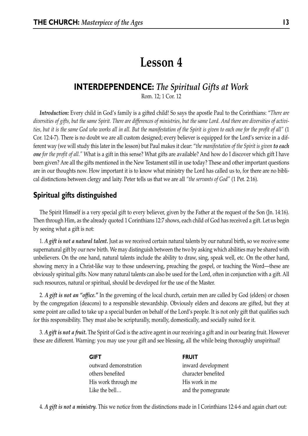# **Lesson 4**

## **INTERDEPENDENCE:** *The Spiritual Gifts at Work*

Rom. 12; 1 Cor. 12

*Introduction:* Every child in God's family is a gifted child! So says the apostle Paul to the Corinthians: "*There are diversities of gifts, but the same Spirit. There are differences of ministries, but the same Lord. And there are diversities of activities, but it is the same God who works all in all. But the manifestation of the Spirit is given to each one for the profit of all"* (1 Cor. 12:4-7). There is no doubt we are all custom designed; every believer is equipped for the Lord's service in a different way (we will study this later in the lesson) but Paul makes it clear: "*the manifestation of the Spirit is given to each one for the profit of all."* What is a gift in this sense? What gifts are available? And how do I discover which gift I have been given? Are all the gifts mentioned in the New Testament still in use today? These and other important questions are in our thoughts now. How important it is to know what ministry the Lord has called us to, for there are no biblical distinctions between clergy and laity. Peter tells us that we are all *"the servants of God"* (1 Pet. 2:16).

## **Spiritual gifts distinguished**

The Spirit Himself is a very special gift to every believer, given by the Father at the request of the Son (Jn. 14:16). Then through Him, as the already quoted 1 Corinthians 12:7 shows, each child of God has received a gift. Let us begin by seeing what a gift is not:

1. *A gift is not a natural talent.* Just as we received certain natural talents by our natural birth, so we receive some supernatural gift by our new birth. We may distinguish between the two by asking which abilities may be shared with unbelievers. On the one hand, natural talents include the ability to draw, sing, speak well, etc. On the other hand, showing mercy in a Christ-like way to those undeserving, preaching the gospel, or teaching the Word—these are obviously spiritual gifts. Now many natural talents can also be used for the Lord, often in conjunction with a gift. All such resources, natural or spiritual, should be developed for the use of the Master.

2. *A gift is not an "office."* In the governing of the local church, certain men are called by God (elders) or chosen by the congregation (deacons) to a responsible stewardship. Obviously elders and deacons are gifted, but they at some point are called to take up a special burden on behalf of the Lord's people. It is not only gift that qualifies such for this responsibility. They must also be scripturally, morally, domestically, and socially suited for it.

3. *A gift is not a fruit.* The Spirit of God is the active agent in our receiving a gift and in our bearing fruit. However these are different. Warning: you may use your gift and see blessing, all the while being thoroughly unspiritual!

| <b>GIFT</b>           | <b>FRUIT</b>        |
|-----------------------|---------------------|
| outward demonstration | inward development  |
| others benefited      | character benefited |
| His work through me   | His work in me      |
| Like the bell         | and the pomegranate |

4. *A gift is not a ministry.* This we notice from the distinctions made in I Corinthians 12:4-6 and again chart out: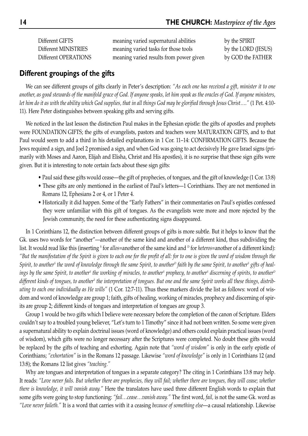Different GIFTS meaning varied supernatural abilities by the SPIRIT Different MINISTRIES meaning varied tasks for those tools by the LORD (JESUS) Different OPERATIONS meaning varied results from power given by GOD the FATHER

#### **Different groupings of the gifts**

We can see different groups of gifts clearly in Peter's description: *"As each one has received a gift, minister it to one another, as good stewards of the manifold grace of God. If anyone speaks, let him speak as the oracles of God. If anyone ministers, let him do it as with the ability which God supplies, that in all things God may be glorified through Jesus Christ…."* (1 Pet. 4:10- 11). Here Peter distinguishes between speaking gifts and serving gifts.

We noticed in the last lesson the distinction Paul makes in the Ephesian epistle: the gifts of apostles and prophets were FOUNDATION GIFTS; the gifts of evangelists, pastors and teachers were MATURATION GIFTS, and to that Paul would seem to add a third in his detailed explanations in 1 Cor. 11–14: CONFIRMATION GIFTS. Because the Jews required a sign, and Joel 2 promised a sign, and when God was going to act decisively He gave Israel signs (primarily with Moses and Aaron, Elijah and Elisha, Christ and His apostles), it is no surprise that these sign gifts were given. But it is interesting to note certain facts about these sign gifts:

- Paul said these gifts would cease—the gift of prophecies, of tongues, and the gift of knowledge (1 Cor. 13:8)
- These gifts are only mentioned in the earliest of Paul's letters—1 Corinthians. They are not mentioned in Romans 12, Ephesians 2 or 4, or 1 Peter 4.
- Historically it did happen. Some of the "Early Fathers" in their commentaries on Paul's epistles confessed they were unfamiliar with this gift of tongues. As the evangelists were more and more rejected by the Jewish community, the need for these authenticating signs disappeared.

In 1 Corinthians 12, the distinction between different groups of gifts is more subtle. But it helps to know that the Gk. uses two words for "another"—another of the same kind and another of a different kind, thus subdividing the list. It would read like this (inserting <sup>s</sup> for *allos*=another of the same kind and <sup>D</sup> for *heteros*=another of a different kind): *"But the manifestation of the Spirit is given to each one for the profit of all: for to one is given the word of wisdom through the* Spirit, to another<sup>s</sup> the word of knowledge through the same Spirit, to another<sup>D</sup> faith by the same Spirit, to another<sup>s</sup> gifts of heal*ings by the same Spirit, to another<sup>s</sup> the working of miracles, to another<sup>s</sup> prophecy, to another<sup>s</sup> discerning of spirits, to another<sup>D</sup>* different kinds of tongues, to another<sup>s</sup> the interpretation of tongues. But one and the same Spirit works all these things, distrib*uting to each one individually as He wills"* (1 Cor. 12:7-11). Thus these markers divide the list as follows: word of wisdom and word of knowledge are group 1; faith, gifts of healing, working of miracles, prophecy and discerning of spirits are group 2; different kinds of tongues and interpretation of tongues are group 3.

Group 1 would be two gifts which I believe were necessary before the completion of the canon of Scripture. Elders couldn't say to a troubled young believer, "Let's turn to 1 Timothy" since it had not been written. So some were given a supernatural ability to explain doctrinal issues (word of knowledge) and others could explain practical issues (word of wisdom), which gifts were no longer necessary after the Scriptures were completed. No doubt these gifts would be replaced by the gifts of teaching and exhorting. Again note that *"word of wisdom"* is only in the early epistle of Corinthians; *"exhortation"* is in the Romans 12 passage. Likewise *"word of knowledge"* is only in 1 Corinthians 12 (and 13:8); the Romans 12 list gives *"teaching."*

Why are tongues and interpretation of tongues in a separate category? The citing in 1 Corinthians 13:8 may help. It reads: *"Love never fails. But whether there are prophecies, they will fail; whether there are tongues, they will cease; whether there is knowledge, it will vanish away."* Here the translators have used three different English words to explain that some gifts were going to stop functioning: *"fail…cease…vanish away."* The first word, *fail,* is not the same Gk. word as *"Love never faileth."* It is a word that carries with it a ceasing *because of something else*—a causal relationship. Likewise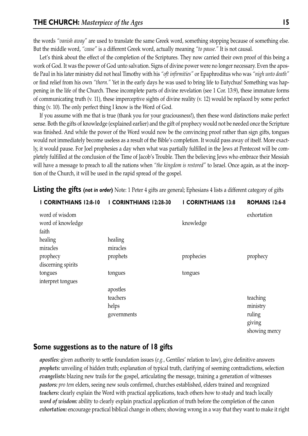the words *"vanish away"* are used to translate the same Greek word, something stopping because of something else. But the middle word, *"cease"* is a different Greek word, actually meaning *"to pause."* It is not causal.

Let's think about the effect of the completion of the Scriptures. They now carried their own proof of this being a work of God. It was the power of God unto salvation. Signs of divine power were no longer necessary. Even the apostle Paul in his later ministry did not heal Timothy with his *"oft infirmities"* or Epaphroditus who was *"nigh unto death"* or find relief from his own *"thorn."* Yet in the early days he was used to bring life to Eutychus! Something was happening in the life of the Church. These incomplete parts of divine revelation (see 1 Cor. 13:9), these immature forms of communicating truth (v. 11), these imperceptive sights of divine reality (v. 12) would be replaced by some perfect thing (v. 10). The only perfect thing I know is the Word of God.

If you assume with me that is true (thank you for your graciousness!), then these word distinctions make perfect sense. Both the gifts of knowledge (explained earlier) and the gift of prophecy would not be needed once the Scripture was finished. And while the power of the Word would now be the convincing proof rather than sign gifts, tongues would not immediately become useless as a result of the Bible's completion. It would pass away of itself. More exactly, it would pause. For Joel prophesies a day when what was partially fulfilled in the Jews at Pentecost will be completely fulfilled at the conclusion of the Time of Jacob's Trouble. Then the believing Jews who embrace their Messiah will have a message to preach to all the nations when *"the kingdom is restored"* to Israel. Once again, as at the inception of the Church, it will be used in the rapid spread of the gospel.

| I CORINTHIANS 12:8-10 | I CORINTHIANS 12:28-30 | <b>I CORINTHIANS 13:8</b> | <b>ROMANS 12:6-8</b> |
|-----------------------|------------------------|---------------------------|----------------------|
| word of wisdom        |                        |                           | exhortation          |
| word of knowledge     |                        | knowledge                 |                      |
| faith                 |                        |                           |                      |
| healing               | healing                |                           |                      |
| miracles              | miracles               |                           |                      |
| prophecy              | prophets               | prophecies                | prophecy             |
| discerning spirits    |                        |                           |                      |
| tongues               | tongues                | tongues                   |                      |
| interpret tongues     |                        |                           |                      |
|                       | apostles               |                           |                      |
|                       | teachers               |                           | teaching             |
|                       | helps                  |                           | ministry             |
|                       | governments            |                           | ruling               |
|                       |                        |                           | giving               |
|                       |                        |                           | showing mercy        |
|                       |                        |                           |                      |

**Listing the gifts (not in order)** Note: 1 Peter 4 gifts are general; Ephesians 4 lists a different category of gifts

#### **Some suggestions as to the nature of 18 gifts**

*apostles:* given authority to settle foundation issues (*e.g.,* Gentiles' relation to law), give definitive answers *prophets:* unveiling of hidden truth; explanation of typical truth, clarifying of seeming contradictions, selection *evangelists:* blazing new trails for the gospel, articulating the message, training a generation of witnesses *pastors: pro tem* elders, seeing new souls confirmed, churches established, elders trained and recognized *teachers:* clearly explain the Word with practical applications, teach others how to study and teach locally *word of wisdom:* ability to clearly explain practical application of truth before the completion of the canon *exhortation:* encourage practical biblical change in others; showing wrong in a way that they want to make it right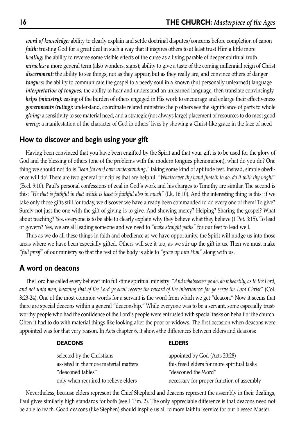*word of knowledge:* ability to clearly explain and settle doctrinal disputes/concerns before completion of canon *faith:* trusting God for a great deal in such a way that it inspires others to at least trust Him a little more *healing:* the ability to reverse some visible effects of the curse as a living parable of deeper spiritual truth *miracles:* a more general term (also wonders, signs); ability to give a taste of the coming millennial reign of Christ *discernment:* the ability to see things, not as they appear, but as they really are, and convince others of danger *tongues:* the ability to communicate the gospel to a needy soul in a known (but personally unlearned) language *interpretation of tongues:* the ability to hear and understand an unlearned language, then translate convincingly *helps (ministry):* easing of the burden of others engaged in His work to encourage and enlarge their effectiveness *governments (ruling):* understand, coordinate related ministries; help others see the significance of parts to whole *giving:* a sensitivity to see material need, and a strategic (not always large) placement of resources to do most good *mercy:* a manifestation of the character of God in others' lives by showing a Christ-like grace in the face of need

#### **How to discover and begin using your gift**

Having been convinced that you have been engifted by the Spirit and that your gift is to be used for the glory of God and the blessing of others (one of the problems with the modern tongues phenomenon), what do you do? One thing we should not do is *"lean [to our] own understanding,"* taking some kind of aptitude test. Instead, simple obedience will do! There are two general principles that are helpful: *"Whatsoever thy hand findeth to do, do it with thy might"* (Eccl. 9:10). Paul's personal confessions of zeal in God's work and his charges to Timothy are similar. The second is this: *"He that is faithful in that which is least is faithful also in much"* (Lk. 16:10). And the interesting thing is this: if we take only those gifts still for today, we discover we have already been commanded to do every one of them! To give? Surely not just the one with the gift of giving is to give. And showing mercy? Helping? Sharing the gospel? What about teaching? Yes, everyone is to be able to clearly explain why they believe what they believe (1 Pet. 3:15). To lead or govern? Yes, we are all leading someone and we need to *"make straight paths"* for our feet to lead well.

Thus as we do all these things in faith and obedience as we have opportunity, the Spirit will nudge us into those areas where we have been especially gifted. Others will see it too, as we stir up the gift in us. Then we must make *"full proof"* of our ministry so that the rest of the body is able to *"grow up into Him"* along with us.

#### **A word on deacons**

The Lord has called every believer into full-time spiritual ministry: *"And whatsoever ye do, do it heartily, as to the Lord, and not unto men; knowing that of the Lord ye shall receive the reward of the inheritance: for ye serve the Lord Christ"* (Col. 3:23-24). One of the most common words for a servant is the word from which we get "deacon." Now it seems that there are special deacons within a general "deaconship." While everyone was to be a servant, some especially trustworthy people who had the confidence of the Lord's people were entrusted with special tasks on behalf of the church. Often it had to do with material things like looking after the poor or widows. The first occasion when deacons were appointed was for that very reason. In Acts chapter 6, it shows the differences between elders and deacons:

| <b>DEACONS</b>                                                      | <b>ELDERS</b>                                                               |
|---------------------------------------------------------------------|-----------------------------------------------------------------------------|
| selected by the Christians<br>assisted in the more material matters | appointed by God (Acts 20:28)<br>this freed elders for more spiritual tasks |
| "deaconed tables"                                                   | "deaconed the Word"                                                         |
| only when required to relieve elders                                | necessary for proper function of assembly                                   |

Nevertheless, because elders represent the Chief Shepherd and deacons represent the assembly in their dealings, Paul gives similarly high standards for both (see 1 Tim. 2). The only appreciable difference is that deacons need not be able to teach. Good deacons (like Stephen) should inspire us all to more faithful service for our blessed Master.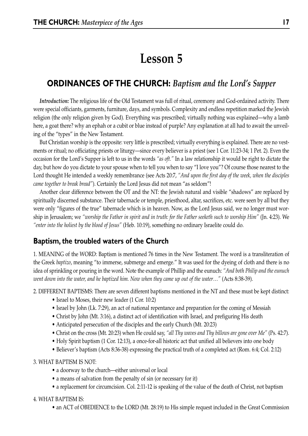# **Lesson 5**

## **ORDINANCES OF THE CHURCH:** *Baptism and the Lord's Supper*

*Introduction:* The religious life of the Old Testament was full of ritual, ceremony and God-ordained activity. There were special officiants, garments, furniture, days, and symbols. Complexity and endless repetition marked the Jewish religion (the only religion given by God). Everything was prescribed; virtually nothing was explained—why a lamb here, a goat there? why an ephah or a cubit or blue instead of purple? Any explanation at all had to await the unveiling of the "types" in the New Testament.

But Christian worship is the opposite: very little is prescribed; virtually everything is explained. There are no vestments or ritual; no officiating priests or liturgy—since every believer is a priest (see 1 Cor. 11:23-34; 1 Pet. 2). Even the occasion for the Lord's Supper is left to us in the words *"as oft."* In a law relationship it would be right to dictate the day, but how do you dictate to your spouse when to tell you when to say "I love you"? Of course those nearest to the Lord thought He intended a weekly remembrance (see Acts 20:7, *"And upon the first day of the week, when the disciples came together to break bread"*). Certainly the Lord Jesus did not mean "as seldom"!

Another clear difference between the OT and the NT: the Jewish natural and visible "shadows" are replaced by spiritually discerned substance. Their tabernacle or temple, priesthood, altar, sacrifices, etc. were seen by all but they were only "figures of the true" tabernacle which is in heaven. Now, as the Lord Jesus said, we no longer must worship in Jerusalem; we *"worship the Father in spirit and in truth: for the Father seeketh such to worship Him"* (Jn. 4:23). We *"enter into the holiest by the blood of Jesus"* (Heb. 10:19), something no ordinary Israelite could do.

#### **Baptism, the troubled waters of the Church**

1. MEANING of the WORD: Baptism is mentioned 76 times in the New Testament. The word is a transliteration of the Greek *baptizo*, meaning "to immerse, submerge and emerge." It was used for the dyeing of cloth and there is no idea of sprinkling or pouring in the word. Note the example of Phillip and the eunuch: *"And both Philip and the eunuch went down into the water, and he baptized him. Now when they came up out of the water…"* (Acts 8:38-39).

2. DIFFERENT BAPTISMS: There are seven different baptisms mentioned in the NT and these must be kept distinct:

- Israel to Moses, their new leader (1 Cor. 10:2)
- Israel by John (Lk. 7:29), an act of national repentance and preparation for the coming of Messiah
- Christ by John (Mt. 3:16), a distinct act of identification with Israel, and prefiguring His death
- Anticipated persecution of the disciples and the early Church (Mt. 20:23)
- Christ on the cross (Mt. 20:23) when He could say, *"all Thy waves and Thy billows are gone over Me"* (Ps. 42:7).
- Holy Spirit baptism (1 Cor. 12:13), a once-for-all historic act that unified all believers into one body
- Believer's baptism (Acts 8:36-38) expressing the practical truth of a completed act (Rom. 6:4; Col. 2:12)

3. WHAT BAPTISM IS NOT:

- a doorway to the church—either universal or local
- a means of salvation from the penalty of sin (or necessary for it)
- a replacement for circumcision. Col. 2:11-12 is speaking of the value of the death of Christ, not baptism

#### 4. WHAT BAPTISM IS:

• an ACT of OBEDIENCE to the LORD (Mt. 28:19) to His simple request included in the Great Commission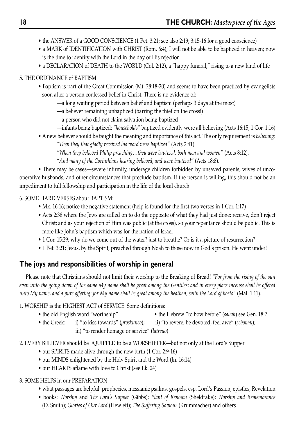- the ANSWER of a GOOD CONSCIENCE (1 Pet. 3:21; see also 2:19; 3:15-16 for a good conscience)
- a MARK of IDENTIFICATION with CHRIST (Rom. 6:4); I will not be able to be baptized in heaven; now is the time to identify with the Lord in the day of His rejection
- a DECLARATION of DEATH to the WORLD (Col. 2:12), a "happy funeral," rising to a new kind of life

#### 5. THE ORDINANCE of BAPTISM:

- Baptism is part of the Great Commission (Mt. 28:18-20) and seems to have been practiced by evangelists soon after a person confessed belief in Christ. There is no evidence of:
	- —a long waiting period between belief and baptism (perhaps 3 days at the most)
	- —a believer remaining unbaptized (barring the thief on the cross!)
	- —a person who did not claim salvation being baptized
	- —infants being baptized; *"households"* baptized evidently were all believing (Acts 16:15; 1 Cor. 1:16)
- A new believer should be taught the meaning and importance of this act. The only requirement is *believing*:

*"Then they that gladly received his word were baptized"* (Acts 2:41).

*"When they believed Philip preaching…they were baptized, both men and women"* (Acts 8:12). *"And many of the Corinthians hearing believed, and were baptized"* (Acts 18:8).

• There may be cases—severe infirmity, underage children forbidden by unsaved parents, wives of uncooperative husbands, and other circumstances that preclude baptism. If the person is willing, this should not be an impediment to full fellowship and participation in the life of the local church.

6. SOME HARD VERSES about BAPTISM:

- Mk. 16:16; notice the negative statement (help is found for the first two verses in 1 Cor. 1:17)
- Acts 2:38 where the Jews are called on to do the opposite of what they had just done: receive, don't reject Christ; and as your rejection of Him was public (at the cross), so your repentance should be public. This is more like John's baptism which was for the nation of Israel
- 1 Cor. 15:29; why do we come out of the water? just to breathe? Or is it a picture of resurrection?
- 1 Pet. 3:21; Jesus, by the Spirit, preached through Noah to those now in God's prison. He went under!

## **The joys and responsibilities of worship in general**

Please note that Christians should not limit their worship to the Breaking of Bread! *"For from the rising of the sun even unto the going down of the same My name shall be great among the Gentiles; and in every place incense shall be offered unto My name, and a pure offering: for My name shall be great among the heathen, saith the Lord of hosts"* (Mal. 1:11).

#### 1. WORSHIP is the HIGHEST ACT of SERVICE: Some definitions:

- the old English word "worthship" the Hebrew "to bow before" (*sahah*) see Gen. 18:2
- the Greek: i) "to kiss towards" (*proskuneo*); ii) "to revere, be devoted, feel awe" (*sebomai*); iii) "to render homage or service" (*latreuo*)

2. EVERY BELIEVER should be EQUIPPED to be a WORSHIPPER—but not only at the Lord's Supper

- our SPIRITS made alive through the new birth (1 Cor. 2:9-16)
- our MINDS enlightened by the Holy Spirit and the Word (Jn. 16:14)
- our HEARTS aflame with love to Christ (see Lk. 24)

## 3. SOME HELPS in our PREPARATION

- what passages are helpful: prophecies, messianic psalms, gospels, esp. Lord's Passion, epistles, Revelation
- books: *Worship* and *The Lord's Supper* (Gibbs); *Plant of Renown* (Sheldrake); *Worship and Remembrance* (D. Smith); *Glories of Our Lord* (Hewlett); *The Suffering Saviour* (Krummacher) and others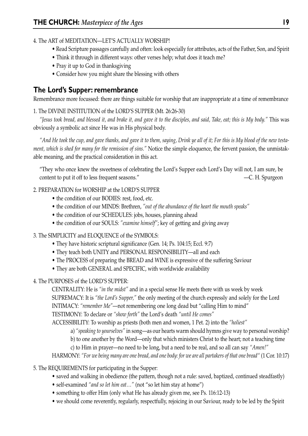4. The ART of MEDITATION—LET'S ACTUALLY WORSHIP!

- Read Scripture passages carefully and often: look especially for attributes, acts of the Father, Son, and Spirit
- Think it through in different ways: other verses help; what does it teach me?
- Pray it up to God in thanksgiving
- Consider how you might share the blessing with others

## **The Lord's Supper: remembrance**

Remembrance more focussed: there are things suitable for worship that are inappropriate at a time of remembrance

#### 1. The DIVINE INSTITUTION of the LORD'S SUPPER (Mt. 26:26-30)

*"Jesus took bread, and blessed it, and brake it, and gave it to the disciples, and said, Take, eat; this is My body."* This was obviously a symbolic act since He was in His physical body.

*"And He took the cup, and gave thanks, and gave it to them, saying, Drink ye all of it; For this is My blood of the new testament, which is shed for many for the remission of sins."* Notice the simple eloquence, the fervent passion, the unmistakable meaning, and the practical consideration in this act.

"They who once knew the sweetness of celebrating the Lord's Supper each Lord's Day will not, I am sure, be content to put it off to less frequent seasons." —C. H. Spurgeon

#### 2. PREPARATION for WORSHIP at the LORD'S SUPPER

- the condition of our BODIES: rest, food, etc.
- the condition of our MINDS: Brethren, *"out of the abundance of the heart the mouth speaks"*
- the condition of our SCHEDULES: jobs, houses, planning ahead
- the condition of our SOULS: *"examine himself"*; key of getting and giving away
- 3. The SIMPLICITY and ELOQUENCE of the SYMBOLS:
	- They have historic scriptural significance (Gen. 14; Ps. 104:15; Eccl. 9:7)
	- They teach both UNITY and PERSONAL RESPONSIBILITY—all and each
	- The PROCESS of preparing the BREAD and WINE is expressive of the suffering Saviour
	- They are both GENERAL and SPECIFIC, with worldwide availability
- 4. The PURPOSES of the LORD'S SUPPER:

CENTRALITY: He is *"in the midst"* and in a special sense He meets there with us week by week SUPREMACY: It is *"the Lord's Supper,"* the only meeting of the church expressly and solely for the Lord INTIMACY: *"remember Me"*—not remembering one long dead but "calling Him to mind"

TESTIMONY: To declare or *"show forth"* the Lord's death *"until He comes"*

ACCESSIBILITY: To worship as priests (both men and women, 1 Pet. 2) into the *"holiest"*

- a) *"speaking to yourselves"* in song—as our hearts warm should hymns give way to personal worship?
- b) to one another by the Word—only that which ministers Christ to the heart; not a teaching time
- c) to Him in prayer—no need to be long, but a need to be real, and so all can say *"Amen!"*

HARMONY: *"For we being many are one bread, and one body: for we are all partakers of that one bread"* (1 Cor. 10:17)

- 5. The REQUIREMENTS for participating in the Supper:
	- saved and walking in obedience (the pattern, though not a rule: saved, baptized, continued steadfastly)
	- self-examined *"and so let him eat…"* (not "so let him stay at home")
	- something to offer Him (only what He has already given me, see Ps. 116:12-13)
	- we should come reverently, regularly, respectfully, rejoicing in our Saviour, ready to be led by the Spirit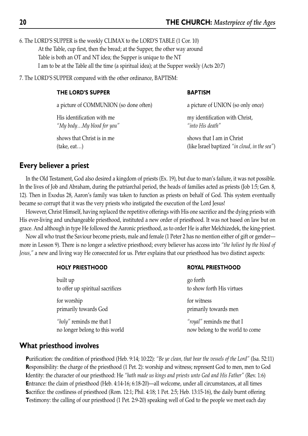6. The LORD'S SUPPER is the weekly CLIMAX to the LORD'S TABLE (1 Cor. 10) At the Table, cup first, then the bread; at the Supper, the other way around Table is both an OT and NT idea; the Supper is unique to the NT I am to be at the Table all the time (a spiritual idea); at the Supper weekly (Acts 20:7)

7. The LORD'S SUPPER compared with the other ordinance, BAPTISM:

#### THE LORD'S SUPPER BAPTISM

a picture of COMMUNION (so done often) a picture of UNION (so only once)

*"My body…My blood for you" "into His death"*

shows that Christ is in me shows that I am in Christ

His identification with me my identification with Christ,

(take, eat…) (like Israel baptized *"in cloud, in the sea"*)

#### **Every believer a priest**

In the Old Testament, God also desired a kingdom of priests (Ex. 19), but due to man's failure, it was not possible. In the lives of Job and Abraham, during the patriarchal period, the heads of families acted as priests (Job 1:5; Gen. 8, 12). Then in Exodus 28, Aaron's family was taken to function as priests on behalf of God. This system eventually became so corrupt that it was the very priests who instigated the execution of the Lord Jesus!

However, Christ Himself, having replaced the repetitive offerings with His one sacrifice and the dying priests with His ever-living and unchangeable priesthood, instituted a new order of priesthood. It was not based on law but on grace. And although in type He followed the Aaronic priesthood, as to order He is after Melchizedek, the king-priest.

Now all who trust the Saviour become priests, male and female (1 Peter 2 has no mention either of gift or gender more in Lesson 9). There is no longer a selective priesthood; every believer has access into *"the holiest by the blood of Jesus,"* a new and living way He consecrated for us. Peter explains that our priesthood has two distinct aspects:

| <b>HOLY PRIESTHOOD</b>                                         | <b>ROYAL PRIESTHOOD</b>                                      |
|----------------------------------------------------------------|--------------------------------------------------------------|
| built up<br>to offer up spiritual sacrifices                   | go forth<br>to show forth His virtues                        |
| for worship<br>primarily towards God                           | for witness<br>primarily towards men                         |
| " $holy$ " reminds me that I<br>no longer belong to this world | "royal" reminds me that I<br>now belong to the world to come |
|                                                                |                                                              |

## **What priesthood involves**

**P**urification: the condition of priesthood (Heb. 9:14; 10:22): *"Be ye clean, that bear the vessels of the Lord"* (Isa. 52:11) **R**esponsibility: the charge of the priesthood (1 Pet. 2): worship and witness; represent God to men, men to God **I**dentity: the character of our priesthood: He *"hath made us kings and priests unto God and His Father"* (Rev. 1:6) **E**ntrance: the claim of priesthood (Heb. 4:14-16; 6:18-20)—all welcome, under all circumstances, at all times **S**acrifice: the costliness of priesthood (Rom. 12:1; Phil. 4:18; 1 Pet. 2:5; Heb. 13:15-16), the daily burnt offering **T**estimony: the calling of our priesthood (1 Pet. 2:9-20) speaking well of God to the people we meet each day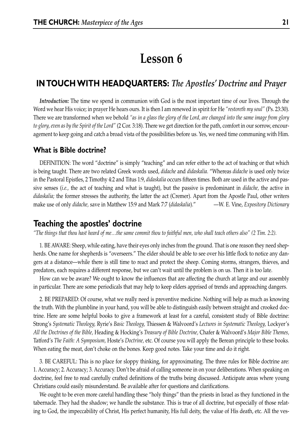## **Lesson 6**

## **IN TOUCH WITH HEADQUARTERS:** *The Apostles' Doctrine and Prayer*

*Introduction:* The time we spend in communion with God is the most important time of our lives. Through the Word we hear His voice; in prayer He hears ours. It is then I am renewed in spirit for He *"restoreth my soul"* (Ps. 23:30). There we are transformed when we behold *"as in a glass the glory of the Lord, are changed into the same image from glory to glory, even as by the Spirit of the Lord"* (2 Cor. 3:18). There we get direction for the path, comfort in our sorrow, encouragement to keep going and catch a broad vista of the possibilities before us. Yes, we need time communing with Him.

#### **What is Bible doctrine?**

DEFINITION: The word "doctrine" is simply "teaching" and can refer either to the act of teaching or that which is being taught. There are two related Greek words used, *didache* and *didaskalia.* "Whereas *didache* is used only twice in the Pastoral Epistles, 2 Timothy 4:2 and Titus 1:9, *didaskalia* occurs fifteen times. Both are used in the active and passive senses (*i.e.,* the act of teaching and what is taught), but the passive is predominant in *didache,* the active in *didaskalia;* the former stresses the authority, the latter the act (Cremer). Apart from the Apostle Paul, other writers make use of only *didache,* save in Matthew 15:9 and Mark 7:7 (*didaskalia*)." —W. E. Vine, *Expository Dictionary*

## **Teaching the apostles' doctrine**

*"The things that thou hast heard of me…the same commit thou to faithful men, who shall teach others also" (2 Tim. 2:2).*

1. BE AWARE: Sheep, while eating, have their eyes only inches from the ground. That is one reason they need shepherds. One name for shepherds is "overseers." The elder should be able to see over his little flock to notice any dangers at a distance—while there is still time to react and protect the sheep. Coming storms, strangers, thieves, and predators, each requires a different response, but we can't wait until the problem is on us. Then it is too late.

How can we be aware? We ought to know the influences that are affecting the church at large and our assembly in particular. There are some periodicals that may help to keep elders apprised of trends and approaching dangers.

2. BE PREPARED: Of course, what we really need is preventive medicine. Nothing will help as much as knowing the truth. With the plumbline in your hand, you will be able to distinguish easily between straight and crooked doctrine. Here are some helpful books to give a framework at least for a careful, consistent study of Bible doctrine: Strong's *Systematic Theology,* Ryrie's *Basic Theology,* Thiessen & Walvoord's *Lectures in Systematic Theology,* Lockyer's *All the Doctrines of the Bible,* Heading & Hocking's *Treasury of Bible Doctrine,* Chafer & Walvoord's *Major Bible Themes,* Tatford's *The Faith: A Symposium,* Hoste's *Doctrine,* etc. Of course you will apply the Berean principle to these books. When eating the meat, don't choke on the bones. Keep good notes. Take your time and do it right.

3. BE CAREFUL: This is no place for sloppy thinking, for approximating. The three rules for Bible doctrine are: 1. Accuracy; 2. Accuracy; 3. Accuracy. Don't be afraid of calling someone in on your deliberations. When speaking on doctrine, feel free to read carefully crafted definitions of the truths being discussed. Anticipate areas where young Christians could easily misunderstand. Be available after for questions and clarifications.

We ought to be even more careful handling these "holy things" than the priests in Israel as they functioned in the tabernacle. They had the shadow; we handle the substance. This is true of all doctrine, but especially of those relating to God, the impeccability of Christ, His perfect humanity, His full deity, the value of His death, etc. All the ves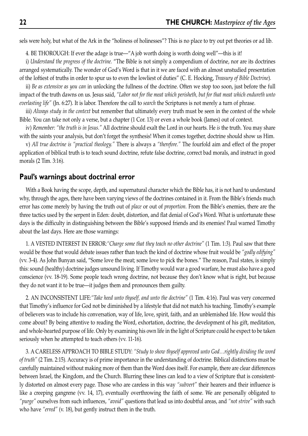sels were holy, but what of the Ark in the "holiness of holinesses"? This is no place to try out pet theories or ad lib.

4. BE THOROUGH: If ever the adage is true—"A job worth doing is worth doing well"—this is it!

i) *Understand the progress of the doctrine.* "The Bible is not simply a compendium of doctrine, nor are its doctrines arranged systematically. The wonder of God's Word is that in it we are faced with an almost unstudied presentation of the loftiest of truths in order to spur us to even the lowliest of duties" (C. E. Hocking, *Treasury of Bible Doctrine*).

ii) *Be as extensive as you can* in unlocking the fullness of the doctrine. Often we stop too soon, just before the full impact of the truth dawns on us. Jesus said, *"Labor not for the meat which perisheth, but for that meat which endureth unto everlasting life"* (Jn. 6:27). It is labor. Therefore the call to *search* the Scriptures is not merely a turn of phrase.

iii) *Always study in the context* but remember that ultimately every truth must be seen in the context of the whole Bible. You can take not only a verse, but a chapter (1 Cor. 13) or even a whole book (James) out of context.

iv) *Remember: "the truth is in Jesus."* All doctrine should exalt the Lord in our hearts. He *is* the truth. You may share with the saints your analysis, but don't forget the synthesis! When it comes together, doctrine should show us Him.

v) *All true doctrine is "practical theology."* There is always a *"therefore."* The fourfold aim and effect of the proper application of biblical truth is to teach sound doctrine, refute false doctrine, correct bad morals, and instruct in good morals (2 Tim. 3:16).

#### **Paul's warnings about doctrinal error**

With a Book having the scope, depth, and supernatural character which the Bible has, it is not hard to understand why, through the ages, there have been varying views of the doctrines contained in it. From the Bible's friends much error has come merely by having the truth out of *place* or out of *proportion.* From the Bible's enemies, there are the three tactics used by the serpent in Eden: doubt, distortion, and flat denial of God's Word. What is unfortunate these days is the difficulty in distinguishing between the Bible's supposed friends and its enemies! Paul warned Timothy about the last days. Here are those warnings:

1. A VESTED INTEREST IN ERROR:*"Charge some that they teach no other doctrine"* (1 Tim. 1:3). Paul saw that there would be those that would debate issues rather than teach the kind of doctrine whose fruit would be *"godly edifying"* (vv. 3-4). As John Bunyan said, "Some love the meat; some love to pick the bones." The reason, Paul states, is simply this: sound (healthy) doctrine judges unsound living. If Timothy would war a good warfare, he must also have a good conscience (vv. 18-19). Some people teach wrong doctrine, not because they don't know what is right, but because they do not want it to be true—it judges them and pronounces them guilty.

2. AN INCONSISTENT LIFE:*"Take heed unto thyself, and unto the doctrine"* (1 Tim. 4:16). Paul was very concerned that Timothy's influence for God not be diminished by a lifestyle that did not match his teaching. Timothy's example of believers was to include his conversation, way of life, love, spirit, faith, and an unblemished life. How would this come about? By being attentive to reading the Word, exhortation, doctrine, the development of his gift, meditation, and whole-hearted purpose of life. Only by examining his own life in the light of Scripture could he expect to be taken seriously when he attempted to teach others (vv. 11-16).

3. A CARELESS APPROACH TO BIBLE STUDY: *"Study to show thyself approved unto God…rightly dividing the word of truth"* (2 Tim. 2:15). Accuracy is of prime importance in the understanding of doctrine. Biblical distinctions must be carefully maintained without making more of them than the Word does itself. For example, there are clear differences between Israel, the Kingdom, and the Church. Blurring these lines can lead to a view of Scripture that is consistently distorted on almost every page. Those who are careless in this way *"subvert"* their hearers and their influence is like a creeping gangrene (vv. 14, 17), eventually overthrowing the faith of some. We are personally obligated to *"purge"* ourselves from such influences, *"avoid"* questions that lead us into doubtful areas, and *"not strive"* with such who have *"erred"* (v. 18), but gently instruct them in the truth.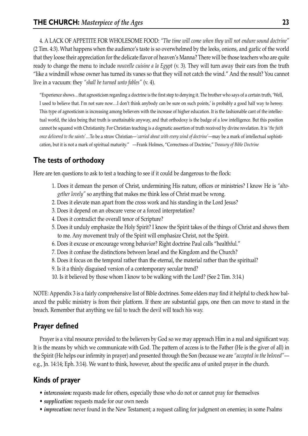4. A LACK OF APPETITE FOR WHOLESOME FOOD: *"The time will come when they will not endure sound doctrine"* (2 Tim. 4:3). What happens when the audience's taste is so overwhelmed by the leeks, onions, and garlic of the world that they loose their appreciation for the delicate flavor of heaven's Manna? There will be those teachers who are quite ready to change the menu to include *nouvelle cuisine a la Egypt* (v. 3). They will turn away their ears from the truth "like a windmill whose owner has turned its vanes so that they will not catch the wind." And the result? You cannot live in a vacuum: they *"shall be turned unto fables"* (v. 4).

"Experience shows…that agnosticism regarding a doctrine is the first step to denying it. The brother who says of a certain truth, 'Well, I used to believe that. I'm not sure now…I don't think anybody can be sure on such points,' is probably a good half way to heresy. This type of agnosticism is increasing among believers with the increase of higher education. It is the fashionable cant of the intellectual world, the idea being that truth is unattainable anyway, and that orthodoxy is the badge of a low intelligence. But this position cannot be squared with Christianity. For Christian teaching is a dogmatic assertion of truth received by divine revelation. It is *'the faith once delivered to the saints'*…To be a straw Christian—*'carried about with every wind of doctrine'*—may be a mark of intellectual sophistication, but it is not a mark of spiritual maturity." —Frank Holmes, "Correctness of Doctrine," *Treasury of Bible Doctrine*

## **The tests of orthodoxy**

Here are ten questions to ask to test a teaching to see if it could be dangerous to the flock:

- 1. Does it demean the person of Christ, undermining His nature, offices or ministries? I know He is *"altogether lovely"* so anything that makes me think less of Christ must be wrong.
- 2. Does it elevate man apart from the cross work and his standing in the Lord Jesus?
- 3. Does it depend on an obscure verse or a forced interpretation?
- 4. Does it contradict the overall tenor of Scripture?
- 5. Does it unduly emphasize the Holy Spirit? I know the Spirit takes of the things of Christ and shows them to me. Any movement truly of the Spirit will emphasize Christ, not the Spirit.
- 6. Does it excuse or encourage wrong behavior? Right doctrine Paul calls "healthful."
- 7. Does it confuse the distinctions between Israel and the Kingdom and the Church?
- 8. Does it focus on the temporal rather than the eternal, the material rather than the spiritual?
- 9. Is it a thinly disguised version of a contemporary secular trend?
- 10. Is it believed by those whom I know to be walking with the Lord? (See 2 Tim. 3:14.)

NOTE: Appendix 3 is a fairly comprehensive list of Bible doctrines. Some elders may find it helpful to check how balanced the public ministry is from their platform. If there are substantial gaps, one then can move to stand in the breach. Remember that anything we fail to teach the devil will teach his way.

## **Prayer defined**

Prayer is a vital resource provided to the believers by God so we may approach Him in a real and significant way. It is the means by which we communicate with God. The pattern of access is to the Father (He is the giver of all) in the Spirit (He helps our infirmity in prayer) and presented through the Son (because we are *"accepted in the beloved"* e.g., Jn. 14:14; Eph. 3:14). We want to think, however, about the specific area of united prayer in the church.

## **Kinds of prayer**

- *intercession:* requests made for others, especially those who do not or cannot pray for themselves
- *supplication:* requests made for our own needs
- *imprecation:* never found in the New Testament; a request calling for judgment on enemies; in some Psalms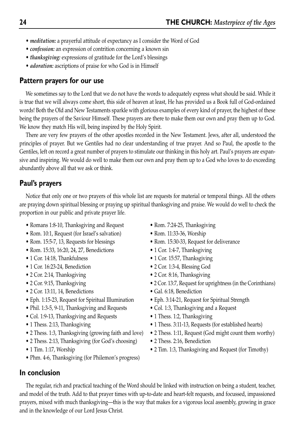- *meditation:* a prayerful attitude of expectancy as I consider the Word of God
- *confession:* an expression of contrition concerning a known sin
- *thanksgiving:* expressions of gratitude for the Lord's blessings
- *adoration:* ascriptions of praise for who God is in Himself

#### **Pattern prayers for our use**

We sometimes say to the Lord that we do not have the words to adequately express what should be said. While it is true that we will always come short, this side of heaven at least, He has provided us a Book full of God-ordained words! Both the Old and New Testaments sparkle with glorious examples of every kind of prayer, the highest of these being the prayers of the Saviour Himself. These prayers are there to make them our own and pray them up to God. We know they match His will, being inspired by the Holy Spirit.

There are very few prayers of the other apostles recorded in the New Testament. Jews, after all, understood the principles of prayer. But we Gentiles had no clear understanding of true prayer. And so Paul, the apostle to the Gentiles, left on record a great number of prayers to stimulate our thinking in this holy art. Paul's prayers are expansive and inspiring. We would do well to make them our own and pray them up to a God who loves to do exceeding abundantly above all that we ask or think.

## **Paul's prayers**

Notice that only one or two prayers of this whole list are requests for material or temporal things. All the others are praying down spiritual blessing or praying up spiritual thanksgiving and praise. We would do well to check the proportion in our public and private prayer life.

- Romans 1:8-10, Thanksgiving and Request Rom. 7:24-25, Thanksgiving
- Rom. 10:1, Request (for Israel's salvation) Rom. 11:33-36, Worship
- 
- Rom. 15:33, 16:20, 24, 27, Benedictions 1 Cor. 1:4-7, Thanksgiving
- 
- 1 Cor. 16:23-24, Benediction 2 Cor. 1:3-4, Blessing God
- 
- 
- 2 Cor. 13:11, 14, Benedictions Gal. 6:18, Benediction
- Eph. 1:15-23, Request for Spiritual Illumination Eph. 3:14-21, Request for Spiritual Strength
- Phil. 1:3-5, 9-11, Thanksgiving and Requests Col. 1:3, Thanksgiving and a Request
- Col. 1:9-13, Thanksgiving and Requests 1 Thess. 1:2, Thanksgiving
- 
- 
- 2 Thess. 2:13, Thanksgiving (for God's choosing) 2 Thess. 2:16, Benediction
- 
- Phm. 4-6, Thanksgiving (for Philemon's progress)

## **In conclusion**

- 
- Rom. 15:5-7, 13, Requests for blessings Rom. 15:30-33, Request for deliverance
	-
- 1 Cor. 14:18, Thankfulness 1 Cor. 15:57, Thanksgiving
	-
- 2 Cor. 2:14, Thanksgiving 2 Cor. 8:16, Thanksgiving
- 2 Cor. 9:15, Thanksgiving 2 Cor. 13:7, Request for uprightness (in the Corinthians)
	-
	-
	-
	-
- 1 Thess. 2:13, Thanksgiving 1 Thess. 3:11-13, Requests (for established hearts)
- 2 Thess. 1:3, Thanksgiving (growing faith and love) 2 Thess. 1:11, Request (God might count them worthy)
	-
- 1 Tim. 1:17, Worship 2 Tim. 1:3, Thanksgiving and Request (for Timothy)

The regular, rich and practical teaching of the Word should be linked with instruction on being a student, teacher, and model of the truth. Add to that prayer times with up-to-date and heart-felt requests, and focussed, impassioned prayers, mixed with much thanksgiving—this is the way that makes for a vigorous local assembly, growing in grace and in the knowledge of our Lord Jesus Christ.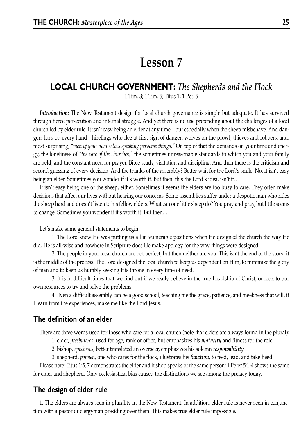## **Lesson 7**

## **LOCAL CHURCH GOVERNMENT:** *The Shepherds and the Flock*

1 Tim. 3; 1 Tim. 5; Titus 1; 1 Pet. 5

*Introduction:* The New Testament design for local church governance is simple but adequate. It has survived through fierce persecution and internal struggle. And yet there is no use pretending about the challenges of a local church led by elder rule. It isn't easy being an elder at any time—but especially when the sheep misbehave. And dangers lurk on every hand—hirelings who flee at first sign of danger; wolves on the prowl; thieves and robbers; and, most surprising, *"men of your own selves speaking perverse things."* On top of that the demands on your time and energy, the loneliness of *"the care of the churches,"* the sometimes unreasonable standards to which you and your family are held, and the constant need for prayer, Bible study, visitation and discipling. And then there is the criticism and second guessing of every decision. And the thanks of the assembly? Better wait for the Lord's smile. No, it isn't easy being an elder. Sometimes you wonder if it's worth it. But then, this the Lord's idea, isn't it…

It isn't easy being one of the sheep, either. Sometimes it seems the elders are too busy to care. They often make decisions that affect our lives without hearing our concerns. Some assemblies suffer under a despotic man who rides the sheep hard and doesn't listen to his fellow elders. What can one little sheep do? You pray and pray, but little seems to change. Sometimes you wonder if it's worth it. But then…

Let's make some general statements to begin:

1. The Lord knew He was putting us all in vulnerable positions when He designed the church the way He did. He is all-wise and nowhere in Scripture does He make apology for the way things were designed.

2. The people in your local church are not perfect, but then neither are you. This isn't the end of the story; it is the middle of the process. The Lord designed the local church to keep us dependent on Him, to minimize the glory of man and to keep us humbly seeking His throne in every time of need.

3. It is in difficult times that we find out if we really believe in the true Headship of Christ, or look to our own resources to try and solve the problems.

4. Even a difficult assembly can be a good school, teaching me the grace, patience, and meekness that will, if I learn from the experiences, make me like the Lord Jesus.

#### **The definition of an elder**

There are three words used for those who care for a local church (note that elders are always found in the plural):

1. elder, *presbuteros,* used for age, rank or office, but emphasizes his *maturity* and fitness for the role

2. bishop, *episkopos,* better translated an overseer, emphasizes his solemn *responsibility*

3. shepherd, *poimen,* one who cares for the flock, illustrates his *function*, to feed, lead, and take heed

Please note: Titus 1:5, 7 demonstrates the elder and bishop speaks of the same person; 1 Peter 5:1-4 shows the same for elder and shepherd. Only ecclesiastical bias caused the distinctions we see among the prelacy today.

#### **The design of elder rule**

1. The elders are always seen in plurality in the New Testament. In addition, elder rule is never seen in conjunction with a pastor or clergyman presiding over them. This makes true elder rule impossible.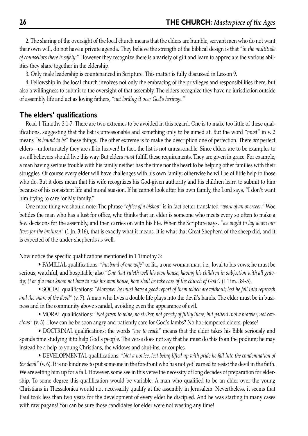2. The sharing of the oversight of the local church means that the elders are humble, servant men who do not want their own will, do not have a private agenda. They believe the strength of the biblical design is that *"in the multitude of counsellors there is safety."* However they recognize there is a variety of gift and learn to appreciate the various abilities they share together in the eldership.

3. Only male leadership is countenanced in Scripture. This matter is fully discussed in Lesson 9.

4. Fellowship in the local church involves not only the embracing of the privileges and responsibilities there, but also a willingness to submit to the oversight of that assembly. The elders recognize they have no jurisdiction outside of assembly life and act as loving fathers, *"not lording it over God's heritage."*

#### **The elders' qualifications**

Read 1 Timothy 3:1-7. There are two extremes to be avoided in this regard. One is to make too little of these qualifications, suggesting that the list is unreasonable and something only to be aimed at. But the word *"must"* in v. 2 means *"is bound to be"* these things. The other extreme is to make the description one of perfection. There *are* perfect elders—unfortunately they are all in heaven! In fact, the list is not unreasonable. Since elders are to be examples to us, all believers should live this way. But elders *must* fulfill these requirements. They are given in grace. For example, a man having serious trouble with his family neither has the time nor the heart to be helping other families with their struggles. Of course every elder will have challenges with his own family; otherwise he will be of little help to those who do. But it does mean that his wife recognizes his God-given authority and his children learn to submit to him because of his consistent life and moral suasion. If he cannot look after his own family, the Lord says, "I don't want him trying to care for My family."

One more thing we should note: The phrase *"office of a bishop"* is in fact better translated *"work of an overseer."* Woe betides the man who has a lust for office, who thinks that an elder is someone who meets every so often to make a few decisions for the assembly, and then carries on with his life. When the Scripture says, *"we ought to lay down our lives for the brethren"* (1 Jn. 3:16), that is exactly what it means. It is what that Great Shepherd of the sheep did, and it is expected of the under-shepherds as well.

Now notice the specific qualifications mentioned in 1 Timothy 3:

• FAMILIAL qualifications: *"husband of one wife"* or lit., a one-woman man, i.e., loyal to his vows; he must be serious, watchful, and hospitable; also *"One that ruleth well his own house, having his children in subjection with all gravity; (For if a man know not how to rule his own house, how shall he take care of the church of God?)* (1 Tim. 3:4-5).

• SOCIAL qualifications: *"Moreover he must have a good report of them which are without; lest he fall into reproach and the snare of the devil"* (v. 7). A man who lives a double life plays into the devil's hands. The elder must be in business and in the community above scandal, avoiding even the appearance of evil.

• MORAL qualifications: *"Not given to wine, no striker, not greedy of filthy lucre; but patient, not a brawler, not covetous"* (v. 3). How can he be soon angry and patiently care for God's lambs? No hot-tempered elders, please!

• DOCTRINAL qualifications: the words *"apt to teach"* means that the elder takes his Bible seriously and spends time studying it to help God's people. The verse does not say that he must do this from the podium; he may instead be a help to young Christians, the widows and shut-ins, or couples.

• DEVELOPMENTAL qualifications: *"Not a novice, lest being lifted up with pride he fall into the condemnation of the devil"* (v. 6). It is no kindness to put someone in the forefront who has not yet learned to resist the devil in the faith. We are setting him up for a fall. However, some see in this verse the necessity of long decades of preparation for eldership. To some degree this qualification would be variable. A man who qualified to be an elder over the young Christians in Thessalonica would not necessarily qualify at the assembly in Jerusalem. Nevertheless, it seems that Paul took less than two years for the development of every elder he discipled. And he was starting in many cases with raw pagans! You can be sure those candidates for elder were not wasting any time!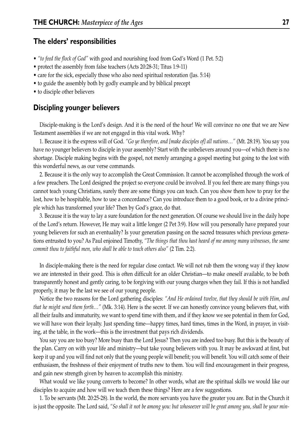#### **The elders' responsibilities**

- *"to feed the flock of God"* with good and nourishing food from God's Word (1 Pet. 5:2)
- protect the assembly from false teachers (Acts 20:28-31; Titus 1:9-11)
- care for the sick, especially those who also need spiritual restoration (Jas. 5:14)
- to guide the assembly both by godly example and by biblical precept
- to disciple other believers

#### **Discipling younger believers**

Disciple-making is the Lord's design. And it is the need of the hour! We will convince no one that we are New Testament assemblies if we are not engaged in this vital work. Why?

1. Because it is the express will of God. *"Go ye therefore, and [make disciples of] all nations…"* (Mt. 28:19). You say you have no younger believers to disciple in your assembly? Start with the unbelievers around you—of which there is no shortage. Disciple making begins with the gospel, not merely arranging a gospel meeting but going to the lost with this wonderful news, as our verse commands.

2. Because it is the only way to accomplish the Great Commission. It cannot be accomplished through the work of a few preachers. The Lord designed the project so everyone could be involved. If you feel there are many things you cannot teach young Christians, surely there are some things you can teach. Can you show them how to pray for the lost, how to be hospitable, how to use a concordance? Can you introduce them to a good book, or to a divine principle which has transformed your life? Then by God's grace, do that.

3. Because it is the way to lay a sure foundation for the next generation. Of course we should live in the daily hope of the Lord's return. However, He may wait a little longer (2 Pet 3:9). How will you personally have prepared your young believers for such an eventuality? Is your generation passing on the sacred treasures which previous generations entrusted to you? As Paul enjoined Timothy, *"The things that thou hast heard of me among many witnesses, the same commit thou to faithful men, who shall be able to teach others also"* (2 Tim. 2:2).

In disciple-making there is the need for regular close contact. We will not rub them the wrong way if they know we are interested in their good. This is often difficult for an older Christian—to make oneself available, to be both transparently honest and gently caring, to be forgiving with our young charges when they fail. If this is not handled properly, it may be the last we see of our young people.

Notice the two reasons for the Lord gathering disciples: *"And He ordained twelve, that they should be with Him, and that he might send them forth…"* (Mk. 3:14). Here is the secret. If we can honestly convince young believers that, with all their faults and immaturity, we want to spend time with them, and if they know we see potential in them for God, we will have won their loyalty. Just spending time—happy times, hard times, times in the Word, in prayer, in visiting, at the table, in the work—this is the investment that pays rich dividends.

You say you are too busy? More busy than the Lord Jesus? Then you are indeed too busy. But this is the beauty of the plan. Carry on with your life and ministry—but take young believers with you. It may be awkward at first, but keep it up and you will find not only that the young people will benefit; you will benefit. You will catch some of their enthusiasm, the freshness of their enjoyment of truths new to them. You will find encouragement in their progress, and gain new strength given by heaven to accomplish this ministry.

What would we like young converts to become? In other words, what are the spiritual skills we would like our disciples to acquire and how will we teach them these things? Here are a few suggestions.

1. To be servants (Mt. 20:25-28). In the world, the more servants you have the greater you are. But in the Church it is just the opposite. The Lord said, *"So shall it not be among you: but whosoever will be great among you, shall be your min-*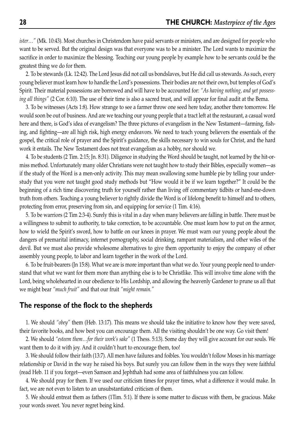*ister…"* (Mk. 10:43). Most churches in Christendom have paid servants or ministers, and are designed for people who want to be served. But the original design was that everyone was to be a minister. The Lord wants to maximize the sacrifice in order to maximize the blessing. Teaching our young people by example how to be servants could be the greatest thing we do for them.

2. To be stewards (Lk. 12:42). The Lord Jesus did not call us bondslaves, but He did call us stewards. As such, every young believer must learn how to handle the Lord's possessions. Their bodies are not their own, but temples of God's Spirit. Their material possessions are borrowed and will have to be accounted for: *"As having nothing, and yet possessing all things"* (2 Cor. 6:10). The use of their time is also a sacred trust, and will appear for final audit at the Bema.

3. To be witnesses (Acts 1:8). How strange to see a farmer throw one seed here today, another there tomorrow. He would soon be out of business. And are we teaching our young people that a tract left at the restaurant, a casual word here and there, is God's idea of evangelism? The three pictures of evangelism in the New Testament—farming, fishing, and fighting—are all high risk, high energy endeavors. We need to teach young believers the essentials of the gospel, the critical role of prayer and the Spirit's guidance, the skills necessary to win souls for Christ, and the hard work it entails. The New Testament does not treat evangelism as a hobby, nor should we.

4. To be students (2 Tim. 2:15; Jn. 8:31). Diligence in studying the Word should be taught, not learned by the hit-ormiss method. Unfortunately many older Christians were not taught how to study their Bibles, especially women—as if the study of the Word is a men-only activity. This may mean swallowing some humble pie by telling your understudy that you were not taught good study methods but "How would it be if we learn together?" It could be the beginning of a rich time discovering truth for yourself rather than living off commentary tidbits or hand-me-down truth from others. Teaching a young believer to rightly divide the Word is of lifelong benefit to himself and to others, protecting from error, preserving from sin, and equipping for service (1 Tim. 4:16).

5. To be warriors (2 Tim 2:3-4). Surely this is vital in a day when many believers are falling in battle. There must be a willingness to submit to authority, to take correction, to be accountable. One must learn how to put on the armor, how to wield the Spirit's sword, how to battle on our knees in prayer. We must warn our young people about the dangers of premarital intimacy, internet pornography, social drinking, rampant materialism, and other wiles of the devil. But we must also provide wholesome alternatives to give them opportunity to enjoy the company of other assembly young people, to labor and learn together in the work of the Lord.

6. To be fruit-bearers (Jn 15:8). What we are is more important than what we do. Your young people need to understand that what we want for them more than anything else is to be Christlike. This will involve time alone with the Lord, being wholehearted in our obedience to His Lordship, and allowing the heavenly Gardener to prune us all that we might bear *"much fruit"* and that our fruit *"might remain."*

#### **The response of the flock to the shepherds**

1. We should *"obey"* them (Heb. 13:17). This means we should take the initiative to know how they were saved, their favorite books, and how best you can encourage them. All the visiting shouldn't be one way. Go visit them!

2. We should *"esteem them…for their work's sake"* (1 Thess. 5:13). Some day they will give account for our souls. We want them to do it with joy. And it couldn't hurt to encourage them, too!

3. We should follow their faith (13:7). All men have failures and foibles. You wouldn't follow Moses in his marriage relationship or David in the way he raised his boys. But surely you can follow them in the ways they were faithful (read Heb. 11 if you forget—even Samson and Jephthah had some area of faithfulness you can follow.

4. We should pray for them. If we used our criticism times for prayer times, what a difference it would make. In fact, we are not even to listen to an unsubstantiated criticism of them.

5. We should entreat them as fathers (1Tim. 5:1). If there is some matter to discuss with them, be gracious. Make your words sweet. You never regret being kind.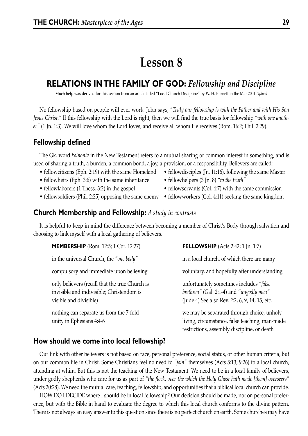## **Lesson 8**

## **RELATIONS IN THE FAMILY OF GOD:** *Fellowship and Discipline*

Much help was derived for this section from an article titled "Local Church Discipline" by W. H. Burnett in the Mar 2001 *Uplook*

No fellowship based on people will ever work. John says, *"Truly our fellowship is with the Father and with His Son Jesus Christ."* If this fellowship with the Lord is right, then we will find the true basis for fellowship *"with one another"* (1 Jn. 1:3). We will love whom the Lord loves, and receive all whom He receives (Rom. 16:2; Phil. 2:29).

#### **Fellowship defined**

The Gk. word *koinonia* in the New Testament refers to a mutual sharing or common interest in something, and is used of sharing a truth, a burden, a common bond, a joy, a provision, or a responsibility. Believers are called:

- fellowcitizens (Eph. 2:19) with the same Homeland fellowdisciples (Jn. 11:16), following the same Master
- fellowheirs (Eph. 3:6) with the same inheritance fellowhelpers (3 Jn. 8) "to the truth"
- 
- 
- 
- 
- fellowlaborers (1 Thess. 3:2) in the gospel fellowservants (Col. 4:7) with the same commission
- fellowsoldiers (Phil. 2:25) opposing the same enemy fellowworkers (Col. 4:11) seeking the same kingdom

#### **Church Membership and Fellowship:** *A study in contrasts*

It is helpful to keep in mind the difference between becoming a member of Christ's Body through salvation and choosing to link myself with a local gathering of believers.

| <b>MEMBERSHIP</b> (Rom. 12:5; 1 Cor. 12:27)                                                                           | <b>FELLOWSHIP</b> (Acts 2:42; 1 Jn. 1:7)                                                                                                    |
|-----------------------------------------------------------------------------------------------------------------------|---------------------------------------------------------------------------------------------------------------------------------------------|
| in the universal Church, the "one body"                                                                               | in a local church, of which there are many                                                                                                  |
| compulsory and immediate upon believing                                                                               | voluntary, and hopefully after understanding                                                                                                |
| only believers (recall that the true Church is<br>invisible and indivisible; Christendom is<br>visible and divisible) | unfortunately sometimes includes "false"<br>brethren" (Gal. 2:1-4) and "ungodly men"<br>(Jude 4) See also Rev. 2:2, 6, 9, 14, 15, etc.      |
| nothing can separate us from the 7-fold<br>unity in Ephesians 4:4-6                                                   | we may be separated through choice, unholy<br>living, circumstance, false teaching, man-made<br>restrictions, assembly discipline, or death |

#### **How should we come into local fellowship?**

Our link with other believers is not based on race, personal preference, social status, or other human criteria, but on our common life in Christ. Some Christians feel no need to *"join"* themselves (Acts 5:13; 9:26) to a local church, attending at whim. But this is not the teaching of the New Testament. We need to be in a local family of believers, under godly shepherds who care for us as part of *"the flock, over the which the Holy Ghost hath made [them] overseers"* (Acts 20:28). We need the mutual care, teaching, fellowship, and opportunities that a biblical local church can provide.

HOW DO I DECIDE where I should be in local fellowship? Our decision should be made, not on personal preference, but with the Bible in hand to evaluate the degree to which this local church conforms to the divine pattern. There is not always an easy answer to this question since there is no perfect church on earth. Some churches may have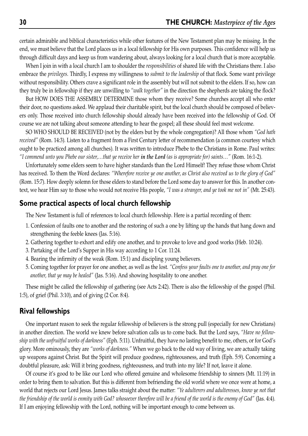certain admirable and biblical characteristics while other features of the New Testament plan may be missing. In the end, we must believe that the Lord places us in a local fellowship for His own purposes. This confidence will help us through difficult days and keep us from wandering about, always looking for a local church that is more acceptable.

When I join in with a local church I am to shoulder the *responsibilities* of shared life with the Christians there. I also embrace the *privileges.* Thirdly, I express my willingness to *submit to the leadership* of that flock. Some want privilege without responsibility. Others crave a significant role in the assembly but will not submit to the elders. If so, how can they truly be in fellowship if they are unwilling to *"walk together"* in the direction the shepherds are taking the flock?

But HOW DOES THE ASSEMBLY DETERMINE those whom they receive? Some churches accept all who enter their door, no questions asked. We applaud their charitable spirit, but the local church should be composed of believers only. Those received into church fellowship should already have been received into the fellowship of God. Of course we are not talking about someone attending to hear the gospel; all these should feel most welcome.

SO WHO SHOULD BE RECEIVED (not by the elders but by the whole congregation)? All those whom *"God hath received"* (Rom. 14:3). Listen to a fragment from a First Century letter of recommendation (a common courtesy which ought to be practiced among all churches). It was written to introduce Phebe to the Christians in Rome. Paul writes: *"I commend unto you Phebe our sister,…that ye receive her in the Lord (as is appropriate for) saints…"* (Rom. 16:1-2).

Unfortunately some elders seem to have higher standards than the Lord Himself! They refuse those whom Christ has received. To them the Word declares: *"Wherefore receive ye one another, as Christ also received us to the glory of God"* (Rom. 15:7). How deeply solemn for those elders to stand before the Lord some day to answer for this. In another context, we hear Him say to those who would not receive His people, *"I was a stranger, and ye took me not in"* (Mt. 25:43).

#### **Some practical aspects of local church fellowship**

The New Testament is full of references to local church fellowship. Here is a partial recording of them:

- 1. Confession of faults one to another and the restoring of such a one by lifting up the hands that hang down and strengthening the feeble knees (Jas. 5:16).
- 2. Gathering together to exhort and edify one another, and to provoke to love and good works (Heb. 10:24).
- 3. Partaking of the Lord's Supper in His way according to 1 Cor. 11:24.
- 4. Bearing the infirmity of the weak (Rom. 15:1) and discipling young believers.
- 5. Coming together for prayer for one another, as well as the lost. *"Confess your faults one to another, and pray one for another, that ye may be healed"* (Jas. 5:16). And showing hospitality to one another.

These might be called the fellowship of gathering (see Acts 2:42). There is also the fellowship of the gospel (Phil. 1:5), of grief (Phil. 3:10), and of giving (2 Cor. 8:4).

#### **Rival fellowships**

One important reason to seek the regular fellowship of believers is the strong pull (especially for new Christians) in another direction. The world we knew before salvation calls us to come back. But the Lord says, *"Have no fellowship with the unfruitful works of darkness"* (Eph. 5:11). Unfruitful, they have no lasting benefit to me, others, or for God's glory. More ominously, they are *"works of darkness."* When we go back to the old way of living, we are actually taking up weapons against Christ. But the Spirit will produce goodness, righteousness, and truth (Eph. 5:9). Concerning a doubtful pleasure, ask: Will it bring goodness, righteousness, and truth into my life? If not, leave it alone.

Of course it's good to be like our Lord who offered genuine and wholesome friendship to sinners (Mt. 11:19) in order to bring them to salvation. But this is different from befriending the old world where we once were at home, a world that rejects our Lord Jesus. James talks straight about the matter: *"Ye adulterers and adulteresses, know ye not that the friendship of the world is enmity with God? whosoever therefore will be a friend of the world is the enemy of God"* (Jas. 4:4). If I am enjoying fellowship with the Lord, nothing will be important enough to come between us.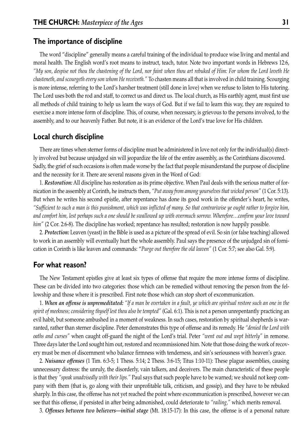#### **The importance of discipline**

The word "discipline" generally means a careful training of the individual to produce wise living and mental and moral health. The English word's root means to instruct, teach, tutor. Note two important words in Hebrews 12:6, *"My son, despise not thou the chastening of the Lord, nor faint when thou art rebuked of Him: For whom the Lord loveth He chasteneth, and scourgeth every son whom He receiveth."* To chasten means all that is involved in child training. Scourging is more intense, referring to the Lord's harsher treatment (still done in love) when we refuse to listen to His tutoring. The Lord uses both the rod and staff, to correct us and direct us. The local church, as His earthly agent, must first use all methods of child training to help us learn the ways of God. But if we fail to learn this way, they are required to exercise a more intense form of discipline. This, of course, when necessary, is grievous to the persons involved, to the assembly, and to our heavenly Father. But note, it is an evidence of the Lord's true love for His children.

#### **Local church discipline**

There are times when sterner forms of discipline must be administered in love not only for the individual(s) directly involved but because unjudged sin will jeopardize the life of the entire assembly, as the Corinthians discovered. Sadly, the grief of such occasions is often made worse by the fact that people misunderstand the purpose of discipline and the necessity for it. There are several reasons given in the Word of God:

1. *Restoration:* All discipline has restoration as its prime objective. When Paul deals with the serious matter of fornication in the assembly at Corinth, he instructs them, *"Put away from among yourselves that wicked person"* (1 Cor. 5:13). But when he writes his second epistle, after repentance has done its good work in the offender's heart, he writes, *"Sufficient to such a man is this punishment, which was inflicted of many. So that contrariwise ye ought rather to forgive him, and comfort him, lest perhaps such a one should be swallowed up with overmuch sorrow. Wherefore…confirm your love toward him"* (2 Cor. 2:6-8). The discipline has worked; repentance has resulted; restoration is now happily possible.

2. *Protection:* Leaven (yeast) in the Bible is used as a picture of the spread of evil. So sin (or false teaching) allowed to work in an assembly will eventually hurt the whole assembly. Paul says the presence of the unjudged sin of fornication in Corinth is like leaven and commands: "*Purge out therefore the old leaven"* (1 Cor. 5:7; see also Gal. 5:9).

#### **For what reason?**

The New Testament epistles give at least six types of offense that require the more intense forms of discipline. These can be divided into two categories: those which can be remedied without removing the person from the fellowship and those where it is prescribed. First note those which can stop short of excommunication.

1. *When an offense is unpremeditated: "If a man be overtaken in a fault, ye which are spiritual restore such an one in the spirit of meekness; considering thyself lest thou also be tempted"* (Gal. 6:1). This is not a person unrepentantly practicing an evil habit, but someone ambushed in a moment of weakness. In such cases, restoration by spiritual shepherds is warranted, rather than sterner discipline. Peter demonstrates this type of offense and its remedy. He *"denied the Lord with oaths and curses"* when caught off-guard the night of the Lord's trial. Peter *"went out and wept bitterly"* in remorse. Three days later the Lord sought him out, restored and recommissioned him. Note that those doing the work of recovery must be men of discernment who balance firmness with tenderness, and sin's seriousness with heaven's grace.

2. *Nuisance offenses* (1 Tim. 6:3-5; 1 Thess. 5:14; 2 Thess. 3:6-15; Titus 1:10-11): These plague assemblies, causing unnecessary distress: the unruly, the disorderly, vain talkers, and deceivers. The main characteristic of these people is that they *"speak unadvisedly with their lips."* Paul says that such people have to be warned; we should not keep company with them (that is, go along with their unprofitable talk, criticism, and gossip), and they have to be rebuked sharply. In this case, the offense has not yet reached the point where excommunication is prescribed, however we can see that this offense, if persisted in after being admonished, could deteriorate to *"railing,"* which merits removal.

3. *Offenses between two believers—initial stage* (Mt. 18:15-17): In this case, the offense is of a personal nature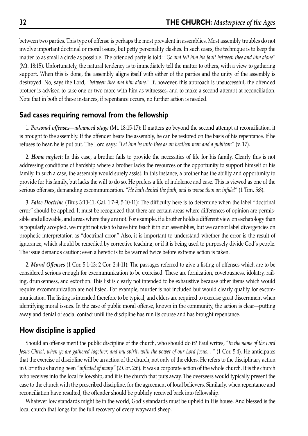between two parties. This type of offense is perhaps the most prevalent in assemblies. Most assembly troubles do not involve important doctrinal or moral issues, but petty personality clashes. In such cases, the technique is to keep the matter to as small a circle as possible. The offended party is told: *"Go and tell him his fault between thee and him alone"* (Mt. 18:15). Unfortunately, the natural tendency is to immediately tell the matter to others, with a view to gathering support. When this is done, the assembly aligns itself with either of the parties and the unity of the assembly is destroyed. No, says the Lord, *"between thee and him alone."* If, however, this approach is unsuccessful, the offended brother is advised to take one or two more with him as witnesses, and to make a second attempt at reconciliation. Note that in both of these instances, if repentance occurs, no further action is needed.

#### **Sad cases requiring removal from the fellowship**

1. *Personal offenses—advanced stage* (Mt. 18:15-17): If matters go beyond the second attempt at reconciliation, it is brought to the assembly. If the offender hears the assembly, he can be restored on the basis of his repentance. If he refuses to hear, he is put out. The Lord says: *"Let him be unto thee as an heathen man and a publican"* (v. 17).

2. *Home neglect*: In this case, a brother fails to provide the necessities of life for his family. Clearly this is not addressing conditions of hardship where a brother lacks the resources or the opportunity to support himself or his family. In such a case, the assembly would surely assist. In this instance, a brother has the ability and opportunity to provide for his family, but lacks the will to do so. He prefers a life of indolence and ease. This is viewed as one of the serious offenses, demanding excommunication. *"He hath denied the faith, and is worse than an infidel"* (1 Tim. 5:8).

3. *False Doctrine* (Titus 3:10-11; Gal. 1:7-9; 5:10-11): The difficulty here is to determine when the label "doctrinal error" should be applied. It must be recognized that there are certain areas where differences of opinion are permissible and allowable, and areas where they are not. For example, if a brother holds a different view on eschatology than is popularly accepted, we might not wish to have him teach it in our assemblies, but we cannot label divergencies on prophetic interpretation as "doctrinal error." Also, it is important to understand whether the error is the result of ignorance, which should be remedied by corrective teaching, or if it is being used to purposely divide God's people. The issue demands caution; even a heretic is to be warned twice before extreme action is taken.

2. *Moral Offenses* (1 Cor. 5:1-13; 2 Cor. 2:4-11): The passages referred to give a listing of offenses which are to be considered serious enough for excommunication to be exercised. These are fornication, covetousness, idolatry, railing, drunkenness, and extortion. This list is clearly not intended to be exhaustive because other items which would require excommunication are not listed. For example, murder is not included but would clearly qualify for excommunication. The listing is intended therefore to be typical, and elders are required to exercise great discernment when identifying moral issues. In the case of public moral offense, known in the community, the action is clear—putting away and denial of social contact until the discipline has run its course and has brought repentance.

#### **How discipline is applied**

Should an offense merit the public discipline of the church, who should do it? Paul writes, *"In the name of the Lord Jesus Christ, when ye are gathered together, and my spirit, with the power of our Lord Jesus... "* (1 Cor. 5:4). He anticipates that the exercise of discipline will be an action of the church, not only of the elders. He refers to the disciplinary action in Corinth as having been *"inflicted of many"* (2 Cor. 2:6). It was a corporate action of the whole church. It is the church who receives into the local fellowship, and it is the church that puts away. The overseers would typically present the case to the church with the prescribed discipline, for the agreement of local believers. Similarly, when repentance and reconciliation have resulted, the offender should be publicly received back into fellowship.

Whatever low standards might be in the world, God's standards must be upheld in His house. And blessed is the local church that longs for the full recovery of every wayward sheep.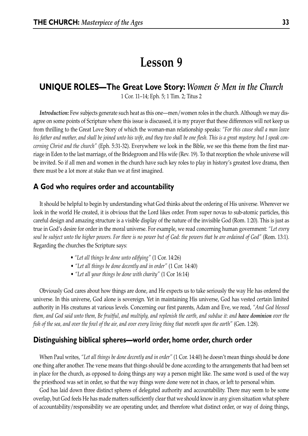## **Lesson 9**

### **UNIQUE ROLES—The Great Love Story:** *Women & Men in the Church*

1 Cor. 11–14; Eph. 5; 1 Tim. 2; Titus 2

*Introduction:* Few subjects generate such heat as this one—men/women roles in the church. Although we may disagree on some points of Scripture where this issue is discussed, it is my prayer that these differences will not keep us from thrilling to the Great Love Story of which the woman-man relationship speaks: *"For this cause shall a man leave his father and mother, and shall be joined unto his wife, and they two shall be one flesh. This is a great mystery: but I speak concerning Christ and the church"* (Eph. 5:31-32). Everywhere we look in the Bible, we see this theme from the first marriage in Eden to the last marriage, of the Bridegroom and His wife (Rev. 19). To that reception the whole universe will be invited. So if all men and women in the church have such key roles to play in history's greatest love drama, then there must be a lot more at stake than we at first imagined.

#### **A God who requires order and accountability**

It should be helpful to begin by understanding what God thinks about the ordering of His universe. Wherever we look in the world He created, it is obvious that the Lord likes order. From super novas to sub-atomic particles, this careful design and amazing structure is a visible display of the nature of the invisible God (Rom. 1:20). This is just as true in God's desire for order in the moral universe. For example, we read concerning human government: *"Let every soul be subject unto the higher powers. For there is no power but of God: the powers that be are ordained of God"* (Rom. 13:1). Regarding the churches the Scripture says:

- *"Let all things be done unto edifying"* (1 Cor. 14:26)
- *"Let all things be done decently and in order"* (1 Cor. 14:40)
- *"Let all your things be done with charity"* (1 Cor 16:14)

Obviously God cares about how things are done, and He expects us to take seriously the way He has ordered the universe. In this universe, God alone is sovereign. Yet in maintaining His universe, God has vested certain limited authority in His creatures at various levels. Concerning our first parents, Adam and Eve, we read, *"And God blessed them, and God said unto them, Be fruitful, and multiply, and replenish the earth, and subdue it: and have dominion over the fish of the sea, and over the fowl of the air, and over every living thing that moveth upon the earth"* (Gen. 1:28).

#### **Distinguishing biblical spheres—world order, home order, church order**

When Paul writes, *"Let all things be done decently and in order"* (1 Cor. 14:40) he doesn't mean things should be done one thing after another. The verse means that things should be done according to the arrangements that had been set in place for the church, as opposed to doing things any way a person might like. The same word is used of the way the priesthood was set in order, so that the way things were done were not in chaos, or left to personal whim.

God has laid down three distinct spheres of delegated authority and accountability. There may seem to be some overlap, but God feels He has made matters sufficiently clear that we should know in any given situation what sphere of accountability/responsibility we are operating under, and therefore what distinct order, or way of doing things,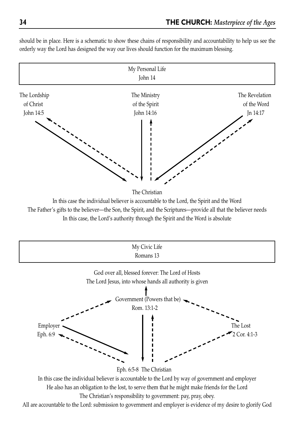

should be in place. Here is a schematic to show these chains of responsibility and accountability to help us see the orderly way the Lord has designed the way our lives should function for the maximum blessing.

In this case the individual believer is accountable to the Lord, the Spirit and the Word The Father's gifts to the believer—the Son, the Spirit, and the Scriptures—provide all that the believer needs In this case, the Lord's authority through the Spirit and the Word is absolute



All are accountable to the Lord: submission to government and employer is evidence of my desire to glorify God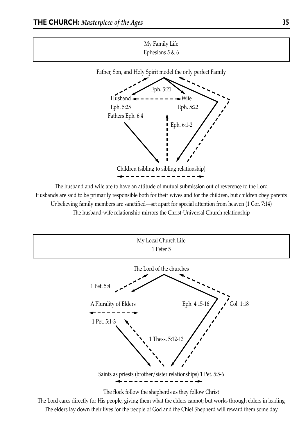

Husbands are said to be primarily responsible both for their wives and for the children, but children obey parents Unbelieving family members are sanctified—set apart for special attention from heaven (1 Cor. 7:14) The husband-wife relationship mirrors the Christ-Universal Church relationship



The Lord cares directly for His people, giving them what the elders cannot; but works through elders in leading The elders lay down their lives for the people of God and the Chief Shepherd will reward them some day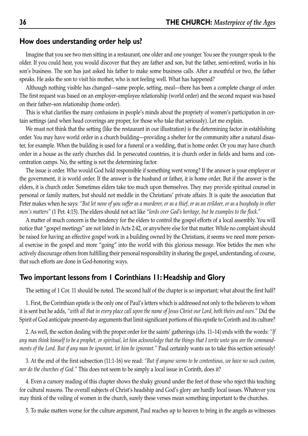#### **How does understanding order help us?**

Imagine that you see two men sitting in a restaurant, one older and one younger. You see the younger speak to the older. If you could hear, you would discover that they are father and son, but the father, semi-retired, works in his son's business. The son has just asked his father to make some business calls. After a mouthful or two, the father speaks. He asks the son to visit his mother, who is not feeling well. What has happened?

Although nothing visible has changed—same people, setting, meal—there has been a complete change of order. The first request was based on an employer–employee relationship (world order) and the second request was based on their father–son relationship (home order).

This is what clarifies the many confusions in people's minds about the propriety of women's participation in certain settings (and when head coverings are proper, for those who take that seriously). Let me explain.

We must not think that the setting (like the restaurant in our illustration) is the determining factor in establishing order. You may have world order in a church building—providing a shelter for the community after a natural disaster, for example. When the building is used for a funeral or a wedding, that is home order. Or you may have church order in a house as the early churches did. In persecuted countries, it is church order in fields and barns and concentration camps. No, the setting is not the determining factor.

The issue is order. Who would God hold responsible if something went wrong? If the answer is your employer or the government, it is world order. If the answer is the husband or father, it is home order. But if the answer is the elders, it is church order. Sometimes elders take too much upon themselves. They may provide spiritual counsel in personal or family matters, but should not meddle in the Christians' private affairs. It is quite the association that Peter makes when he says: *"But let none of you suffer as a murderer, or as a thief, or as an evildoer, or as a busybody in other men's matters"* (1 Pet. 4:15). The elders should not act like "*lords over God's heritage, but be examples to the flock."*

A matter of much concern is the tendency for the elders to control the gospel efforts of a local assembly. You will notice that "gospel meetings" are not listed in Acts 2:42, or anywhere else for that matter. While no complaint should be raised for having an effective gospel work in a building owned by the Christians, it seems we need more personal exercise in the gospel and more "going" into the world with this glorious message. Woe betides the men who actively discourage others from fulfilling their personal responsibility in sharing the gospel, understanding, of course, that such efforts are done in God-honoring ways.

#### **Two important lessons from 1 Corinthians 11: Headship and Glory**

The setting of 1 Cor. 11 should be noted. The second half of the chapter is so important; what about the first half?

1. First, the Corinthian epistle is the only one of Paul's letters which is addressed not only to the believers to whom it is sent but he adds, *"with all that in every place call upon the name of Jesus Christ our Lord, both theirs and ours."* Did the Spirit of God anticipate present-day arguments that limit significant portions of this epistle to Corinth and its culture?

2. As well, the section dealing with the proper order for the saints' gatherings (chs. 11–14) ends with the words: *"If any man think himself to be a prophet, or spiritual, let him acknowledge that the things that I write unto you are the commandments of the Lord. But if any man be ignorant, let him be ignorant."* Paul certainly wants us to take this section seriously!

3. At the end of the first subsection (11:1-16) we read: *"But if anyone seems to be contentious, we have no such custom, nor do the churches of God."* This does not seem to be simply a local issue in Corinth, does it?

4. Even a cursory reading of this chapter shows the shaky ground under the feet of those who reject this teaching for cultural reasons. The overall subjects of Christ's headship and God's glory are hardly local issues. Whatever you may think of the veiling of women in the church, surely these verses mean something important to the churches.

5. To make matters worse for the culture argument, Paul reaches up to heaven to bring in the angels as witnesses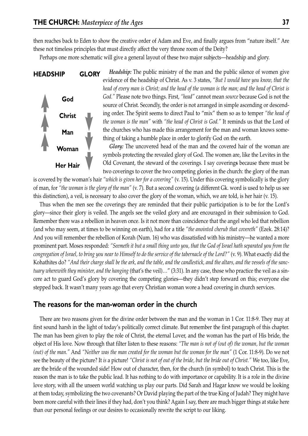then reaches back to Eden to show the creative order of Adam and Eve, and finally argues from "nature itself." Are these not timeless principles that must directly affect the very throne room of the Deity?

Perhaps one more schematic will give a general layout of these two major subjects—headship and glory.



*Headship:* The public ministry of the man and the public silence of women give evidence of the headship of Christ. As v. 3 states, *"But I would have you know, that the head of every man is Christ; and the head of the woman is the man; and the head of Christ is God."* Please note two things. First, *"head"* cannot mean *source* because God is not the source of Christ. Secondly, the order is not arranged in simple ascending or descending order. The Spirit seems to direct Paul to "mix" them so as to temper *"the head of the woman is the man"* with *"the head of Christ is God."* It reminds us that the Lord of the churches who has made this arrangement for the man and woman knows something of taking a humble place in order to glorify God on the earth.

*Glory:* The uncovered head of the man and the covered hair of the woman are symbols protecting the revealed glory of God. The women are, like the Levites in the Old Covenant, the steward of the coverings. I say covering**s** because there must be two coverings to cover the two competing glories in the church: the glory of the man

is covered by the woman's hair *"which is given her for a covering"* (v. 15). Under this covering symbolically is the glory of man, for *"the woman is the glory of the man"* (v. 7). But a second covering (a different Gk. word is used to help us see this distinction), a veil, is necessary to also cover the glory of the woman, which, we are told, is her hair (v. 15).

Thus when the men see the coverings they are reminded that their public participation is to be for the Lord's glory—since their glory is veiled. The angels see the veiled glory and are encouraged in their submission to God. Remember there was a rebellion in heaven once. Is it not more than coincidence that the angel who led that rebellion (and who may seem, at times to be winning on earth), had for a title *"the anointed cherub that covereth"* (Ezek. 28:14)? And you will remember the rebellion of Korah (Num. 16) who was dissatisfied with his ministry—he wanted a more prominent part. Moses responded: *"Seemeth it but a small thing unto you, that the God of Israel hath separated you from the congregation of Israel, to bring you near to Himself to do the service of the tabernacle of the Lord?"* (v. 9). What exactly did the Kohathites do? *"And their charge shall be the ark, and the table, and the candlestick, and the altars, and the vessels of the sanctuary wherewith they minister, and the hanging* (that's the veil)…" (3:31). In any case, those who practice the veil as a sincere act to guard God's glory by covering the competing glories—they didn't step forward on this; everyone else stepped back. It wasn't many years ago that every Christian woman wore a head covering in church services.

#### **The reasons for the man-woman order in the church**

There are two reasons given for the divine order between the man and the woman in 1 Cor. 11:8-9. They may at first sound harsh in the light of today's politically correct climate. But remember the first paragraph of this chapter. The man has been given to play the role of Christ, the eternal Lover, and the woman has the part of His bride, the object of His love. Now through that filter listen to these reasons: *"The man is not of (out of) the woman, but the woman (out) of the man."* And *"Neither was the man created for the woman but the woman for the man"* (1 Cor. 11:8-9). Do we not see the beauty of the picture? It *is* a picture! *"Christ is not of out of the bride, but the bride out of Christ."* We too, like Eve, are the bride of the wounded side! How out of character, then, for the church (in symbol) to teach Christ. This is the reason the man is to take the public lead. It has nothing to do with importance or capability. It is a role in the divine love story, with all the unseen world watching us play our parts. Did Sarah and Hagar know we would be looking at them today, symbolizing the two covenants? Or David playing the part of the true King of Judah? They might have been more careful with their lines if they had, don't you think? Again I say, there are much bigger things at stake here than our personal feelings or our desires to occasionally rewrite the script to our liking.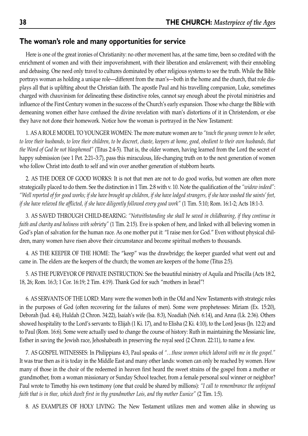#### **The woman's role and many opportunities for service**

Here is one of the great ironies of Christianity: no other movement has, at the same time, been so credited with the enrichment of women and with their impoverishment, with their liberation and enslavement; with their ennobling and debasing. One need only travel to cultures dominated by other religious systems to see the truth. While the Bible portrays woman as holding a unique role—different from the man's—both in the home and the church, that role displays all that is uplifting about the Christian faith. The apostle Paul and his travelling companion, Luke, sometimes charged with chauvinism for delineating these distinctive roles, cannot say enough about the pivotal ministries and influence of the First Century women in the success of the Church's early expansion. Those who charge the Bible with demeaning women either have confused the divine revelation with man's distortions of it in Christendom, or else they have not done their homework. Notice how the woman is portrayed in the New Testament:

1. AS A ROLE MODEL TO YOUNGER WOMEN: The more mature women are to *"teach the young women to be sober, to love their husbands, to love their children, to be discreet, chaste, keepers at home, good, obedient to their own husbands, that the Word of God be not blasphemed"* (Titus 2:4-5). That is, the older women, having learned from the Lord the secret of happy submission (see 1 Pet. 2:21–3:7), pass this miraculous, life-changing truth on to the next generation of women who follow Christ into death to self and win over another generation of stubborn hearts.

2. AS THE DOER OF GOOD WORKS: It is not that men are not to do good works, but women are often more strategically placed to do them. See the distinction in 1 Tim. 2:8 with v. 10. Note the qualification of the *"widow indeed"*: *"Well reported of for good works; if she have brought up children, if she have lodged strangers, if she have washed the saints' feet, if she have relieved the afflicted, if she have diligently followed every good work"* (1 Tim. 5:10; Rom. 16:1-2; Acts 18:1-3.

3. AS SAVED THROUGH CHILD-BEARING: *"Notwithstanding she shall be saved in childbearing, if they continue in faith and charity and holiness with sobriety"* (1 Tim. 2:15). Eve is spoken of here, and linked with all believing women in God's plan of salvation for the human race. As one mother put it: "I raise men for God." Even without physical children, many women have risen above their circumstance and become spiritual mothers to thousands.

4. AS THE KEEPER OF THE HOME: The "keep" was the drawbridge; the keeper guarded what went out and came in. The elders are the keepers of the church; the women are keepers of the home (Titus 2:5).

5. AS THE PURVEYOR OF PRIVATE INSTRUCTION: See the beautiful ministry of Aquila and Priscilla (Acts 18:2, 18, 26; Rom. 16:3; 1 Cor. 16:19; 2 Tim. 4:19). Thank God for such "mothers in Israel"!

6. AS SERVANTS OF THE LORD: Many were the women both in the Old and New Testaments with strategic roles in the purposes of God (often recovering for the failures of men). Some were prophetesses: Miriam (Ex. 15:20), Deborah (Jud. 4:4), Huldah (2 Chron. 34:22), Isaiah's wife (Isa. 8:3), Noadiah (Neh. 6:14), and Anna (Lk. 2:36). Others showed hospitality to the Lord's servants: to Elijah (1 Ki. 17), and to Elisha (2 Ki. 4:10), to the Lord Jesus (Jn. 12:2) and to Paul (Rom. 16:6). Some were actually used to change the course of history: Ruth in maintaining the Messianic line, Esther in saving the Jewish race, Jehoshabeath in preserving the royal seed (2 Chron. 22:11), to name a few.

7. AS GOSPEL WITNESSES: In Philippians 4:3, Paul speaks of *"…those women which labored with me in the gospel."* It was true then as it is today in the Middle East and many other lands: women can only be reached by women. How many of those in the choir of the redeemed in heaven first heard the sweet strains of the gospel from a mother or grandmother, from a woman missionary or Sunday School teacher, from a female personal soul winner or neighbor? Paul wrote to Timothy his own testimony (one that could be shared by millions): *"I call to remembrance the unfeigned faith that is in thee, which dwelt first in thy grandmother Lois, and thy mother Eunice"* (2 Tim. 1:5).

8. AS EXAMPLES OF HOLY LIVING: The New Testament utilizes men and women alike in showing us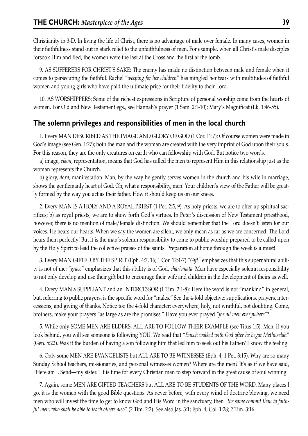Christianity in 3-D. In living the life of Christ, there is no advantage of male over female. In many cases, women in their faithfulness stand out in stark relief to the unfaithfulness of men. For example, when all Christ's male disciples forsook Him and fled, the women were the last at the Cross and the first at the tomb.

9. AS SUFFERERS FOR CHRIST'S SAKE: The enemy has made no distinction between male and female when it comes to persecuting the faithful. Rachel *"weeping for her children"* has mingled her tears with multitudes of faithful women and young girls who have paid the ultimate price for their fidelity to their Lord.

10. AS WORSHIPPERS: Some of the richest expressions in Scripture of personal worship come from the hearts of women. For Old and New Testament egs., see Hannah's prayer (1 Sam. 2:1-10); Mary's Magnificat (Lk. 1:46-55).

#### **The solemn privileges and responsibilities of men in the local church**

1. Every MAN DESCRIBED AS THE IMAGE AND GLORY OF GOD (1 Cor. 11:7): Of course women were made in God's image (see Gen. 1:27); both the man and the woman are created with the very imprint of God upon their souls. For this reason, they are the only creatures on earth who can fellowship with God. But notice two words.

a) image, *eikon*, representation, means that God has called the men to represent Him in this relationship just as the woman represents the Church.

b) glory, *doxa,* manifestation. Man, by the way he gently serves women in the church and his wife in marriage, shows the gentlemanly heart of God. Oh, what a responsibility, men! Your children's view of the Father will be greatly formed by the way you act as their father. How it should keep us on our knees.

2. Every MAN IS A HOLY AND A ROYAL PRIEST (1 Pet. 2:5, 9): As holy priests, we are to offer up spiritual sacrifices; b) as royal priests, we are to show forth God's virtues. In Peter's discussion of New Testament priesthood, however, there is no mention of male/female distinction. We should remember that the Lord doesn't listen for our voices. He hears our hearts. When we say the women are silent, we only mean as far as we are concerned. The Lord hears them perfectly! But it is the man's solemn responsibility to come to public worship prepared to be called upon by the Holy Spirit to lead the collective praises of the saints. Preparation at home through the week is a must!

3. Every MAN GIFTED BY THE SPIRIT (Eph. 4:7, 16; 1 Cor. 12:4-7) *"Gift"* emphasizes that this supernatural ability is not of me; *"grace"* emphasizes that this ability is of God, *charismata.* Men have especially solemn responsibility to not only develop and use their gift but to encourage their wife and children in the development of theirs as well.

4. Every MAN a SUPPLIANT and an INTERCESSOR (1 Tim. 2:1-8): Here the word is not "mankind" in general, but, referring to public prayers, is the specific word for "males." See the 4-fold objective: supplications, prayers, intercessions, and giving of thanks, Notice too the 4-fold character: everywhere, holy, not wrathful, not doubting. Come, brothers, make your prayers "as large as are the promises." Have you ever prayed *"for all men everywhere"*?

5. While only SOME MEN ARE ELDERS, ALL ARE TO FOLLOW THEIR EXAMPLE (see Titus 1:5). Men, if you look behind, you will see someone is following YOU. We read that *"Enoch walked with God after he begat Methuselah"* (Gen. 5:22). Was it the burden of having a son following him that led him to seek out his Father? I know the feeling.

6. Only some MEN ARE EVANGELISTS but ALL ARE TO BE WITNESSES (Eph. 4; 1 Pet. 3:15). Why are so many Sunday School teachers, missionaries, and personal witnesses women? Where are the men? It's as if we have said, "Here am I. Send—my sister." It is time for every Christian man to step forward in the great cause of soul winning.

7. Again, some MEN ARE GIFTED TEACHERS but ALL ARE TO BE STUDENTS OF THE WORD. Many places I go, it is the women with the good Bible questions. As never before, with every wind of doctrine blowing, we need men who will invest the time to get to know God and His Word in the sanctuary, then *"the same commit thou to faithful men, who shall be able to teach others also"* (2 Tim. 2:2). See also Jas. 3:1; Eph. 4; Col. 1:28; 2 Tim. 3:16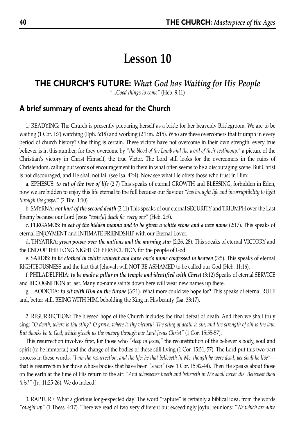## **Lesson 10**

## **THE CHURCH'S FUTURE:** *What God has Waiting for His People*

*"...Good things to come"* (Heb. 9:11)

### **A brief summary of events ahead for the Church**

1. READYING: The Church is presently preparing herself as a bride for her heavenly Bridegroom. We are to be waiting (1 Cor. 1:7) watching (Eph. 6:18) and working (2 Tim. 2:15). Who are these overcomers that triumph in every period of church history? One thing is certain. These victors have not overcome in their own strength: every true believer is in this number, for they overcome by *"the blood of the Lamb and the word of their testimony."* a picture of the Christian's victory in Christ Himself, the true Victor. The Lord still looks for the overcomers in the ruins of Christendom, calling out words of encouragement to them in what often seems to be a discouraging scene. But Christ is not discouraged, and He shall not fail (see Isa. 42:4). Now see what He offers those who trust in Him:

a. EPHESUS: *to eat of the tree of life* (2:7) This speaks of eternal GROWTH and BLESSING, forbidden in Eden, now we are bidden to enjoy this life eternal to the full because our Saviour *"has brought life and incorruptibility to light through the gospel"* (2 Tim. 1:10).

b. SMYRNA: *not hurt of the second death* (2:11) This speaks of our eternal SECURITY and TRIUMPH over the Last Enemy because our Lord Jesus *"taste[d] death for every one"* (Heb. 2:9).

c. PERGAMOS: *to eat of the hidden manna and to be given a white stone and a new name* (2:17). This speaks of eternal ENJOYMENT and INTIMATE FRIENDSHIP with our Eternal Lover.

d. THYATIRA: *given power over the nations and the morning star* (2:26, 28). This speaks of eternal VICTORY and the END OF THE LONG NIGHT OF PERSECUTION for the people of God.

e. SARDIS: *to be clothed in white raiment and have one's name confessed in heaven* (3:5). This speaks of eternal RIGHTEOUSNESS and the fact that Jehovah will NOT BE ASHAMED to be called our God (Heb. 11:16).

f. PHILADELPHIA: *to be made a pillar in the temple and identified with Christ* (3:12) Speaks of eternal SERVICE and RECOGNITION at last. Many no-name saints down here will wear new names up there.

g. LAODICEA: *to sit with Him on the throne* (3:21). What more could we hope for? This speaks of eternal RULE and, better still, BEING WITH HIM, beholding the King in His beauty (Isa. 33:17).

2. RESURRECTION: The blessed hope of the Church includes the final defeat of death. And then we shall truly sing: *"O death, where is thy sting? O grave, where is thy victory? The sting of death is sin; and the strength of sin is the law. But thanks be to God, which giveth us the victory through our Lord Jesus Christ"* (1 Cor. 15:55-57).

This resurrection involves first, for those who *"sleep in Jesus,"* the reconstitution of the believer's body, soul and spirit (to be immortal) and the change of the bodies of those still living (1 Cor. 15:51, 57). The Lord put this two-part process in these words: *"I am the resurrection, and the life: he that believeth in Me, though he were dead, yet shall he live"* that is resurrection for those whose bodies that have been *"sown"* (see 1 Cor. 15:42-44). Then He speaks about those on the earth at the time of His return to the air: *"And whosoever liveth and believeth in Me shall never die. Believest thou this?"* (Jn. 11:25-26). We do indeed!

3. RAPTURE: What a glorious long-expected day! The word "rapture" is certainly a biblical idea, from the words *"caught up"* (1 Thess. 4:17). There we read of two very different but exceedingly joyful reunions: *"We which are alive*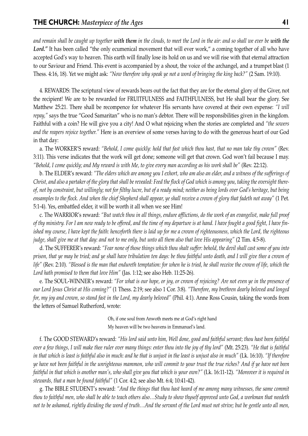*and remain shall be caught up together with them in the clouds, to meet the Lord in the air: and so shall we ever be with the* Lord." It has been called "the only ecumenical movement that will ever work," a coming together of all who have accepted God's way to heaven. This earth will finally lose its hold on us and we will rise with that eternal attraction to our Saviour and Friend. This event is accompanied by a shout, the voice of the archangel, and a trumpet blast (1 Thess. 4:16, 18). Yet we might ask: *"Now therefore why speak ye not a word of bringing the king back?"* (2 Sam. 19:10).

4. REWARDS: The scriptural view of rewards bears out the fact that they are for the eternal glory of the Giver, not the recipient! We are to be rewarded for FRUITFULNESS and FAITHFULNESS, but He shall bear the glory. See Matthew 25:21. There shall be recompence for whatever His servants have covered at their own expense: *"I will repay,"* says the true "Good Samaritan" who is no man's debtor. There will be responsibilities given in the kingdom. Faithful with a coin? He will give you a city! And O what rejoicing when the stories are completed and *"the sowers and the reapers rejoice together."* Here is an overview of some verses having to do with the generous heart of our God in that day:

a. The WORKER'S reward: *"Behold, I come quickly: hold that fast which thou hast, that no man take thy crown"* (Rev. 3:11). This verse indicates that the work will get done; someone will get that crown. God won't fail because I may. *"Behold, I come quickly; and My reward is with Me, to give every man according as his work shall be"* (Rev. 22:12).

b. The ELDER's reward: *"The elders which are among you I exhort, who am also an elder, and a witness of the sufferings of Christ, and also a partaker of the glory that shall be revealed: Feed the flock of God which is among you, taking the oversight thereof, not by constraint, but willingly; not for filthy lucre, but of a ready mind; neither as being lords over God's heritage, but being ensamples to the flock. And when the chief Shepherd shall appear, ye shall receive a crown of glory that fadeth not away"* (1 Pet. 5:1-4). Yes, embattled elder, it will be worth it all when we see Him!

c. The WARRIOR's reward: *"But watch thou in all things, endure afflictions, do the work of an evangelist, make full proof of thy ministry. For I am now ready to be offered, and the time of my departure is at hand. I have fought a good fight, I have finished my course, I have kept the faith: henceforth there is laid up for me a crown of righteousness, which the Lord, the righteous judge, shall give me at that day: and not to me only, but unto all them also that love His appearing"* (2 Tim. 4:5-8).

d. The SUFFERER's reward: *"Fear none of those things which thou shalt suffer: behold, the devil shall cast some of you into prison, that ye may be tried; and ye shall have tribulation ten days: be thou faithful unto death, and I will give thee a crown of life"* (Rev. 2:10). *"Blessed is the man that endureth temptation: for when he is tried, he shall receive the crown of life, which the Lord hath promised to them that love Him"* (Jas. 1:12; see also Heb. 11:25-26).

e. The SOUL-WINNER's reward: *"For what is our hope, or joy, or crown of rejoicing? Are not even ye in the presence of our Lord Jesus Christ at His coming?"* (1 Thess. 2:19; see also 1 Cor. 3:8). *"Therefore, my brethren dearly beloved and longed for, my joy and crown, so stand fast in the Lord, my dearly beloved"* (Phil. 4:1). Anne Ross Cousin, taking the words from the letters of Samuel Rutherford, wrote:

> Oh, if one soul from Anwoth meets me at God's right hand My heaven will be two heavens in Emmanuel's land.

f. The GOOD STEWARD's reward: *"His lord said unto him, Well done, good and faithful servant; thou hast been faithful over a few things, I will make thee ruler over many things: enter thou into the joy of thy lord"* (Mt. 25:23). *"He that is faithful in that which is least is faithful also in much: and he that is unjust in the least is unjust also in much"* (Lk. 16:10). *"If therefore ye have not been faithful in the unrighteous mammon, who will commit to your trust the true riches? And if ye have not been faithful in that which is another man's, who shall give you that which is your own?"* (Lk. 16:11-12). *"Moreover it is required in stewards, that a man be found faithful"* (1 Cor. 4:2; see also Mt. 6:4; 10:41-42).

g. The BIBLE STUDENT's reward: *"And the things that thou hast heard of me among many witnesses, the same commit thou to faithful men, who shall be able to teach others also…Study to show thyself approved unto God, a workman that needeth not to be ashamed, rightly dividing the word of truth…And the servant of the Lord must not strive; but be gentle unto all men,*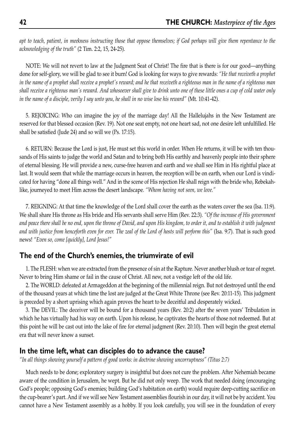*apt to teach, patient, in meekness instructing those that oppose themselves; if God perhaps will give them repentance to the acknowledging of the truth"* (2 Tim. 2:2, 15, 24-25).

NOTE: We will not revert to law at the Judgment Seat of Christ! The fire that is there is for our good—anything done for self-glory, we will be glad to see it burn! God is looking for ways to give rewards: *"He that receiveth a prophet in the name of a prophet shall receive a prophet's reward; and he that receiveth a righteous man in the name of a righteous man shall receive a righteous man's reward. And whosoever shall give to drink unto one of these little ones a cup of cold water only in the name of a disciple, verily I say unto you, he shall in no wise lose his reward"* (Mt. 10:41-42).

5. REJOICING: Who can imagine the joy of the marriage day! All the Hallelujahs in the New Testament are reserved for that blessed occasion (Rev. 19). Not one seat empty, not one heart sad, not one desire left unfulfilled. He shall be satisfied (Jude 24) and so will we (Ps. 17:15).

6. RETURN: Because the Lord is just, He must set this world in order. When He returns, it will be with ten thousands of His saints to judge the world and Satan and to bring both His earthly and heavenly people into their sphere of eternal blessing. He will provide a new, curse-free heaven and earth and we shall see Him in His rightful place at last. It would seem that while the marriage occurs in heaven, the reception will be on earth, when our Lord is vindicated for having "done all things well." And in the scene of His rejection He shall reign with the bride who, Rebekahlike, journeyed to meet Him across the desert landscape. *"Whom having not seen, we love."* 

7. REIGNING: At that time the knowledge of the Lord shall cover the earth as the waters cover the sea (Isa. 11:9). We shall share His throne as His bride and His servants shall serve Him (Rev. 22:3). *"Of the increase of His government and peace there shall be no end, upon the throne of David, and upon His kingdom, to order it, and to establish it with judgment and with justice from henceforth even for ever. The zeal of the Lord of hosts will perform this"* (Isa. 9:7). That is such good news! *"Even so, come [quickly], Lord Jesus!"*

## **The end of the Church's enemies, the triumvirate of evil**

1. The FLESH: when we are extracted from the presence of sin at the Rapture. Never another blush or tear of regret. Never to bring Him shame or fail in the cause of Christ. All new, not a vestige left of the old life.

2. The WORLD: defeated at Armageddon at the beginning of the millennial reign. But not destroyed until the end of the thousand years at which time the lost are judged at the Great White Throne (see Rev. 20:11-15). This judgment is preceded by a short uprising which again proves the heart to be deceitful and desperately wicked.

3. The DEVIL: The deceiver will be bound for a thousand years (Rev. 20:2) after the seven years' Tribulation in which he has virtually had his way on earth. Upon his release, he captivates the hearts of those not redeemed. But at this point he will be cast out into the lake of fire for eternal judgment (Rev. 20:10). Then will begin the great eternal era that will never know a sunset.

#### **In the time left, what can disciples do to advance the cause?**

*"In all things showing yourself a pattern of good works: in doctrine showing uncorruptness" (Titus 2:7)*

Much needs to be done; exploratory surgery is insightful but does not cure the problem. After Nehemiah became aware of the condition in Jerusalem, he wept. But he did not only weep. The work that needed doing (encouraging God's people; opposing God's enemies; building God's habitation on earth) would require deep-cutting sacrifice on the cup-bearer's part. And if we will see New Testament assemblies flourish in our day, it will not be by accident. You cannot have a New Testament assembly as a hobby. If you look carefully, you will see in the foundation of every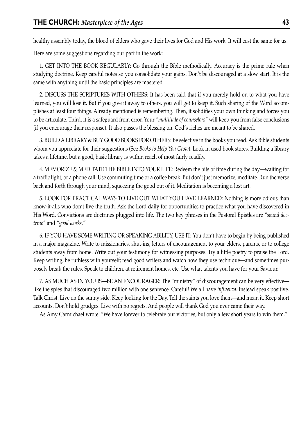healthy assembly today, the blood of elders who gave their lives for God and His work. It will cost the same for us.

Here are some suggestions regarding our part in the work:

1. GET INTO THE BOOK REGULARLY: Go through the Bible methodically. Accuracy is the prime rule when studying doctrine. Keep careful notes so you consolidate your gains. Don't be discouraged at a slow start. It is the same with anything until the basic principles are mastered.

2. DISCUSS THE SCRIPTURES WITH OTHERS: It has been said that if you merely hold on to what you have learned, you will lose it. But if you give it away to others, you will get to keep it. Such sharing of the Word accomplishes at least four things. Already mentioned is remembering. Then, it solidifies your own thinking and forces you to be articulate. Third, it is a safeguard from error. Your *"multitude of counselors"* will keep you from false conclusions (if you encourage their response). It also passes the blessing on. God's riches are meant to be shared.

3. BUILD A LIBRARY & BUY GOOD BOOKS FOR OTHERS: Be selective in the books you read. Ask Bible students whom you appreciate for their suggestions (See *Books to Help You Grow*). Look in used book stores. Building a library takes a lifetime, but a good, basic library is within reach of most fairly readily.

4. MEMORIZE & MEDITATE THE BIBLE INTO YOUR LIFE: Redeem the bits of time during the day—waiting for a traffic light, or a phone call. Use commuting time or a coffee break. But don't just memorize; meditate. Run the verse back and forth through your mind, squeezing the good out of it. Meditation is becoming a lost art.

5. LOOK FOR PRACTICAL WAYS TO LIVE OUT WHAT YOU HAVE LEARNED: Nothing is more odious than know-it-alls who don't live the truth. Ask the Lord daily for opportunities to practice what you have discovered in His Word. Convictions are doctrines plugged into life. The two key phrases in the Pastoral Epistles are *"sound doctrine"* and *"good works."*

6. IF YOU HAVE SOME WRITING OR SPEAKING ABILITY, USE IT: You don't have to begin by being published in a major magazine. Write to missionaries, shut-ins, letters of encouragement to your elders, parents, or to college students away from home. Write out your testimony for witnessing purposes. Try a little poetry to praise the Lord. Keep writing; be ruthless with yourself; read good writers and watch how they use technique—and sometimes purposely break the rules. Speak to children, at retirement homes, etc. Use what talents you have for your Saviour.

7. AS MUCH AS IN YOU IS—BE AN ENCOURAGER: The "ministry" of discouragement can be very effective like the spies that discouraged two million with one sentence. Careful! We all have *influenza.* Instead speak positive. Talk Christ. Live on the sunny side. Keep looking for the Day. Tell the saints you love them—and mean it. Keep short accounts. Don't hold grudges. Live with no regrets. And people will thank God you ever came their way.

As Amy Carmichael wrote: "We have forever to celebrate our victories, but only a few short years to win them."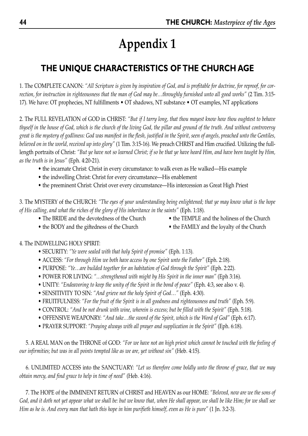## **THE UNIQUE CHARACTERISTICS OF THE CHURCH AGE**

1. The COMPLETE CANON: *"All Scripture is given by inspiration of God, and is profitable for doctrine, for reproof, for correction, for instruction in righteousness that the man of God may be…throughly furnished unto all good works"* (2 Tim. 3:15- 17). We have: OT prophecies, NT fulfillments • OT shadows, NT substance • OT examples, NT applications

2. The FULL REVELATION of GOD in CHRIST: *"But if I tarry long, that thou mayest know how thou oughtest to behave thyself in the house of God, which is the church of the living God, the pillar and ground of the truth. And without controversy great is the mystery of godliness: God was manifest in the flesh, justified in the Spirit, seen of angels, preached unto the Gentiles, believed on in the world, received up into glory"* (1 Tim. 3:15-16). We preach CHRIST and Him crucified. Utilizing the fulllength portraits of Christ: *"But ye have not so learned Christ; if so be that ye have heard Him, and have been taught by Him, as the truth is in Jesus"* (Eph. 4:20-21).

- the incarnate Christ: Christ in every circumstance: to walk even as He walked—His example
- the indwelling Christ: Christ for every circumstance—His enablement
- the preeminent Christ: Christ over every circumstance—His intercession as Great High Priest

3. The MYSTERY of the CHURCH: *"The eyes of your understanding being enlightened; that ye may know what is the hope of His calling, and what the riches of the glory of His inheritance in the saints"* (Eph. 1:18).

- The BRIDE and the devotedness of the Church the TEMPLE and the holiness of the Church
	-
- the BODY and the giftedness of the Church the FAMILY and the loyalty of the Church

#### 4. The INDWELLING HOLY SPIRIT:

- SECURITY: *"Ye were sealed with that holy Spirit of promise"* (Eph. 1:13).
- ACCESS: *"For through Him we both have access by one Spirit unto the Father"* (Eph. 2:18).
- PURPOSE: *"Ye…are builded together for an habitation of God through the Spirit"* (Eph. 2:22).
- POWER FOR LIVING: *"…strengthened with might by His Spirit in the inner man"* (Eph 3:16).
- UNITY: *"Endeavoring to keep the unity of the Spirit in the bond of peace"* (Eph. 4:3, see also v. 4).
- SENSITIVITY TO SIN: *"And grieve not the holy Spirit of God…"* (Eph. 4:30).
- FRUITFULNESS: *"For the fruit of the Spirit is in all goodness and righteousness and truth"* (Eph. 5:9).
- CONTROL: *"And be not drunk with wine, wherein is excess; but be filled with the Spirit"* (Eph. 5:18).
- OFFENSIVE WEAPONRY: *"And take…the sword of the Spirit, which is the Word of God"* (Eph. 6:17).
- PRAYER SUPPORT: *"Praying always with all prayer and supplication in the Spirit"* (Eph. 6:18).

5. A REAL MAN on the THRONE of GOD: *"For we have not an high priest which cannot be touched with the feeling of our infirmities; but was in all points tempted like as we are, yet without sin"* (Heb. 4:15).

6. UNLIMITED ACCESS into the SANCTUARY: *"Let us therefore come boldly unto the throne of grace, that we may obtain mercy, and find grace to help in time of need"* (Heb. 4:16).

7. The HOPE of the IMMINENT RETURN of CHRIST and HEAVEN as our HOME: *"Beloved, now are we the sons of God, and it doth not yet appear what we shall be: but we know that, when He shall appear, we shall be like Him; for we shall see Him as he is. And every man that hath this hope in him purifieth himself, even as He is pure"* (1 Jn. 3:2-3).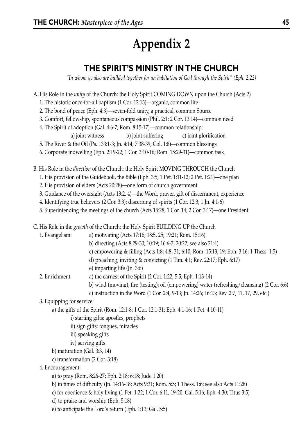## **THE SPIRIT'S MINISTRY IN THE CHURCH**

*"In whom ye also are builded together for an habitation of God through the Spirit" (Eph. 2:22)*

- A. His Role in the *unity* of the Church: the Holy Spirit COMING DOWN upon the Church (Acts 2) 1. The historic once-for-all baptism (1 Cor. 12:13)—organic, common life 2. The bond of peace (Eph. 4:3)—seven-fold unity, a practical, common Source 3. Comfort, fellowship, spontaneous compassion (Phil. 2:1; 2 Cor. 13:14)—common need 4. The Spirit of adoption (Gal. 4:6-7; Rom. 8:15-17)—common relationship: a) joint witness b) joint suffering c) joint glorification 5. The River & the Oil (Ps. 133:1-3; Jn. 4:14; 7:38-39; Col. 1:8)—common blessings 6. Corporate indwelling (Eph. 2:19-22; 1 Cor. 3:10-16; Rom. 15:29-31)—common task B. His Role in the *direction* of the Church: the Holy Spirit MOVING THROUGH the Church 1. His provision of the Guidebook, the Bible (Eph. 3:5; 1 Pet. 1:11-12; 2 Pet. 1:21)—one plan 2. His provision of elders (Acts 20:28)—one form of church government 3. Guidance of the oversight (Acts 13:2, 4)—the Word, prayer, gift of discernment, experience 4. Identifying true believers (2 Cor. 3:3); discerning of spirits (1 Cor. 12:3; 1 Jn. 4:1-6) 5. Superintending the meetings of the church (Acts 15:28; 1 Cor. 14; 2 Cor. 3:17)—one President C. His Role in the *growth* of the Church: the Holy Spirit BUILDING UP the Church 1. Evangelism: a) motivating (Acts 17:16; 18:5, 25; 19:21; Rom. 15:16) b) directing (Acts 8:29-30; 10:19; 16:6-7; 20:22; see also 21:4) c) empowering & filling (Acts 1:8; 4:8, 31; 6:10; Rom. 15:13, 19; Eph. 3:16; 1 Thess. 1:5)
	- d) preaching, inviting & convicting (1 Tim. 4:1; Rev. 22:17; Eph. 6:17)
	- e) imparting life (Jn. 3:6)
	- 2. Enrichment: a) the earnest of the Spirit (2 Cor. 1:22; 5:5; Eph. 1:13-14)
		- b) wind (moving); fire (testing); oil (empowering) water (refreshing/cleansing) (2 Cor. 6:6)
		- c) instruction in the Word (1 Cor. 2:4, 9-13; Jn. 14:26; 16:13; Rev. 2:7, 11, 17, 29, etc.)
	- 3. Equipping for service:
		- a) the gifts of the Spirit (Rom. 12:1-8; 1 Cor. 12:1-31; Eph. 4:1-16; 1 Pet. 4:10-11)
			- i) starting gifts: apostles, prophets
			- ii) sign gifts: tongues, miracles
			- iii) speaking gifts
			- iv) serving gifts
		- b) maturation (Gal. 3:3, 14)
		- c) transformation (2 Cor. 3:18)
	- 4. Encouragement:
		- a) to pray (Rom. 8:26-27; Eph. 2:18; 6:18; Jude 1:20)
		- b) in times of difficulty (Jn. 14:16-18; Acts 9:31; Rom. 5:5; 1 Thess. 1:6; see also Acts 11:28)
		- c) for obedience & holy living (1 Pet. 1:22; 1 Cor. 6:11, 19-20; Gal. 5:16; Eph. 4:30; Titus 3:5)
		- d) to praise and worship (Eph. 5:18)
		- e) to anticipate the Lord's return (Eph. 1:13; Gal. 5:5)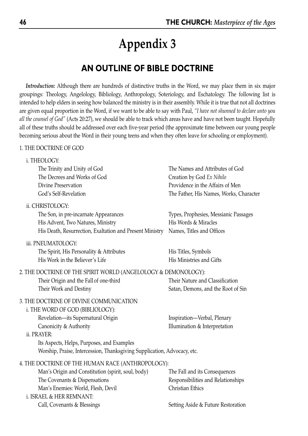## **AN OUTLINE OF BIBLE DOCTRINE**

*Introduction:* Although there are hundreds of distinctive truths in the Word, we may place them in six major groupings: Theology, Angelology, Bibliology, Anthropology, Soteriology, and Eschatology. The following list is intended to help elders in seeing how balanced the ministry is in their assembly. While it is true that not all doctrines are given equal proportion in the Word, if we want to be able to say with Paul, *"I have not shunned to declare unto you all the counsel of God"* (Acts 20:27), we should be able to track which areas have and have not been taught. Hopefully all of these truths should be addressed over each five-year period (the approximate time between our young people becoming serious about the Word in their young teens and when they often leave for schooling or employment).

#### 1. THE DOCTRINE OF GOD

: THEOLOGY

| 1. I AEULUG II<br>The Trinity and Unity of God<br>The Decrees and Works of God<br>Divine Preservation<br>God's Self-Revelation                                                                                                                                                       | The Names and Attributes of God<br>Creation by God Ex Nihilo<br>Providence in the Affairs of Men<br>The Father, His Names, Works, Character |
|--------------------------------------------------------------------------------------------------------------------------------------------------------------------------------------------------------------------------------------------------------------------------------------|---------------------------------------------------------------------------------------------------------------------------------------------|
| ii. CHRISTOLOGY:<br>The Son, in pre-incarnate Appearances<br>His Advent, Two Natures, Ministry<br>His Death, Resurrection, Exaltation and Present Ministry                                                                                                                           | Types, Prophesies, Messianic Passages<br>His Words & Miracles<br>Names, Titles and Offices                                                  |
| iii. PNEUMATOLOGY:<br>The Spirit, His Personality & Attributes<br>His Work in the Believer's Life                                                                                                                                                                                    | His Titles, Symbols<br>His Ministries and Gifts                                                                                             |
| 2. THE DOCTRINE OF THE SPIRIT WORLD (ANGELOLOGY & DEMONOLOGY):<br>Their Origin and the Fall of one-third<br>Their Work and Destiny                                                                                                                                                   | Their Nature and Classification<br>Satan, Demons, and the Root of Sin                                                                       |
| 3. THE DOCTRINE OF DIVINE COMMUNICATION<br>i. THE WORD OF GOD (BIBLIOLOGY):<br>Revelation-its Supernatural Origin<br>Canonicity & Authority<br>ii. PRAYER:<br>Its Aspects, Helps, Purposes, and Examples<br>Worship, Praise, Intercession, Thanksgiving Supplication, Advocacy, etc. | Inspiration-Verbal, Plenary<br>Illumination & Interpretation                                                                                |
| 4. THE DOCTRINE OF THE HUMAN RACE (ANTHROPOLOGY):<br>Man's Origin and Constitution (spirit, soul, body)<br>The Covenants & Dispensations<br>Man's Enemies: World, Flesh, Devil<br>i. ISRAEL & HER REMNANT:                                                                           | The Fall and its Consequences<br>Responsibilities and Relationships<br>Christian Ethics                                                     |
| Call, Covenants & Blessings                                                                                                                                                                                                                                                          | Setting Aside & Future Restoration                                                                                                          |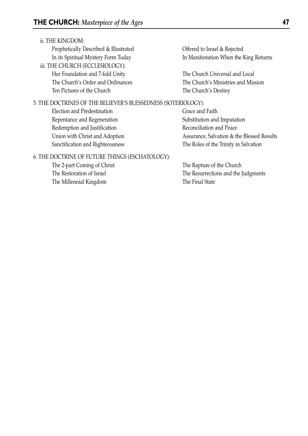#### ii. THE KINGDOM:

Prophetically Described & Illustrated **Offered to Israel & Rejected** iii. THE CHURCH (ECCLESIOLOGY):

Her Foundation and 7-fold Unity The Church Universal and Local Ten Pictures of the Church The Church's Destiny

#### 5. THE DOCTRINES OF THE BELIEVER'S BLESSEDNESS (SOTERIOLOGY):

Election and Predestination Grace and Faith Repentance and Regeneration Substitution and Imputation Redemption and Justification **Reconciliation** and Peace

In its Spiritual Mystery Form Today In Manifestation When the King Returns

The Church's Order and Ordinances The Church's Ministries and Mission

Union with Christ and Adoption Assurance, Salvation & the Blessed Results Sanctification and Righteousness The Roles of the Trinity in Salvation

#### 6. THE DOCTRINE OF FUTURE THINGS (ESCHATOLOGY):

The 2-part Coming of Christ The Rapture of the Church The Millennial Kingdom The Final State

The Restoration of Israel The Resurrections and the Judgments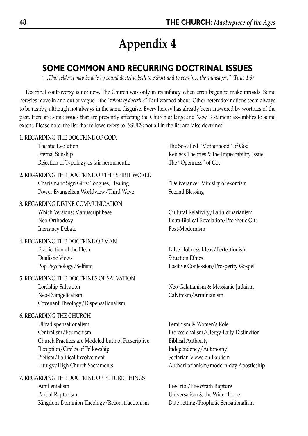## **SOME COMMON AND RECURRING DOCTRINAL ISSUES**

*"…That [elders] may be able by sound doctrine both to exhort and to convince the gainsayers" (Titus 1:9)*

Doctrinal controversy is not new. The Church was only in its infancy when error began to make inroads. Some heresies move in and out of vogue—the *"winds of doctrine"* Paul warned about. Other heterodox notions seem always to be nearby, although not always in the same disguise. Every heresy has already been answered by worthies of the past. Here are some issues that are presently affecting the Church at large and New Testament assemblies to some extent. Please note: the list that follows refers to ISSUES; not all in the list are false doctrines!

1. REGARDING THE DOCTRINE OF GOD:

Theistic Evolution The So-called "Motherhood" of God Rejection of Typology as fair hermeneutic The "Openness" of God

2. REGARDING THE DOCTRINE OF THE SPIRIT WORLD Charismatic Sign Gifts: Tongues, Healing "Deliverance" Ministry of exorcism Power Evangelism Worldview/Third Wave Second Blessing

3. REGARDING DIVINE COMMUNICATION Which Versions; Manuscript base Cultural Relativity/Latitudinarianism

Inerrancy Debate Post-Modernism

4. REGARDING THE DOCTRINE OF MAN Eradication of the Flesh False Holiness Ideas/Perfectionism **Dualistic Views** Situation Ethics

#### 5. REGARDING THE DOCTRINES OF SALVATION Lordship Salvation Neo-Galatianism & Messianic Judaism Neo-Evangelicalism Calvinism/Arminianism Covenant Theology/Dispensationalism

#### 6. REGARDING THE CHURCH

Ultradispensationalism Feminism & Women's Role Centralism/Ecumenism Professionalism/Clergy-Laity Distinction Church Practices are Modeled but not Prescriptive Biblical Authority Reception/Circles of Fellowship Independency/Autonomy Pietism/Political Involvement Sectarian Views on Baptism Liturgy/High Church Sacraments Authoritarianism/modern-day Apostleship

7. REGARDING THE DOCTRINE OF FUTURE THINGS Amillenialism Pre-Trib./Pre-Wrath Rapture Partial Rapturism Universalism & the Wider Hope Kingdom-Dominion Theology/Reconstructionism Date-setting/Prophetic Sensationalism

Eternal Sonship Kenosis Theories & the Impeccability Issue

Neo-Orthodoxy Extra-Biblical Revelation/Prophetic Gift

Pop Psychology/Selfism Positive Confession/Prosperity Gospel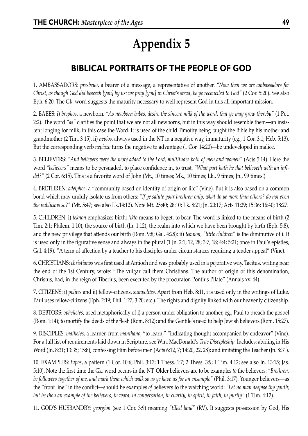## **BIBLICAL PORTRAITS OF THE PEOPLE OF GOD**

1. AMBASSADORS: *presbeuo*, a bearer of a message, a representative of another. *"Now then we are ambassadors for Christ, as though God did beseech [you] by us: we pray [you] in Christ's stead, be ye reconciled to God"* (2 Cor. 5:20). See also Eph. 6:20. The Gk. word suggests the maturity necessary to well represent God in this all-important mission.

2. BABES: i) *brephos*, a newborn. *"As newborn babes, desire the sincere milk of the word, that ye may grow thereby"* (1 Pet. 2:2). The word *"as"* clarifies the point that we are not all newborns, but in this way should resemble them—an insistent longing for milk, in this case the Word. It is used of the child Timothy being taught the Bible by his mother and grandmother (2 Tim. 3 15). ii) *nepios,* always used in the NT in a negative way, immaturity (eg., 1 Cor. 3:1; Heb. 5:13). But the corresponding verb *nepiazo* turns the negative to advantage (1 Cor. 14:20)—be undeveloped in malice.

3. BELIEVERS: *"And believers were the more added to the Lord, multitudes both of men and women"* (Acts 5:14). Here the word *"believers"* means to be persuaded, to place confidence in, to trust. *"What part hath he that believeth with an infidel?"* (2 Cor. 6:15). This is a favorite word of John (Mt., 10 times; Mk., 10 times; Lk., 9 times; Jn., 99 times!)

4. BRETHREN: *adelphos,* a "community based on identity of origin or life" (Vine). But it is also based on a common bond which may unduly isolate us from others: *"If ye salute your brethren only, what do ye more than others? do not even the publicans so?"* (Mt. 5:47; see also Lk.14:12). Note Mt. 25:40; 28:10; Lk. 8:21; Jn. 20:17; Acts 11:29; 15:36; 16:40; 18:27.

5. CHILDREN: i) *teknon* emphasizes birth; *tikto* means to beget, to bear. The word is linked to the means of birth (2 Tim. 2:1; Philem. 1:10), the source of birth (Jn. 1:12), the realm into which we have been brought by birth (Eph. 5:8), and the new privilege that attends our birth (Rom. 9:8; Gal. 4:28): ii) *teknion, "little children"* is the diminutive of i. It is used only in the figurative sense and always in the plural (1 Jn. 2:1, 12, 28; 3:7, 18; 4:4; 5:21; once in Paul's epistles, Gal. 4:19). "A term of affection by a teacher to his disciples under circumstances requiring a tender appeal" (Vine).

6. CHRISTIANS: *christianos* was first used at Antioch and was probably used in a pejorative way. Tacitus, writing near the end of the 1st Century, wrote: "The vulgar call them Christians. The author or origin of this denomination, Christus, had, in the reign of Tiberius, been executed by the procurator, Pontius Pilate" (Annals xv. 44).

7. CITIZENS: i) *polites* and ii) fellow-citizens, *sumpolites.* Apart from Heb. 8:11, i is used only in the writings of Luke. Paul uses fellow-citizens (Eph. 2:19; Phil. 1:27; 3:20; etc.). The rights and dignity linked with our heavenly citizenship.

8. DEBTORS: *opheiletes*, used metaphorically of i) a person under obligation to another, eg., Paul to preach the gospel (Rom. 1:14); to mortify the deeds of the flesh (Rom. 8:12); and the Gentile's need to help Jewish believers (Rom. 15:27).

9. DISCIPLES: *mathetes,* a learner, from *manthano*, "to learn," "indicating thought accompanied by endeavor" (Vine). For a full list of requirements laid down in Scripture, see Wm. MacDonald's *True Discipleship*. Includes: abiding in His Word (Jn. 8:31; 13:35; 15:8); confessing Him before men (Acts 6:12, 7; 14:20, 22, 28); and imitating the Teacher (Jn. 8:31).

10. EXAMPLES: *tupos*, a pattern (1 Cor. 10:6; Phil. 3:17; 1 Thess. 1:7; 2 Thess. 3:9; 1 Tim. 4:12; see also Jn. 13:15; Jas. 5:10). Note the first time the Gk. word occurs in the NT. Older believers are to be examples *to* the believers: *"Brethren, be followers together of me, and mark them which walk so as ye have us for an ensample"* (Phil. 3:17). Younger believers—as the "front line" in the conflict—should be examples *of* believers to the watching world: *"Let no man despise thy youth; but be thou an example of the believers, in word, in conversation, in charity, in spirit, in faith, in purity"* (1 Tim. 4:12).

11. GOD'S HUSBANDRY: *georgion* (see 1 Cor. 3:9) meaning *"tilled land"* (RV). It suggests possession by God, His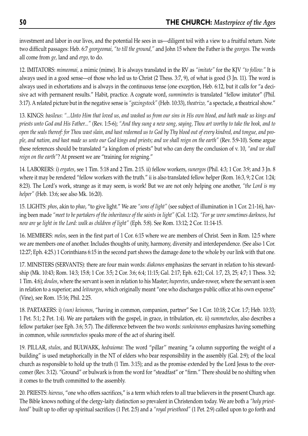investment and labor in our lives, and the potential He sees in us—diligent toil with a view to a fruitful return. Note two difficult passages: Heb. 6:7 *georgeomai, "to till the ground,"* and John 15 where the Father is the *georgos.* The words all come from *ge,* land and *ergo,* to do.

12. IMITATORS: *mimeomai,* a mimic (mime). It is always translated in the RV as *"imitate"* for the KJV *"to follow."* It is always used in a good sense—of those who led us to Christ (2 Thess. 3:7, 9), of what is good (3 Jn. 11). The word is always used in exhortations and is always in the continuous tense (one exception, Heb. 6:12, but it calls for "a decisive act with permanent results." Habit, practice. A cognate word, *summimetes* is translated "fellow imitator" (Phil. 3:17). A related picture but in the negative sense is *"gazingstock"* (Heb. 10:33), *theatrizo,* "a spectacle, a theatrical show."

13. KINGS: *basileus*: *"...Unto Him that loved us, and washed us from our sins in His own blood, and hath made us kings and priests unto God and His Father..."* (Rev. 1:5-6); *"And they sung a new song, saying, Thou art worthy to take the book, and to open the seals thereof: for Thou wast slain, and hast redeemed us to God by Thy blood out of every kindred, and tongue, and people, and nation, and hast made us unto our God kings and priests; and we shall reign on the earth"* (Rev. 5:9-10). Some argue these references should be translated "a kingdom of priests" but who can deny the conclusion of v. 10, *"and we shall reign on the earth"*? At present we are "training for reigning."

14. LABORERS: i) *ergates*, see 1 Tim. 5:18 and 2 Tim. 2:15. ii) fellow workers, *sunergos* (Phil. 4:3; 1 Cor. 3:9; and 3 Jn. 8 where it may be rendered "fellow workers with the truth." ii is also translated fellow helper (Rom. 16:3, 9; 2 Cor. 1:24; 8:23). The Lord's work, strange as it may seem, is work! But we are not only helping one another, *"the Lord is my helper"* (Heb. 13:6; see also Mk. 16:20).

15. LIGHTS: *phos*, akin to *phao*, "to give light." We are *"sons of light"* (see subject of illumination in 1 Cor. 2:1-16), having been made *"meet to be partakers of the inheritance of the saints in light"* (Col. 1:12). *"For ye were sometimes darkness, but now are ye light in the Lord: walk as children of light"* (Eph. 5:8). See Rom. 13:12; 2 Cor. 11:14-15.

16. MEMBERS: *melos*, seen in the first part of 1 Cor. 6:15 where we are members of Christ. Seen in Rom. 12:5 where we are members one of another. Includes thoughts of unity, harmony, diversity and interdependence. (See also 1 Cor. 12:27; Eph. 4:25.) 1 Corinthians 6:15 in the second part shows the damage done to the whole by our link with that one.

17. MINISTERS (SERVANTS): there are four main words: *diakonos* emphasizes the servant in relation to his stewardship (Mk. 10:43; Rom. 14:3; 15:8; 1 Cor. 3:5; 2 Cor. 3:6; 6:4; 11:15; Gal. 2:17; Eph. 6:21; Col. 1:7, 23, 25; 4:7; 1 Thess. 3:2; 1 Tim. 4:6); *doulos*, where the servant is seen in relation to his Master; *huperetes*, under-rower, where the servant is seen in relation to a superior; and *leitourgos*, which originally meant "one who discharges public office at his own expense" (Vine), see Rom. 15:16; Phil. 2:25.

18. PARTAKERS: i) *(sun) keinonos*, "having in common, companion, partner" See 1 Cor. 10:18; 2 Cor. 1:7; Heb. 10:33; 1 Pet. 5:1; 2 Pet. 1:4). We are partakers with the gospel, in grace, in tribulation, etc. ii) *summetochos*, also describes a fellow partaker (see Eph. 3:6; 5:7). The difference between the two words: *sunkoinonos* emphasizes having something in common, while *summetochos* speaks more of the act of sharing itself.

19. PILLAR, *stulos*, and BULWARK, *hedraioma*: The word "pillar'' meaning "a column supporting the weight of a building" is used metaphorically in the NT of elders who bear responsibility in the assembly (Gal. 2:9); of the local church as responsible to hold up the truth (1 Tim. 3:15); and as the promise extended by the Lord Jesus to the overcomer (Rev. 3:12). "Ground" or bulwark is from the word for "steadfast" or "firm." There should be no shifting when it comes to the truth committed to the assembly.

20. PRIESTS: *hiereus*, "one who offers sacrifices," is a term which refers to all true believers in the present Church age. The Bible knows nothing of the clergy-laity distinction so prevalent in Christendom today. We are both a *"holy priesthood"* built up to offer up spiritual sacrifices (1 Pet. 2:5) and a *"royal priesthood"* (1 Pet. 2:9) called upon to go forth and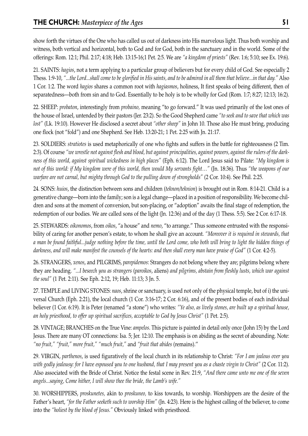show forth the virtues of the One who has called us out of darkness into His marvelous light. Thus both worship and witness, both vertical and horizontal, both to God and for God, both in the sanctuary and in the world. Some of the offerings: Rom. 12:1; Phil. 2:17; 4:18; Heb. 13:15-16;1 Pet. 2:5. We are *"a kingdom of priests"* (Rev. 1:6; 5:10; see Ex. 19:6).

21. SAINTS: *hagios*, not a term applying to a particular group of believers but for every child of God. See especially 2 Thess. 1:9-10, *"...the Lord...shall come to be glorified in His saints, and to be admired in all them that believe...in that day."* Also 1 Cor. 1:2. The word *hagios* shares a common root with *hagiasmos*, holiness, It first speaks of being different, then of separatedness—both from sin and to God. Essentially to be holy is to be wholly for God (Rom. 1:7; 8:27; 12:13; 16:2).

22. SHEEP: *probaton*, interestingly from *probaino,* meaning "to go forward." It was used primarily of the lost ones of the house of Israel, untended by their pastors (Jer. 23:2). So the Good Shepherd came *"to seek and to save that which was lost"* (Lk. 19:10). However He disclosed a secret about *"other sheep"* in John 10. Those also He must bring, producing one flock (not "fold") and one Shepherd. See Heb. 13:20-21; 1 Pet. 2:25 with Jn. 21:17.

23. SOLDIERS: *stratiotes* is used metaphorically of one who fights and suffers in the battle for righteousness (2 Tim. 2:3). Of course *"we wrestle not against flesh and blood, but against principalities, against powers, against the rulers of the darkness of this world, against spiritual wickedness in high places"* (Eph. 6:12). The Lord Jesus said to Pilate: *"My kingdom is not of this world: if My kingdom were of this world, then would My servants fight…"* (Jn. 18:36). Thus *"the weapons of our warfare are not carnal, but mighty through God to the pulling down of strongholds"* (2 Cor. 10:4). See Phil. 2:25.

24. SONS: *huios*, the distinction between sons and children (*teknon/teknion*) is brought out in Rom. 8:14-21. Child is a generative change—born into the family; son is a legal change—placed in a position of responsibility. We become children and sons at the moment of conversion, but son-placing, or "adoption" awaits the final stage of redemption, the redemption of our bodies. We are called sons of the light (Jn. 12:36) and of the day (1 Thess. 5:5). See 2 Cor. 6:17-18.

25. STEWARDS: *oikonomos*, from *oikos*, "a house" and *nemo*, "to arrange." Thus someone entrusted with the responsibility of caring for another person's estate, to whom he shall give an account. *"Moreover it is required in stewards, that a man be found faithful...judge nothing before the time, until the Lord come, who both will bring to light the hidden things of darkness, and will make manifest the counsels of the hearts: and then shall every man have praise of God"* (1 Cor. 4:2-5).

26. STRANGERS, *xenos*, and PILGRIMS, *parepidemos*: Strangers do not belong where they are; pilgrims belong where they are heading. *"...I beseech you as strangers* (*paroikos*, aliens) *and pilgrims, abstain from fleshly lusts, which war against the soul"* (1 Pet. 2:11). See Eph. 2:12, 19; Heb. 11:13; 3 Jn. 5.

27. TEMPLE and LIVING STONES: *naos*, shrine or sanctuary, is used not only of the physical temple, but of i) the universal Church (Eph. 2:21), the local church (1 Cor. 3:16-17; 2 Cor. 6:16), and of the present bodies of each individual believer (1 Cor. 6:19). It is Peter (renamed "a stone") who writes: *"Ye also, as lively stones, are built up a spiritual house, an holy priesthood, to offer up spiritual sacrifices, acceptable to God by Jesus Christ"* (1 Pet. 2:5).

28. VINTAGE; BRANCHES on the True Vine: *ampelos*. This picture is painted in detail only once (John 15) by the Lord Jesus. There are many OT connections: Isa. 5; Jer. 12:10. The emphasis is on abiding as the secret of abounding. Note: *"no fruit," "fruit," more fruit," "much fruit,"* and *"fruit that abides* (remains).''

29. VIRGIN, *parthenos*, is used figuratively of the local church in its relationship to Christ: *"For I am jealous over you with godly jealousy: for I have espoused you to one husband, that I may present you as a chaste virgin to Christ"* (2 Cor. 11:2). Also associated with the Bride of Christ. Notice the festal scene in Rev. 21:9, *"And there came unto me one of the seven angels...saying, Come hither, I will show thee the bride, the Lamb's wife."*

30. WORSHIPPERS, *proskunetes,* akin to *proskuneo,* to kiss towards, to worship. Worshippers are the desire of the Father's heart, *"for the Father seeketh such to worship Him"* (Jn. 4:23). Here is the highest calling of the believer, to come into the *"holiest by the blood of Jesus."* Obviously linked with priesthood.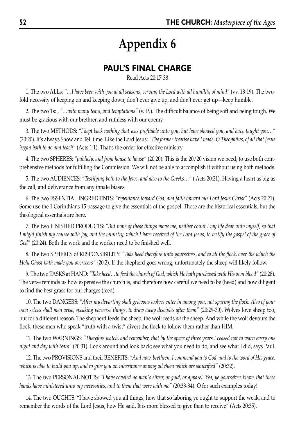## **PAUL'S FINAL CHARGE**

Read Acts 20:17-38

1. The two ALLs: *"…I have been with you at all seasons, serving the Lord with all humility of mind"* (vv. 18-19). The twofold necessity of keeping on and keeping down; don't ever give up, and don't ever get up—keep humble.

2. The two Ts: , *"…with many tears, and temptations"* (v. 19). The difficult balance of being soft and being tough. We must be gracious with our brethren and ruthless with our enemy.

3. The two METHODS: *"I kept back nothing that was profitable unto you, but have showed you, and have taught you…"* (20:20). It's always Show and Tell time. Like the Lord Jesus: *"The former treatise have I made, O Theophilus, of all that Jesus began both to do and teach"* (Acts 1:1). That's the order for effective ministry

4. The two SPHERES: *"publicly, and from house to house"* (20:20). This is the 20/20 vision we need; to use both comprehensive methods for fulfilling the Commission. We will not be able to accomplish it without using both methods.

5. The two AUDIENCES: "*Testifying both to the Jews, and also to the Greeks…"* ( Acts 20:21). Having a heart as big as the call, and deliverance from any innate biases.

6. The two ESSENTIAL INGREDIENTS: *"repentance toward God, and faith toward our Lord Jesus Christ"* (Acts 20:21). Some use the 1 Corinthians 15 passage to give the essentials of the gospel. Those are the historical essentials, but the theological essentials are here.

7. The two FINISHED PRODUCTS: *"But none of these things move me, neither count I my life dear unto myself, so that I might finish my course with joy, and the ministry, which I have received of the Lord Jesus, to testify the gospel of the grace of God"* (20:24). Both the work and the worker need to be finished well.

8. The two SPHERES of RESPONSIBILITY: *"Take heed therefore unto yourselves, and to all the flock, over the which the Holy Ghost hath made you overseers"* {20:2). If the shepherd goes wrong, unfortunately the sheep will likely follow.

9. The two TASKS at HAND: *"Take heed…to feed the church of God, which He hath purchased with His own blood"* (20:28). The verse reminds us how expensive the church is, and therefore how careful we need to be (heed) and how diligent to find the best grass for our charges (feed).

10. The two DANGERS: *"After my departing shall grievous wolves enter in among you, not sparing the flock. Also of your own selves shall men arise, speaking perverse things, to draw away disciples after them"* (20:29-30). Wolves love sheep too, but for a different reason. The shepherd feeds the sheep; the wolf feeds *on* the sheep. And while the wolf devours the flock, these men who speak "truth with a twist" divert the flock to follow them rather than HIM.

11. The two WARNINGS: *"Therefore watch, and remember, that by the space of three years I ceased not to warn every one night and day with tears"* (20:31). Look around and look back; see what you need to do, and see what I did, says Paul.

12. The two PROVISIONS and their BENEFITS: *"And now, brethren, I commend you to God, and to the word of His grace, which is able to build you up, and to give you an inheritance among all them which are sanctified"* (20:32).

13. The two PERSONAL NOTES: *"I have coveted no man's silver, or gold, or apparel. Yea, ye yourselves know, that these hands have ministered unto my necessities, and to them that were with me"* (20:33-34). O for such examples today!

14. The two OUGHTS: "I have showed you all things, how that so laboring ye ought to support the weak, and to remember the words of the Lord Jesus, how He said, It is more blessed to give than to receive" (Acts 20:35).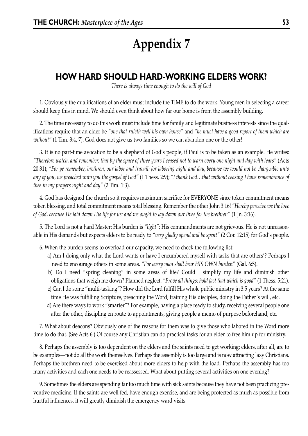## **HOW HARD SHOULD HARD-WORKING ELDERS WORK?**

*There is always time enough to do the will of God*

1. Obviously the qualifications of an elder must include the TIME to do the work. Young men in selecting a career should keep this in mind. We should even think about how far our home is from the assembly building.

2. The time necessary to do this work must include time for family and legitimate business interests since the qualifications require that an elder be *"one that ruleth well his own house"* and *"he must have a good report of them which are without"* (1 Tim. 3:4, 7). God does not give us two families so we can abandon one or the other!

3. It is no part-time avocation to be a shepherd of God's people, if Paul is to be taken as an example. He writes: *"Therefore watch, and remember, that by the space of three years I ceased not to warn every one night and day with tears"* (Acts 20:31); *"For ye remember, brethren, our labor and travail: for laboring night and day, because we would not be chargeable unto any of you, we preached unto you the gospel of God"* (1 Thess. 2:9); *"I thank God…that without ceasing I have remembrance of thee in my prayers night and day"* (2 Tim. 1:3).

4. God has designed the church so it requires maximum sacrifice for EVERYONE since token commitment means token blessing, and total commitment means total blessing. Remember the other John 3:16! *"Hereby perceive we the love of God, because He laid down His life for us: and we ought to lay down our lives for the brethren"* (1 Jn. 3:16).

5. The Lord is not a hard Master; His burden is *"light"*; His commandments are not grievous. He is not unreasonable in His demands but expects elders to be ready to *"very gladly spend and be spent"* (2 Cor. 12:15) for God's people.

- 6. When the burden seems to overload our capacity, we need to check the following list:
	- a) Am I doing only what the Lord wants or have I encumbered myself with tasks that are others'? Perhaps I need to encourage others in some areas. *"For every man shall bear HIS OWN burden"* (Gal. 6:5).
	- b) Do I need "spring cleaning" in some areas of life? Could I simplify my life and diminish other obligations that weigh me down? Planned neglect. *"Prove all things; hold fast that which is good"* (1 Thess. 5:21).
	- c) Can I do some "multi-tasking"? How did the Lord fulfill His whole public ministry in 3.5 years? At the same time He was fulfilling Scripture, preaching the Word, training His disciples, doing the Father's will, etc.
	- d) Are there ways to work "smarter"? For example, having a place ready to study, receiving several people one after the other, discipling en route to appointments, giving people a memo of purpose beforehand, etc.

7. What about deacons? Obviously one of the reasons for them was to give those who labored in the Word more time to do that. (See Acts 6.) Of course any Christian can do practical tasks for an elder to free him up for ministry.

8. Perhaps the assembly is too dependent on the elders and the saints need to get working; elders, after all, are to be examples—not do all the work themselves. Perhaps the assembly is too large and is now attracting lazy Christians. Perhaps the brethren need to be exercised about more elders to help with the load. Perhaps the assembly has too many activities and each one needs to be reassessed. What about putting several activities on one evening?

9. Sometimes the elders are spending far too much time with sick saints because they have not been practicing preventive medicine. If the saints are well fed, have enough exercise, and are being protected as much as possible from hurtful influences, it will greatly diminish the emergency ward visits.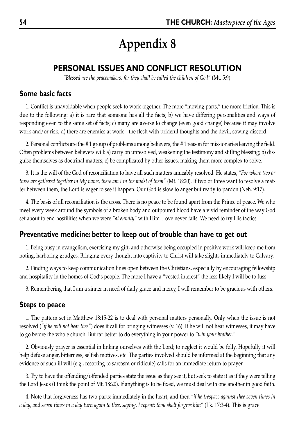## **PERSONAL ISSUES AND CONFLICT RESOLUTION**

*"Blessed are the peacemakers: for they shall be called the children of God"* (Mt. 5:9).

#### **Some basic facts**

1. Conflict is unavoidable when people seek to work together. The more "moving parts," the more friction. This is due to the following: a) it is rare that someone has all the facts; b) we have differing personalities and ways of responding even to the same set of facts; c) many are averse to change (even good change) because it may involve work and/or risk; d) there are enemies at work—the flesh with prideful thoughts and the devil, sowing discord.

2. Personal conflicts are the # 1 group of problems among believers, the # 1 reason for missionaries leaving the field. Often problems between believers will: a) carry on unresolved, weakening the testimony and stifling blessing; b) disguise themselves as doctrinal matters; c) be complicated by other issues, making them more complex to solve.

3. It is the will of the God of reconciliation to have all such matters amicably resolved. He states, *"For where two or three are gathered together in My name, there am I in the midst of them"* (Mt. 18:20). If two or three want to resolve a matter between them, the Lord is eager to see it happen. Our God is slow to anger but ready to pardon (Neh. 9:17).

4. The basis of all reconciliation is the cross. There is no peace to be found apart from the Prince of peace. We who meet every week around the symbols of a broken body and outpoured blood have a vivid reminder of the way God set about to end hostilities when we were *"at enmity"* with Him. Love never fails. We need to try His tactics

#### **Preventative medicine: better to keep out of trouble than have to get out**

1. Being busy in evangelism, exercising my gift, and otherwise being occupied in positive work will keep me from noting, harboring grudges. Bringing every thought into captivity to Christ will take slights immediately to Calvary.

2. Finding ways to keep communication lines open between the Christians, especially by encouraging fellowship and hospitality in the homes of God's people. The more I have a "vested interest" the less likely I will be to fuss.

3. Remembering that I am a sinner in need of daily grace and mercy, I will remember to be gracious with others.

#### **Steps to peace**

1. The pattern set in Matthew 18:15-22 is to deal with personal matters personally. Only when the issue is not resolved (*"if he will not hear thee"*) does it call for bringing witnesses (v. 16). If he will not hear witnesses, it may have to go before the whole church. But far better to do everything in your power to *"win your brother."*

2. Obviously prayer is essential in linking ourselves with the Lord; to neglect it would be folly. Hopefully it will help defuse anger, bitterness, selfish motives, etc. The parties involved should be informed at the beginning that any evidence of such ill will (e.g., resorting to sarcasm or ridicule) calls for an immediate return to prayer.

3. Try to have the offending/offended parties state the issue as they see it, but seek to state it as if they were telling the Lord Jesus (I think the point of Mt. 18:20). If anything is to be fixed, we must deal with one another in good faith.

4. Note that forgiveness has two parts: immediately in the heart, and then *"if he trespass against thee seven times in a day, and seven times in a day turn again to thee, saying, I repent; thou shalt forgive him"* (Lk. 17:3-4). This is grace!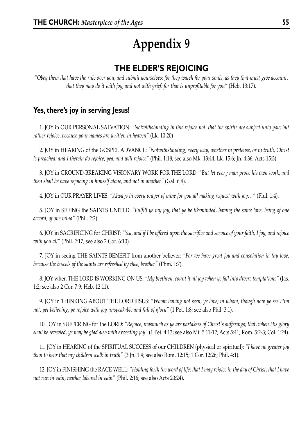## **THE ELDER'S REJOICING**

*"Obey them that have the rule over you, and submit yourselves: for they watch for your souls, as they that must give account, that they may do it with joy, and not with grief: for that is unprofitable for you"* (Heb. 13:17).

## **Yes, there's joy in serving Jesus!**

1. JOY in OUR PERSONAL SALVATION: *"Notwithstanding in this rejoice not, that the spirits are subject unto you; but rather rejoice, because your names are written in heaven"* (Lk. 10:20)

2. JOY in HEARING of the GOSPEL ADVANCE: *"Notwithstanding, every way, whether in pretense, or in truth, Christ is preached; and I therein do rejoice, yea, and will rejoice"* (Phil. 1:18; see also Mk. 13:44; Lk. 15:6; Jn. 4:36; Acts 15:3).

3. JOY in GROUND-BREAKING VISIONARY WORK FOR THE LORD: *"But let every man prove his own work, and then shall he have rejoicing in himself alone, and not in another"* (Gal. 6:4).

4. JOY in OUR PRAYER LIVES: *"Always in every prayer of mine for you all making request with joy…"* (Phil. 1:4).

5. JOY in SEEING the SAINTS UNITED: *"Fulfill ye my joy, that ye be likeminded, having the same love, being of one accord, of one mind"* (Phil. 2:2).

6. JOY in SACRIFICING for CHRIST: *"Yea, and if I be offered upon the sacrifice and service of your faith, I joy, and rejoice with you all"* (Phil. 2:17; see also 2 Cor. 6:10).

7. JOY in seeing THE SAINTS BENEFIT from another believer: *"For we have great joy and consolation in thy love, because the bowels of the saints are refreshed by thee, brother"* (Phm. 1:7).

8. JOY when THE LORD IS WORKING ON US: *"My brethren, count it all joy when ye fall into divers temptations"* (Jas. 1:2; see also 2 Cor. 7:9; Heb. 12:11).

9. JOY in THINKING ABOUT THE LORD JESUS: "*Whom having not seen, ye love; in whom, though now ye see Him not, yet believing, ye rejoice with joy unspeakable and full of glory"* (1 Pet. 1:8; see also Phil. 3:1).

10. JOY in SUFFERING for the LORD: *"Rejoice, inasmuch as ye are partakers of Christ's sufferings; that, when His glory shall be revealed, ye may be glad also with exceeding joy"* (1 Pet. 4:13; see also Mt. 5:11-12; Acts 5:41; Rom. 5:2-3; Col. 1:24).

11. JOY in HEARING of the SPIRITUAL SUCCESS of our CHILDREN (physical or spiritual): *"I have no greater joy than to hear that my children walk in truth"* (3 Jn. 1:4; see also Rom. 12:15; 1 Cor. 12:26; Phil. 4:1).

12. JOY in FINISHING the RACE WELL: *"Holding forth the word of life; that I may rejoice in the day of Christ, that I have not run in vain, neither labored in vain"* (Phil. 2:16; see also Acts 20:24).